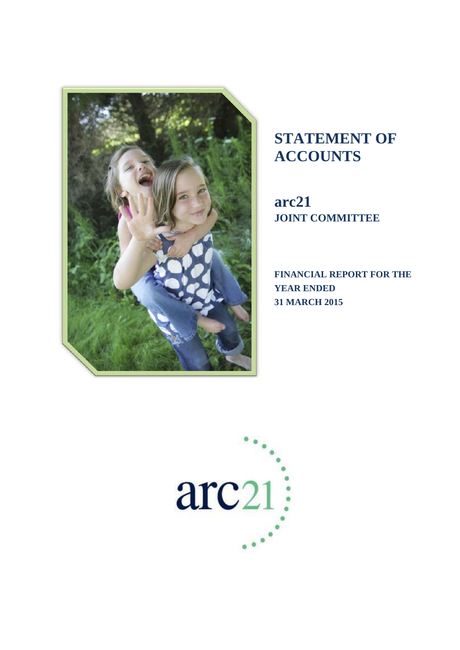

# **STATEMENT OF ACCOUNTS**

**arc21 JOINT COMMITTEE** 

**FINANCIAL REPORT FOR THE YEAR ENDED 31 MARCH 2015** 

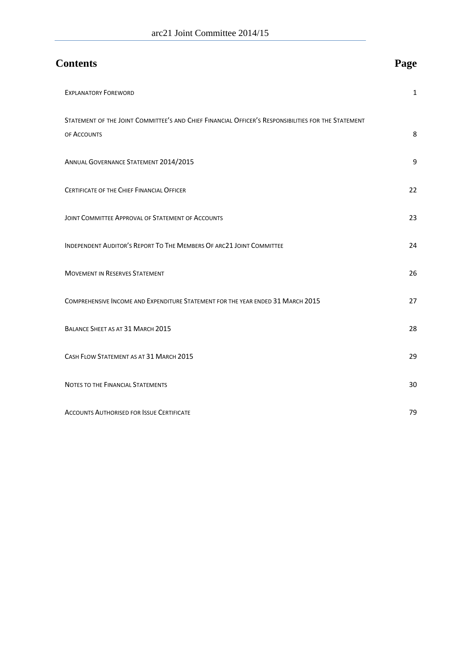| <b>Contents</b>                                                                                                    | Page         |
|--------------------------------------------------------------------------------------------------------------------|--------------|
| <b>EXPLANATORY FOREWORD</b>                                                                                        | $\mathbf{1}$ |
| STATEMENT OF THE JOINT COMMITTEE'S AND CHIEF FINANCIAL OFFICER'S RESPONSIBILITIES FOR THE STATEMENT<br>OF ACCOUNTS | 8            |
| ANNUAL GOVERNANCE STATEMENT 2014/2015                                                                              | 9            |
| <b>CERTIFICATE OF THE CHIEF FINANCIAL OFFICER</b>                                                                  | 22           |
| JOINT COMMITTEE APPROVAL OF STATEMENT OF ACCOUNTS                                                                  | 23           |
| INDEPENDENT AUDITOR'S REPORT TO THE MEMBERS OF ARC21 JOINT COMMITTEE                                               | 24           |
| <b>MOVEMENT IN RESERVES STATEMENT</b>                                                                              | 26           |
| COMPREHENSIVE INCOME AND EXPENDITURE STATEMENT FOR THE YEAR ENDED 31 MARCH 2015                                    | 27           |
| BALANCE SHEET AS AT 31 MARCH 2015                                                                                  | 28           |
| CASH FLOW STATEMENT AS AT 31 MARCH 2015                                                                            | 29           |
| NOTES TO THE FINANCIAL STATEMENTS                                                                                  | 30           |
| <b>ACCOUNTS AUTHORISED FOR ISSUE CERTIFICATE</b>                                                                   | 79           |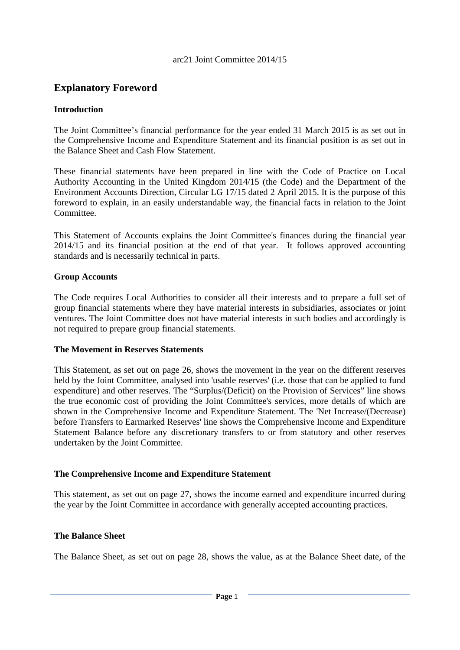# **Explanatory Foreword**

# **Introduction**

The Joint Committee's financial performance for the year ended 31 March 2015 is as set out in the Comprehensive Income and Expenditure Statement and its financial position is as set out in the Balance Sheet and Cash Flow Statement.

These financial statements have been prepared in line with the Code of Practice on Local Authority Accounting in the United Kingdom 2014/15 (the Code) and the Department of the Environment Accounts Direction, Circular LG 17/15 dated 2 April 2015. It is the purpose of this foreword to explain, in an easily understandable way, the financial facts in relation to the Joint Committee.

This Statement of Accounts explains the Joint Committee's finances during the financial year 2014/15 and its financial position at the end of that year. It follows approved accounting standards and is necessarily technical in parts.

#### **Group Accounts**

The Code requires Local Authorities to consider all their interests and to prepare a full set of group financial statements where they have material interests in subsidiaries, associates or joint ventures. The Joint Committee does not have material interests in such bodies and accordingly is not required to prepare group financial statements.

#### **The Movement in Reserves Statements**

This Statement, as set out on page 26, shows the movement in the year on the different reserves held by the Joint Committee, analysed into 'usable reserves' (i.e. those that can be applied to fund expenditure) and other reserves. The "Surplus/(Deficit) on the Provision of Services" line shows the true economic cost of providing the Joint Committee's services, more details of which are shown in the Comprehensive Income and Expenditure Statement. The 'Net Increase/(Decrease) before Transfers to Earmarked Reserves' line shows the Comprehensive Income and Expenditure Statement Balance before any discretionary transfers to or from statutory and other reserves undertaken by the Joint Committee.

#### **The Comprehensive Income and Expenditure Statement**

This statement, as set out on page 27, shows the income earned and expenditure incurred during the year by the Joint Committee in accordance with generally accepted accounting practices.

# **The Balance Sheet**

The Balance Sheet, as set out on page 28, shows the value, as at the Balance Sheet date, of the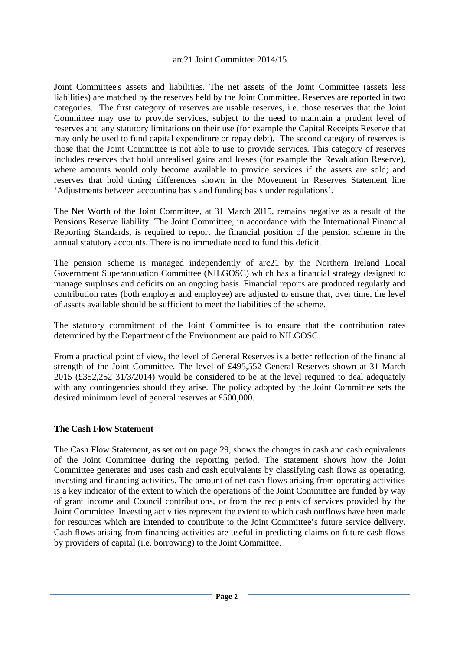Joint Committee's assets and liabilities. The net assets of the Joint Committee (assets less liabilities) are matched by the reserves held by the Joint Committee. Reserves are reported in two categories. The first category of reserves are usable reserves, i.e. those reserves that the Joint Committee may use to provide services, subject to the need to maintain a prudent level of reserves and any statutory limitations on their use (for example the Capital Receipts Reserve that may only be used to fund capital expenditure or repay debt). The second category of reserves is those that the Joint Committee is not able to use to provide services. This category of reserves includes reserves that hold unrealised gains and losses (for example the Revaluation Reserve), where amounts would only become available to provide services if the assets are sold; and reserves that hold timing differences shown in the Movement in Reserves Statement line 'Adjustments between accounting basis and funding basis under regulations'.

The Net Worth of the Joint Committee, at 31 March 2015, remains negative as a result of the Pensions Reserve liability. The Joint Committee, in accordance with the International Financial Reporting Standards, is required to report the financial position of the pension scheme in the annual statutory accounts. There is no immediate need to fund this deficit.

The pension scheme is managed independently of arc21 by the Northern Ireland Local Government Superannuation Committee (NILGOSC) which has a financial strategy designed to manage surpluses and deficits on an ongoing basis. Financial reports are produced regularly and contribution rates (both employer and employee) are adjusted to ensure that, over time, the level of assets available should be sufficient to meet the liabilities of the scheme.

The statutory commitment of the Joint Committee is to ensure that the contribution rates determined by the Department of the Environment are paid to NILGOSC.

From a practical point of view, the level of General Reserves is a better reflection of the financial strength of the Joint Committee. The level of £495,552 General Reserves shown at 31 March  $2015$  (£352,252 31/3/2014) would be considered to be at the level required to deal adequately with any contingencies should they arise. The policy adopted by the Joint Committee sets the desired minimum level of general reserves at £500,000.

#### **The Cash Flow Statement**

The Cash Flow Statement, as set out on page 29, shows the changes in cash and cash equivalents of the Joint Committee during the reporting period. The statement shows how the Joint Committee generates and uses cash and cash equivalents by classifying cash flows as operating, investing and financing activities. The amount of net cash flows arising from operating activities is a key indicator of the extent to which the operations of the Joint Committee are funded by way of grant income and Council contributions, or from the recipients of services provided by the Joint Committee. Investing activities represent the extent to which cash outflows have been made for resources which are intended to contribute to the Joint Committee's future service delivery. Cash flows arising from financing activities are useful in predicting claims on future cash flows by providers of capital (i.e. borrowing) to the Joint Committee.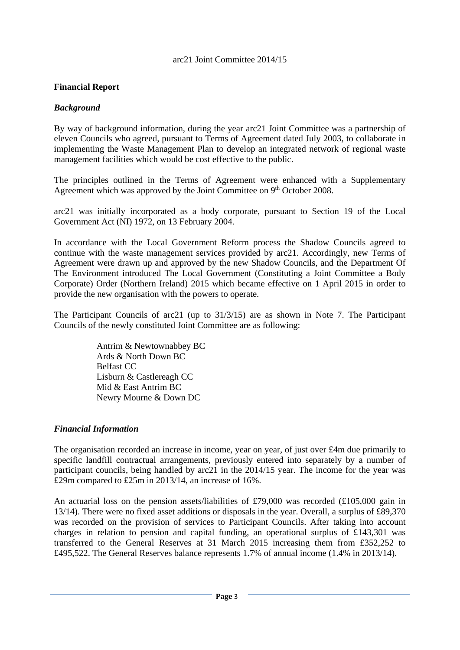# **Financial Report**

# *Background*

By way of background information, during the year arc21 Joint Committee was a partnership of eleven Councils who agreed, pursuant to Terms of Agreement dated July 2003, to collaborate in implementing the Waste Management Plan to develop an integrated network of regional waste management facilities which would be cost effective to the public.

The principles outlined in the Terms of Agreement were enhanced with a Supplementary Agreement which was approved by the Joint Committee on 9<sup>th</sup> October 2008.

arc21 was initially incorporated as a body corporate, pursuant to Section 19 of the Local Government Act (NI) 1972, on 13 February 2004.

In accordance with the Local Government Reform process the Shadow Councils agreed to continue with the waste management services provided by arc21. Accordingly, new Terms of Agreement were drawn up and approved by the new Shadow Councils, and the Department Of The Environment introduced The Local Government (Constituting a Joint Committee a Body Corporate) Order (Northern Ireland) 2015 which became effective on 1 April 2015 in order to provide the new organisation with the powers to operate.

The Participant Councils of arc21 (up to 31/3/15) are as shown in Note 7. The Participant Councils of the newly constituted Joint Committee are as following:

> Antrim & Newtownabbey BC Ards & North Down BC Belfast CC Lisburn & Castlereagh CC Mid & East Antrim BC Newry Mourne & Down DC

# *Financial Information*

The organisation recorded an increase in income, year on year, of just over £4m due primarily to specific landfill contractual arrangements, previously entered into separately by a number of participant councils, being handled by arc21 in the 2014/15 year. The income for the year was £29m compared to £25m in 2013/14, an increase of 16%.

An actuarial loss on the pension assets/liabilities of £79,000 was recorded (£105,000 gain in 13/14). There were no fixed asset additions or disposals in the year. Overall, a surplus of £89,370 was recorded on the provision of services to Participant Councils. After taking into account charges in relation to pension and capital funding, an operational surplus of £143,301 was transferred to the General Reserves at 31 March 2015 increasing them from £352,252 to £495,522. The General Reserves balance represents 1.7% of annual income (1.4% in 2013/14).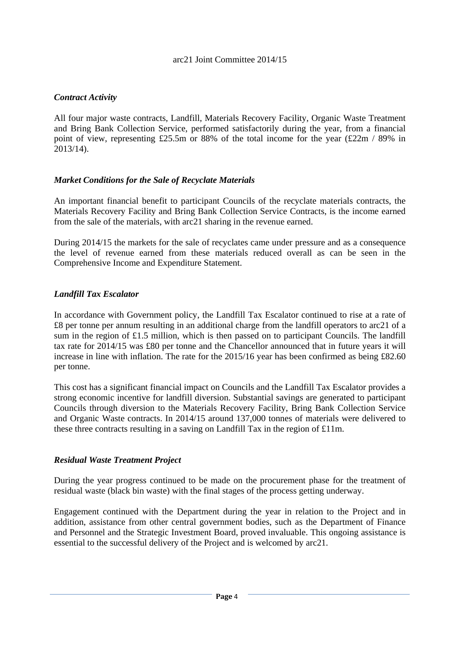# *Contract Activity*

All four major waste contracts, Landfill, Materials Recovery Facility, Organic Waste Treatment and Bring Bank Collection Service, performed satisfactorily during the year, from a financial point of view, representing £25.5m or 88% of the total income for the year (£22m / 89% in 2013/14).

# *Market Conditions for the Sale of Recyclate Materials*

An important financial benefit to participant Councils of the recyclate materials contracts, the Materials Recovery Facility and Bring Bank Collection Service Contracts, is the income earned from the sale of the materials, with arc21 sharing in the revenue earned.

During 2014/15 the markets for the sale of recyclates came under pressure and as a consequence the level of revenue earned from these materials reduced overall as can be seen in the Comprehensive Income and Expenditure Statement.

# *Landfill Tax Escalator*

In accordance with Government policy, the Landfill Tax Escalator continued to rise at a rate of £8 per tonne per annum resulting in an additional charge from the landfill operators to arc21 of a sum in the region of £1.5 million, which is then passed on to participant Councils. The landfill tax rate for 2014/15 was £80 per tonne and the Chancellor announced that in future years it will increase in line with inflation. The rate for the 2015/16 year has been confirmed as being £82.60 per tonne.

This cost has a significant financial impact on Councils and the Landfill Tax Escalator provides a strong economic incentive for landfill diversion. Substantial savings are generated to participant Councils through diversion to the Materials Recovery Facility, Bring Bank Collection Service and Organic Waste contracts. In 2014/15 around 137,000 tonnes of materials were delivered to these three contracts resulting in a saving on Landfill Tax in the region of £11m.

# *Residual Waste Treatment Project*

During the year progress continued to be made on the procurement phase for the treatment of residual waste (black bin waste) with the final stages of the process getting underway.

Engagement continued with the Department during the year in relation to the Project and in addition, assistance from other central government bodies, such as the Department of Finance and Personnel and the Strategic Investment Board, proved invaluable. This ongoing assistance is essential to the successful delivery of the Project and is welcomed by arc21.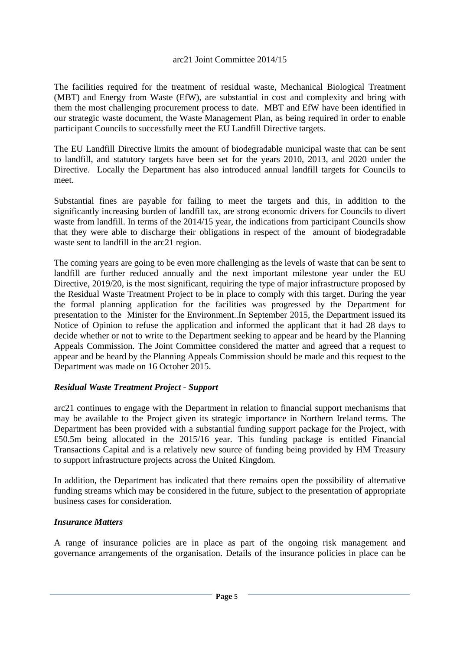The facilities required for the treatment of residual waste, Mechanical Biological Treatment (MBT) and Energy from Waste (EfW), are substantial in cost and complexity and bring with them the most challenging procurement process to date. MBT and EfW have been identified in our strategic waste document, the Waste Management Plan, as being required in order to enable participant Councils to successfully meet the EU Landfill Directive targets.

The EU Landfill Directive limits the amount of biodegradable municipal waste that can be sent to landfill, and statutory targets have been set for the years 2010, 2013, and 2020 under the Directive. Locally the Department has also introduced annual landfill targets for Councils to meet.

Substantial fines are payable for failing to meet the targets and this, in addition to the significantly increasing burden of landfill tax, are strong economic drivers for Councils to divert waste from landfill. In terms of the 2014/15 year, the indications from participant Councils show that they were able to discharge their obligations in respect of the amount of biodegradable waste sent to landfill in the arc21 region.

The coming years are going to be even more challenging as the levels of waste that can be sent to landfill are further reduced annually and the next important milestone year under the EU Directive, 2019/20, is the most significant, requiring the type of major infrastructure proposed by the Residual Waste Treatment Project to be in place to comply with this target. During the year the formal planning application for the facilities was progressed by the Department for presentation to the Minister for the Environment..In September 2015, the Department issued its Notice of Opinion to refuse the application and informed the applicant that it had 28 days to decide whether or not to write to the Department seeking to appear and be heard by the Planning Appeals Commission. The Joint Committee considered the matter and agreed that a request to appear and be heard by the Planning Appeals Commission should be made and this request to the Department was made on 16 October 2015.

# *Residual Waste Treatment Project - Support*

arc21 continues to engage with the Department in relation to financial support mechanisms that may be available to the Project given its strategic importance in Northern Ireland terms. The Department has been provided with a substantial funding support package for the Project, with £50.5m being allocated in the 2015/16 year. This funding package is entitled Financial Transactions Capital and is a relatively new source of funding being provided by HM Treasury to support infrastructure projects across the United Kingdom.

In addition, the Department has indicated that there remains open the possibility of alternative funding streams which may be considered in the future, subject to the presentation of appropriate business cases for consideration.

# *Insurance Matters*

A range of insurance policies are in place as part of the ongoing risk management and governance arrangements of the organisation. Details of the insurance policies in place can be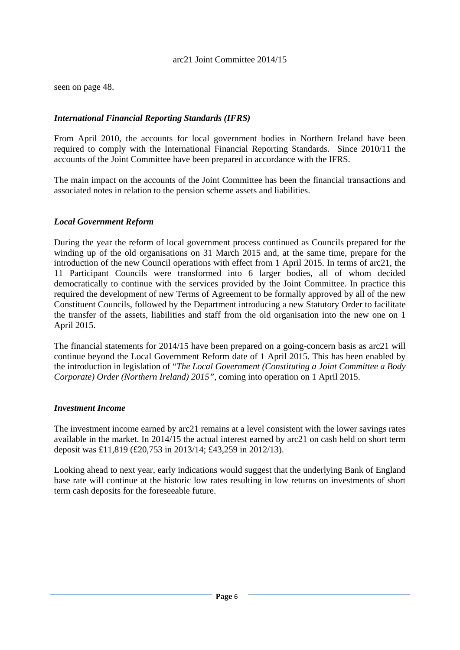seen on page 48.

# *International Financial Reporting Standards (IFRS)*

From April 2010, the accounts for local government bodies in Northern Ireland have been required to comply with the International Financial Reporting Standards. Since 2010/11 the accounts of the Joint Committee have been prepared in accordance with the IFRS.

The main impact on the accounts of the Joint Committee has been the financial transactions and associated notes in relation to the pension scheme assets and liabilities.

#### *Local Government Reform*

During the year the reform of local government process continued as Councils prepared for the winding up of the old organisations on 31 March 2015 and, at the same time, prepare for the introduction of the new Council operations with effect from 1 April 2015. In terms of arc21, the 11 Participant Councils were transformed into 6 larger bodies, all of whom decided democratically to continue with the services provided by the Joint Committee. In practice this required the development of new Terms of Agreement to be formally approved by all of the new Constituent Councils, followed by the Department introducing a new Statutory Order to facilitate the transfer of the assets, liabilities and staff from the old organisation into the new one on 1 April 2015.

The financial statements for 2014/15 have been prepared on a going-concern basis as arc21 will continue beyond the Local Government Reform date of 1 April 2015. This has been enabled by the introduction in legislation of "*The Local Government (Constituting a Joint Committee a Body Corporate) Order (Northern Ireland) 2015",* coming into operation on 1 April 2015.

#### *Investment Income*

The investment income earned by arc21 remains at a level consistent with the lower savings rates available in the market. In 2014/15 the actual interest earned by arc21 on cash held on short term deposit was £11,819 (£20,753 in 2013/14; £43,259 in 2012/13).

Looking ahead to next year, early indications would suggest that the underlying Bank of England base rate will continue at the historic low rates resulting in low returns on investments of short term cash deposits for the foreseeable future.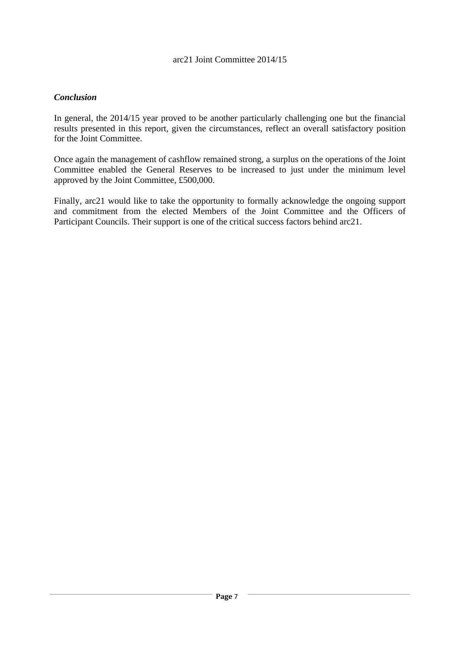# *Conclusion*

In general, the 2014/15 year proved to be another particularly challenging one but the financial results presented in this report, given the circumstances, reflect an overall satisfactory position for the Joint Committee.

Once again the management of cashflow remained strong, a surplus on the operations of the Joint Committee enabled the General Reserves to be increased to just under the minimum level approved by the Joint Committee, £500,000.

Finally, arc21 would like to take the opportunity to formally acknowledge the ongoing support and commitment from the elected Members of the Joint Committee and the Officers of Participant Councils. Their support is one of the critical success factors behind arc21.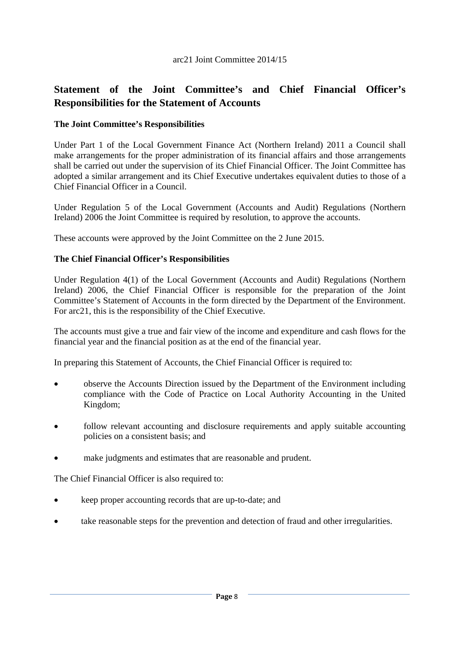# **Statement of the Joint Committee's and Chief Financial Officer's Responsibilities for the Statement of Accounts**

# **The Joint Committee's Responsibilities**

Under Part 1 of the Local Government Finance Act (Northern Ireland) 2011 a Council shall make arrangements for the proper administration of its financial affairs and those arrangements shall be carried out under the supervision of its Chief Financial Officer. The Joint Committee has adopted a similar arrangement and its Chief Executive undertakes equivalent duties to those of a Chief Financial Officer in a Council.

Under Regulation 5 of the Local Government (Accounts and Audit) Regulations (Northern Ireland) 2006 the Joint Committee is required by resolution, to approve the accounts.

These accounts were approved by the Joint Committee on the 2 June 2015.

#### **The Chief Financial Officer's Responsibilities**

Under Regulation 4(1) of the Local Government (Accounts and Audit) Regulations (Northern Ireland) 2006, the Chief Financial Officer is responsible for the preparation of the Joint Committee's Statement of Accounts in the form directed by the Department of the Environment. For arc21, this is the responsibility of the Chief Executive.

The accounts must give a true and fair view of the income and expenditure and cash flows for the financial year and the financial position as at the end of the financial year.

In preparing this Statement of Accounts, the Chief Financial Officer is required to:

- observe the Accounts Direction issued by the Department of the Environment including compliance with the Code of Practice on Local Authority Accounting in the United Kingdom;
- follow relevant accounting and disclosure requirements and apply suitable accounting policies on a consistent basis; and
- make judgments and estimates that are reasonable and prudent.

The Chief Financial Officer is also required to:

- keep proper accounting records that are up-to-date; and
- take reasonable steps for the prevention and detection of fraud and other irregularities.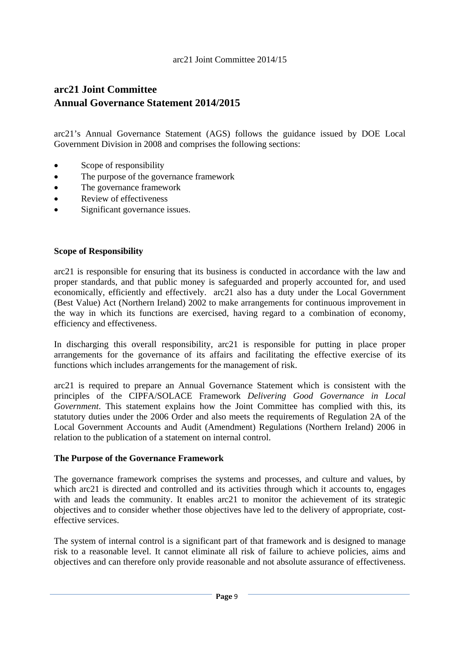# **arc21 Joint Committee Annual Governance Statement 2014/2015**

arc21's Annual Governance Statement (AGS) follows the guidance issued by DOE Local Government Division in 2008 and comprises the following sections:

- Scope of responsibility
- The purpose of the governance framework
- The governance framework
- Review of effectiveness
- Significant governance issues.

#### **Scope of Responsibility**

arc21 is responsible for ensuring that its business is conducted in accordance with the law and proper standards, and that public money is safeguarded and properly accounted for, and used economically, efficiently and effectively. arc21 also has a duty under the Local Government (Best Value) Act (Northern Ireland) 2002 to make arrangements for continuous improvement in the way in which its functions are exercised, having regard to a combination of economy, efficiency and effectiveness.

In discharging this overall responsibility, arc21 is responsible for putting in place proper arrangements for the governance of its affairs and facilitating the effective exercise of its functions which includes arrangements for the management of risk.

arc21 is required to prepare an Annual Governance Statement which is consistent with the principles of the CIPFA/SOLACE Framework *Delivering Good Governance in Local Government*. This statement explains how the Joint Committee has complied with this, its statutory duties under the 2006 Order and also meets the requirements of Regulation 2A of the Local Government Accounts and Audit (Amendment) Regulations (Northern Ireland) 2006 in relation to the publication of a statement on internal control.

#### **The Purpose of the Governance Framework**

The governance framework comprises the systems and processes, and culture and values, by which arc21 is directed and controlled and its activities through which it accounts to, engages with and leads the community. It enables arc21 to monitor the achievement of its strategic objectives and to consider whether those objectives have led to the delivery of appropriate, costeffective services.

The system of internal control is a significant part of that framework and is designed to manage risk to a reasonable level. It cannot eliminate all risk of failure to achieve policies, aims and objectives and can therefore only provide reasonable and not absolute assurance of effectiveness.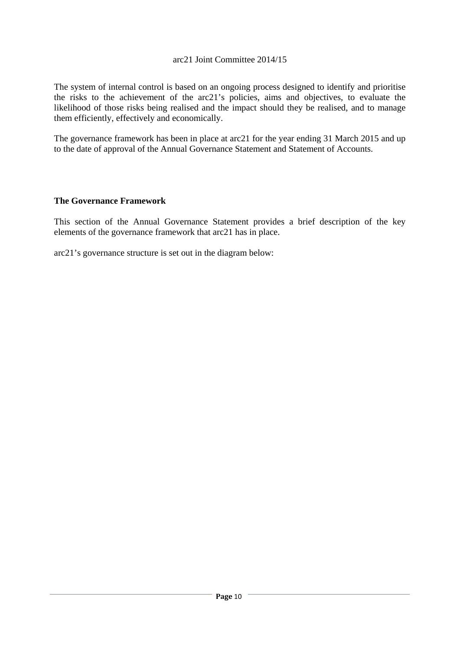The system of internal control is based on an ongoing process designed to identify and prioritise the risks to the achievement of the arc21's policies, aims and objectives, to evaluate the likelihood of those risks being realised and the impact should they be realised, and to manage them efficiently, effectively and economically.

The governance framework has been in place at arc21 for the year ending 31 March 2015 and up to the date of approval of the Annual Governance Statement and Statement of Accounts.

# **The Governance Framework**

This section of the Annual Governance Statement provides a brief description of the key elements of the governance framework that arc21 has in place.

arc21's governance structure is set out in the diagram below: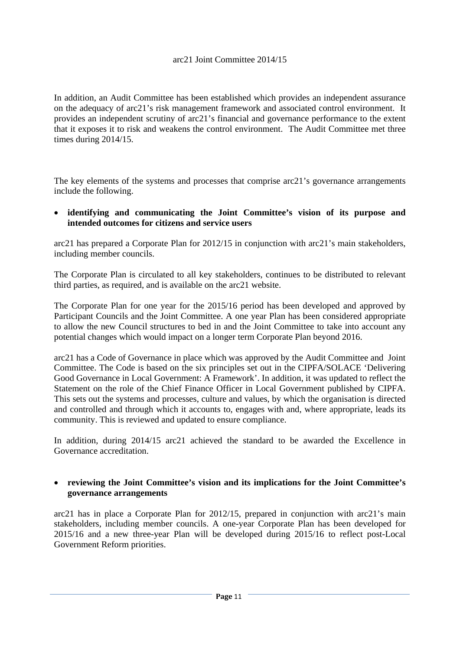In addition, an Audit Committee has been established which provides an independent assurance on the adequacy of arc21's risk management framework and associated control environment. It provides an independent scrutiny of arc21's financial and governance performance to the extent that it exposes it to risk and weakens the control environment. The Audit Committee met three times during 2014/15.

The key elements of the systems and processes that comprise arc21's governance arrangements include the following.

 **identifying and communicating the Joint Committee's vision of its purpose and intended outcomes for citizens and service users** 

arc21 has prepared a Corporate Plan for 2012/15 in conjunction with arc21's main stakeholders, including member councils.

The Corporate Plan is circulated to all key stakeholders, continues to be distributed to relevant third parties, as required, and is available on the arc21 website.

The Corporate Plan for one year for the 2015/16 period has been developed and approved by Participant Councils and the Joint Committee. A one year Plan has been considered appropriate to allow the new Council structures to bed in and the Joint Committee to take into account any potential changes which would impact on a longer term Corporate Plan beyond 2016.

arc21 has a Code of Governance in place which was approved by the Audit Committee and Joint Committee. The Code is based on the six principles set out in the CIPFA/SOLACE 'Delivering Good Governance in Local Government: A Framework'. In addition, it was updated to reflect the Statement on the role of the Chief Finance Officer in Local Government published by CIPFA. This sets out the systems and processes, culture and values, by which the organisation is directed and controlled and through which it accounts to, engages with and, where appropriate, leads its community. This is reviewed and updated to ensure compliance.

In addition, during 2014/15 arc21 achieved the standard to be awarded the Excellence in Governance accreditation.

#### **reviewing the Joint Committee's vision and its implications for the Joint Committee's governance arrangements**

arc21 has in place a Corporate Plan for 2012/15, prepared in conjunction with arc21's main stakeholders, including member councils. A one-year Corporate Plan has been developed for 2015/16 and a new three-year Plan will be developed during 2015/16 to reflect post-Local Government Reform priorities.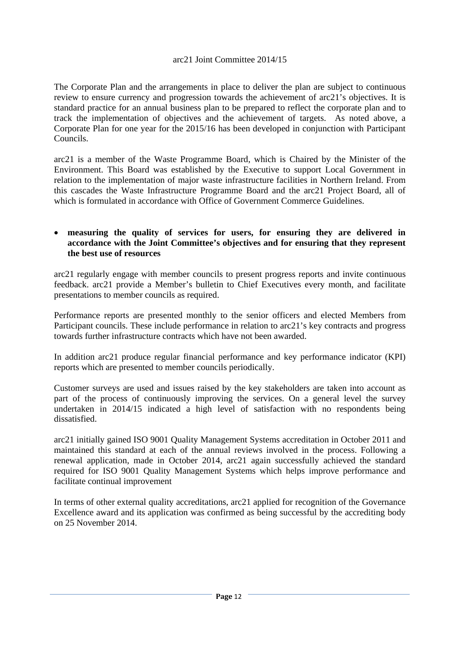The Corporate Plan and the arrangements in place to deliver the plan are subject to continuous review to ensure currency and progression towards the achievement of arc21's objectives. It is standard practice for an annual business plan to be prepared to reflect the corporate plan and to track the implementation of objectives and the achievement of targets. As noted above, a Corporate Plan for one year for the 2015/16 has been developed in conjunction with Participant Councils.

arc21 is a member of the Waste Programme Board, which is Chaired by the Minister of the Environment. This Board was established by the Executive to support Local Government in relation to the implementation of major waste infrastructure facilities in Northern Ireland. From this cascades the Waste Infrastructure Programme Board and the arc21 Project Board, all of which is formulated in accordance with Office of Government Commerce Guidelines.

#### **measuring the quality of services for users, for ensuring they are delivered in accordance with the Joint Committee's objectives and for ensuring that they represent the best use of resources**

arc21 regularly engage with member councils to present progress reports and invite continuous feedback. arc21 provide a Member's bulletin to Chief Executives every month, and facilitate presentations to member councils as required.

Performance reports are presented monthly to the senior officers and elected Members from Participant councils. These include performance in relation to arc21's key contracts and progress towards further infrastructure contracts which have not been awarded.

In addition arc21 produce regular financial performance and key performance indicator (KPI) reports which are presented to member councils periodically.

Customer surveys are used and issues raised by the key stakeholders are taken into account as part of the process of continuously improving the services. On a general level the survey undertaken in 2014/15 indicated a high level of satisfaction with no respondents being dissatisfied.

arc21 initially gained ISO 9001 Quality Management Systems accreditation in October 2011 and maintained this standard at each of the annual reviews involved in the process. Following a renewal application, made in October 2014, arc21 again successfully achieved the standard required for ISO 9001 Quality Management Systems which helps improve performance and facilitate continual improvement

In terms of other external quality accreditations, arc21 applied for recognition of the Governance Excellence award and its application was confirmed as being successful by the accrediting body on 25 November 2014.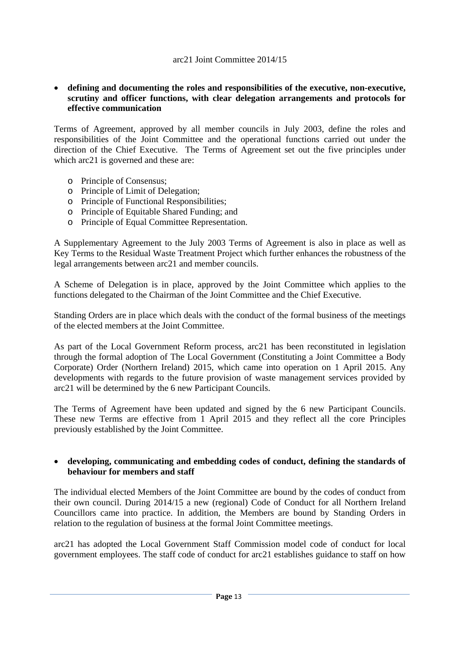#### **defining and documenting the roles and responsibilities of the executive, non-executive, scrutiny and officer functions, with clear delegation arrangements and protocols for effective communication**

Terms of Agreement, approved by all member councils in July 2003, define the roles and responsibilities of the Joint Committee and the operational functions carried out under the direction of the Chief Executive. The Terms of Agreement set out the five principles under which arc $21$  is governed and these are:

- o Principle of Consensus;
- o Principle of Limit of Delegation;
- o Principle of Functional Responsibilities;
- o Principle of Equitable Shared Funding; and
- o Principle of Equal Committee Representation.

A Supplementary Agreement to the July 2003 Terms of Agreement is also in place as well as Key Terms to the Residual Waste Treatment Project which further enhances the robustness of the legal arrangements between arc21 and member councils.

A Scheme of Delegation is in place, approved by the Joint Committee which applies to the functions delegated to the Chairman of the Joint Committee and the Chief Executive.

Standing Orders are in place which deals with the conduct of the formal business of the meetings of the elected members at the Joint Committee.

As part of the Local Government Reform process, arc21 has been reconstituted in legislation through the formal adoption of The Local Government (Constituting a Joint Committee a Body Corporate) Order (Northern Ireland) 2015, which came into operation on 1 April 2015. Any developments with regards to the future provision of waste management services provided by arc21 will be determined by the 6 new Participant Councils.

The Terms of Agreement have been updated and signed by the 6 new Participant Councils. These new Terms are effective from 1 April 2015 and they reflect all the core Principles previously established by the Joint Committee.

#### **developing, communicating and embedding codes of conduct, defining the standards of behaviour for members and staff**

The individual elected Members of the Joint Committee are bound by the codes of conduct from their own council. During 2014/15 a new (regional) Code of Conduct for all Northern Ireland Councillors came into practice. In addition, the Members are bound by Standing Orders in relation to the regulation of business at the formal Joint Committee meetings.

arc21 has adopted the Local Government Staff Commission model code of conduct for local government employees. The staff code of conduct for arc21 establishes guidance to staff on how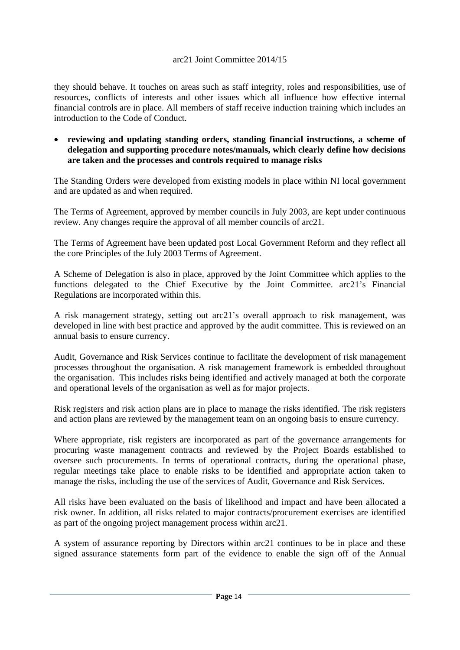they should behave. It touches on areas such as staff integrity, roles and responsibilities, use of resources, conflicts of interests and other issues which all influence how effective internal financial controls are in place. All members of staff receive induction training which includes an introduction to the Code of Conduct.

 **reviewing and updating standing orders, standing financial instructions, a scheme of delegation and supporting procedure notes/manuals, which clearly define how decisions are taken and the processes and controls required to manage risks** 

The Standing Orders were developed from existing models in place within NI local government and are updated as and when required.

The Terms of Agreement, approved by member councils in July 2003, are kept under continuous review. Any changes require the approval of all member councils of arc21.

The Terms of Agreement have been updated post Local Government Reform and they reflect all the core Principles of the July 2003 Terms of Agreement.

A Scheme of Delegation is also in place, approved by the Joint Committee which applies to the functions delegated to the Chief Executive by the Joint Committee. arc21's Financial Regulations are incorporated within this.

A risk management strategy, setting out arc21's overall approach to risk management, was developed in line with best practice and approved by the audit committee. This is reviewed on an annual basis to ensure currency.

Audit, Governance and Risk Services continue to facilitate the development of risk management processes throughout the organisation. A risk management framework is embedded throughout the organisation. This includes risks being identified and actively managed at both the corporate and operational levels of the organisation as well as for major projects.

Risk registers and risk action plans are in place to manage the risks identified. The risk registers and action plans are reviewed by the management team on an ongoing basis to ensure currency.

Where appropriate, risk registers are incorporated as part of the governance arrangements for procuring waste management contracts and reviewed by the Project Boards established to oversee such procurements. In terms of operational contracts, during the operational phase, regular meetings take place to enable risks to be identified and appropriate action taken to manage the risks, including the use of the services of Audit, Governance and Risk Services.

All risks have been evaluated on the basis of likelihood and impact and have been allocated a risk owner. In addition, all risks related to major contracts/procurement exercises are identified as part of the ongoing project management process within arc21.

A system of assurance reporting by Directors within arc21 continues to be in place and these signed assurance statements form part of the evidence to enable the sign off of the Annual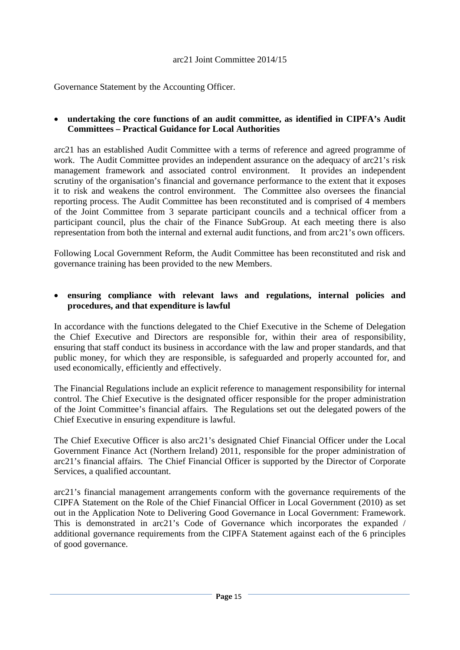Governance Statement by the Accounting Officer.

# **undertaking the core functions of an audit committee, as identified in CIPFA's Audit Committees – Practical Guidance for Local Authorities**

arc21 has an established Audit Committee with a terms of reference and agreed programme of work. The Audit Committee provides an independent assurance on the adequacy of arc21's risk management framework and associated control environment. It provides an independent scrutiny of the organisation's financial and governance performance to the extent that it exposes it to risk and weakens the control environment. The Committee also oversees the financial reporting process. The Audit Committee has been reconstituted and is comprised of 4 members of the Joint Committee from 3 separate participant councils and a technical officer from a participant council, plus the chair of the Finance SubGroup. At each meeting there is also representation from both the internal and external audit functions, and from arc21's own officers.

Following Local Government Reform, the Audit Committee has been reconstituted and risk and governance training has been provided to the new Members.

# **ensuring compliance with relevant laws and regulations, internal policies and procedures, and that expenditure is lawful**

In accordance with the functions delegated to the Chief Executive in the Scheme of Delegation the Chief Executive and Directors are responsible for, within their area of responsibility, ensuring that staff conduct its business in accordance with the law and proper standards, and that public money, for which they are responsible, is safeguarded and properly accounted for, and used economically, efficiently and effectively.

The Financial Regulations include an explicit reference to management responsibility for internal control. The Chief Executive is the designated officer responsible for the proper administration of the Joint Committee's financial affairs. The Regulations set out the delegated powers of the Chief Executive in ensuring expenditure is lawful.

The Chief Executive Officer is also arc21's designated Chief Financial Officer under the Local Government Finance Act (Northern Ireland) 2011, responsible for the proper administration of arc21's financial affairs. The Chief Financial Officer is supported by the Director of Corporate Services, a qualified accountant.

arc21's financial management arrangements conform with the governance requirements of the CIPFA Statement on the Role of the Chief Financial Officer in Local Government (2010) as set out in the Application Note to Delivering Good Governance in Local Government: Framework. This is demonstrated in arc21's Code of Governance which incorporates the expanded / additional governance requirements from the CIPFA Statement against each of the 6 principles of good governance.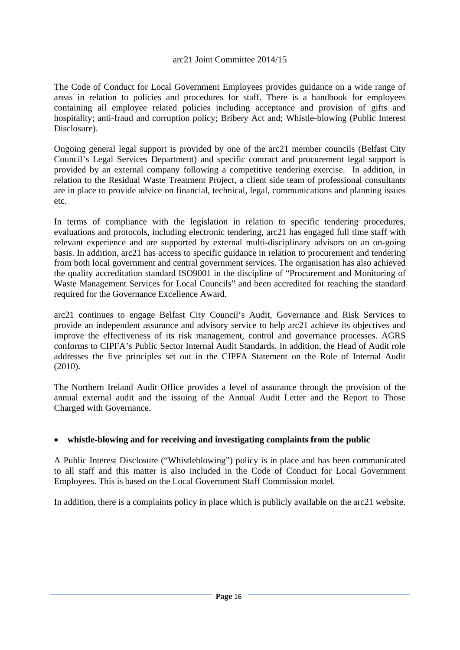The Code of Conduct for Local Government Employees provides guidance on a wide range of areas in relation to policies and procedures for staff. There is a handbook for employees containing all employee related policies including acceptance and provision of gifts and hospitality; anti-fraud and corruption policy; Bribery Act and; Whistle-blowing (Public Interest Disclosure).

Ongoing general legal support is provided by one of the arc21 member councils (Belfast City Council's Legal Services Department) and specific contract and procurement legal support is provided by an external company following a competitive tendering exercise. In addition, in relation to the Residual Waste Treatment Project, a client side team of professional consultants are in place to provide advice on financial, technical, legal, communications and planning issues etc.

In terms of compliance with the legislation in relation to specific tendering procedures, evaluations and protocols, including electronic tendering, arc21 has engaged full time staff with relevant experience and are supported by external multi-disciplinary advisors on an on-going basis. In addition, arc21 has access to specific guidance in relation to procurement and tendering from both local government and central government services. The organisation has also achieved the quality accreditation standard ISO9001 in the discipline of "Procurement and Monitoring of Waste Management Services for Local Councils" and been accredited for reaching the standard required for the Governance Excellence Award.

arc21 continues to engage Belfast City Council's Audit, Governance and Risk Services to provide an independent assurance and advisory service to help arc21 achieve its objectives and improve the effectiveness of its risk management, control and governance processes. AGRS conforms to CIPFA's Public Sector Internal Audit Standards. In addition, the Head of Audit role addresses the five principles set out in the CIPFA Statement on the Role of Internal Audit (2010).

The Northern Ireland Audit Office provides a level of assurance through the provision of the annual external audit and the issuing of the Annual Audit Letter and the Report to Those Charged with Governance.

# **whistle-blowing and for receiving and investigating complaints from the public**

A Public Interest Disclosure ("Whistleblowing") policy is in place and has been communicated to all staff and this matter is also included in the Code of Conduct for Local Government Employees. This is based on the Local Government Staff Commission model.

In addition, there is a complaints policy in place which is publicly available on the arc21 website.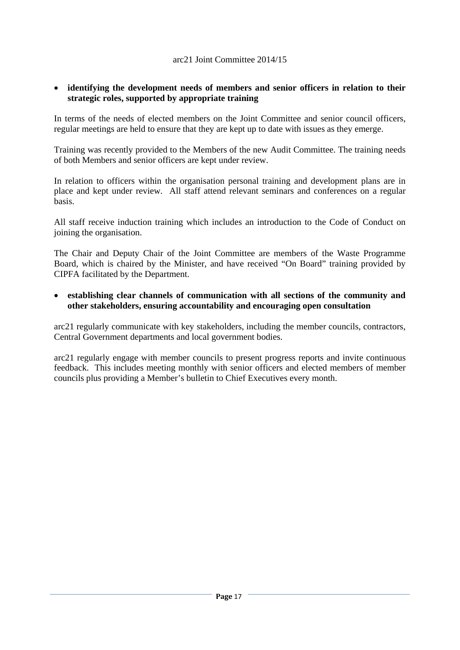#### **identifying the development needs of members and senior officers in relation to their strategic roles, supported by appropriate training**

In terms of the needs of elected members on the Joint Committee and senior council officers, regular meetings are held to ensure that they are kept up to date with issues as they emerge.

Training was recently provided to the Members of the new Audit Committee. The training needs of both Members and senior officers are kept under review.

In relation to officers within the organisation personal training and development plans are in place and kept under review. All staff attend relevant seminars and conferences on a regular basis.

All staff receive induction training which includes an introduction to the Code of Conduct on joining the organisation.

The Chair and Deputy Chair of the Joint Committee are members of the Waste Programme Board, which is chaired by the Minister, and have received "On Board" training provided by CIPFA facilitated by the Department.

 **establishing clear channels of communication with all sections of the community and other stakeholders, ensuring accountability and encouraging open consultation** 

arc21 regularly communicate with key stakeholders, including the member councils, contractors, Central Government departments and local government bodies.

arc21 regularly engage with member councils to present progress reports and invite continuous feedback. This includes meeting monthly with senior officers and elected members of member councils plus providing a Member's bulletin to Chief Executives every month.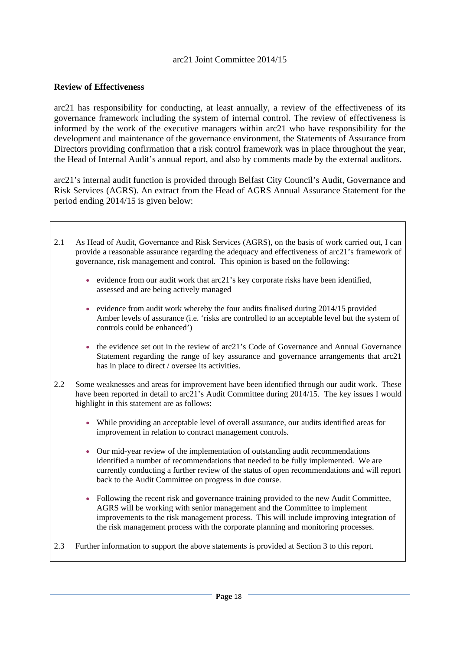#### **Review of Effectiveness**

arc21 has responsibility for conducting, at least annually, a review of the effectiveness of its governance framework including the system of internal control. The review of effectiveness is informed by the work of the executive managers within arc21 who have responsibility for the development and maintenance of the governance environment, the Statements of Assurance from Directors providing confirmation that a risk control framework was in place throughout the year, the Head of Internal Audit's annual report, and also by comments made by the external auditors.

arc21's internal audit function is provided through Belfast City Council's Audit, Governance and Risk Services (AGRS). An extract from the Head of AGRS Annual Assurance Statement for the period ending 2014/15 is given below:

- 2.1 As Head of Audit, Governance and Risk Services (AGRS), on the basis of work carried out, I can provide a reasonable assurance regarding the adequacy and effectiveness of arc21's framework of governance, risk management and control. This opinion is based on the following:
	- evidence from our audit work that  $arc21$ 's key corporate risks have been identified, assessed and are being actively managed
	- evidence from audit work whereby the four audits finalised during  $2014/15$  provided Amber levels of assurance (i.e. 'risks are controlled to an acceptable level but the system of controls could be enhanced')
	- $\bullet$  the evidence set out in the review of arc21's Code of Governance and Annual Governance Statement regarding the range of key assurance and governance arrangements that arc21 has in place to direct / oversee its activities.
- 2.2 Some weaknesses and areas for improvement have been identified through our audit work. These have been reported in detail to arc21's Audit Committee during 2014/15. The key issues I would highlight in this statement are as follows:
	- While providing an acceptable level of overall assurance, our audits identified areas for improvement in relation to contract management controls.
	- Our mid-year review of the implementation of outstanding audit recommendations identified a number of recommendations that needed to be fully implemented. We are currently conducting a further review of the status of open recommendations and will report back to the Audit Committee on progress in due course.
	- Following the recent risk and governance training provided to the new Audit Committee, AGRS will be working with senior management and the Committee to implement improvements to the risk management process. This will include improving integration of the risk management process with the corporate planning and monitoring processes.
- 2.3 Further information to support the above statements is provided at Section 3 to this report.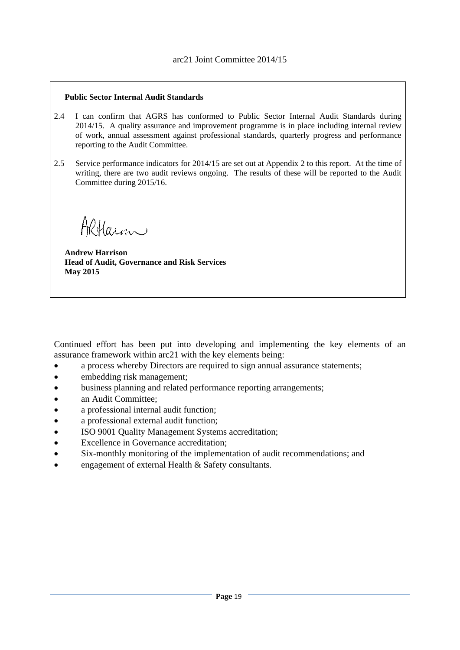#### **Public Sector Internal Audit Standards**

- 2.4 I can confirm that AGRS has conformed to Public Sector Internal Audit Standards during 2014/15. A quality assurance and improvement programme is in place including internal review of work, annual assessment against professional standards, quarterly progress and performance reporting to the Audit Committee.
- 2.5 Service performance indicators for 2014/15 are set out at Appendix 2 to this report. At the time of writing, there are two audit reviews ongoing. The results of these will be reported to the Audit Committee during 2015/16.

Altarm

**Andrew Harrison Head of Audit, Governance and Risk Services May 2015** 

Continued effort has been put into developing and implementing the key elements of an assurance framework within arc21 with the key elements being:

- a process whereby Directors are required to sign annual assurance statements;
- embedding risk management;
- business planning and related performance reporting arrangements;
- an Audit Committee:
- a professional internal audit function;
- a professional external audit function;
- ISO 9001 Quality Management Systems accreditation;
- Excellence in Governance accreditation;
- Six-monthly monitoring of the implementation of audit recommendations; and
- engagement of external Health & Safety consultants.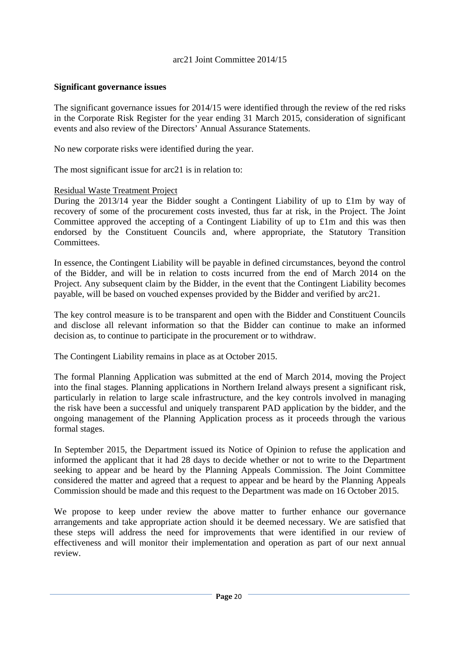#### **Significant governance issues**

The significant governance issues for 2014/15 were identified through the review of the red risks in the Corporate Risk Register for the year ending 31 March 2015, consideration of significant events and also review of the Directors' Annual Assurance Statements.

No new corporate risks were identified during the year.

The most significant issue for arc21 is in relation to:

#### Residual Waste Treatment Project

During the 2013/14 year the Bidder sought a Contingent Liability of up to £1m by way of recovery of some of the procurement costs invested, thus far at risk, in the Project. The Joint Committee approved the accepting of a Contingent Liability of up to £1m and this was then endorsed by the Constituent Councils and, where appropriate, the Statutory Transition Committees.

In essence, the Contingent Liability will be payable in defined circumstances, beyond the control of the Bidder, and will be in relation to costs incurred from the end of March 2014 on the Project. Any subsequent claim by the Bidder, in the event that the Contingent Liability becomes payable, will be based on vouched expenses provided by the Bidder and verified by arc21.

The key control measure is to be transparent and open with the Bidder and Constituent Councils and disclose all relevant information so that the Bidder can continue to make an informed decision as, to continue to participate in the procurement or to withdraw.

The Contingent Liability remains in place as at October 2015.

The formal Planning Application was submitted at the end of March 2014, moving the Project into the final stages. Planning applications in Northern Ireland always present a significant risk, particularly in relation to large scale infrastructure, and the key controls involved in managing the risk have been a successful and uniquely transparent PAD application by the bidder, and the ongoing management of the Planning Application process as it proceeds through the various formal stages.

In September 2015, the Department issued its Notice of Opinion to refuse the application and informed the applicant that it had 28 days to decide whether or not to write to the Department seeking to appear and be heard by the Planning Appeals Commission. The Joint Committee considered the matter and agreed that a request to appear and be heard by the Planning Appeals Commission should be made and this request to the Department was made on 16 October 2015.

We propose to keep under review the above matter to further enhance our governance arrangements and take appropriate action should it be deemed necessary. We are satisfied that these steps will address the need for improvements that were identified in our review of effectiveness and will monitor their implementation and operation as part of our next annual review.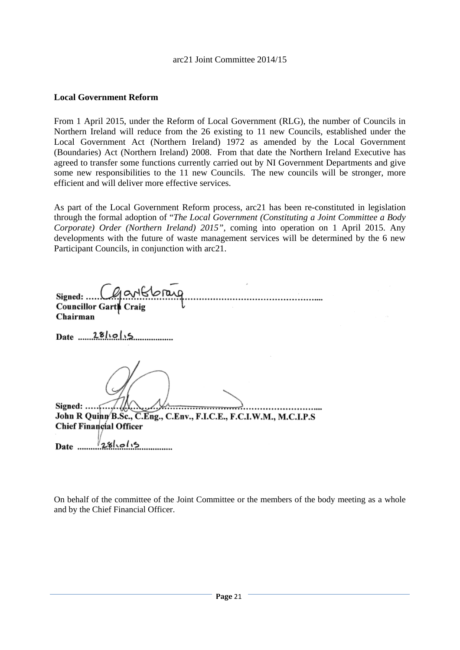#### **Local Government Reform**

From 1 April 2015, under the Reform of Local Government (RLG), the number of Councils in Northern Ireland will reduce from the 26 existing to 11 new Councils, established under the Local Government Act (Northern Ireland) 1972 as amended by the Local Government (Boundaries) Act (Northern Ireland) 2008. From that date the Northern Ireland Executive has agreed to transfer some functions currently carried out by NI Government Departments and give some new responsibilities to the 11 new Councils. The new councils will be stronger, more efficient and will deliver more effective services.

As part of the Local Government Reform process, arc21 has been re-constituted in legislation through the formal adoption of "*The Local Government (Constituting a Joint Committee a Body Corporate) Order (Northern Ireland) 2015",* coming into operation on 1 April 2015. Any developments with the future of waste management services will be determined by the 6 new Participant Councils, in conjunction with arc21.

Signed: ... Councillor Garth Craig Chairman Date  $28\ln 0.5$ Signed:  $\ldots$ ,  $\ldots$ ,  $\ldots$ John R Quinn B.Sc., C.Eng., C.Env., F.I.C.E., F.C.I.W.M., M.C.I.P.S Chief Financial Officer Date  $\frac{281}{281}$ 

On behalf of the committee of the Joint Committee or the members of the body meeting as a whole and by the Chief Financial Officer.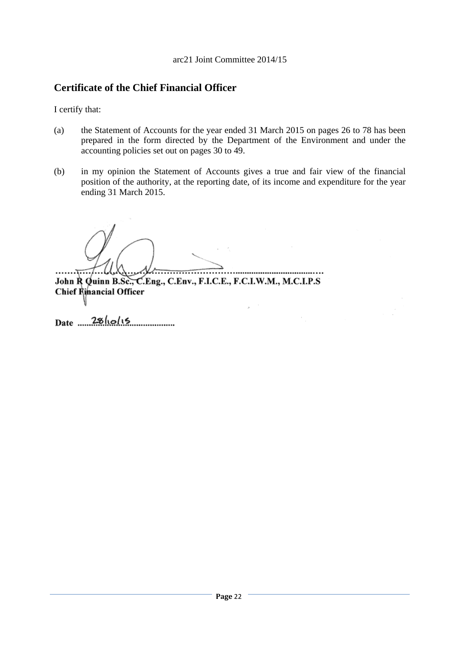# **Certificate of the Chief Financial Officer**

I certify that:

- (a) the Statement of Accounts for the year ended 31 March 2015 on pages 26 to 78 has been prepared in the form directed by the Department of the Environment and under the accounting policies set out on pages 30 to 49.
- (b) in my opinion the Statement of Accounts gives a true and fair view of the financial position of the authority, at the reporting date, of its income and expenditure for the year ending 31 March 2015.

 $\lambda$ 

 $\frac{1}{2}$ ... John R Quinn B.Sc., C.Eng., C.Env., F.I.C.E., F.C.I.W.M., M.C.I.P.S Chief Rinancial Officer

 $Date \t 28 |10 |15$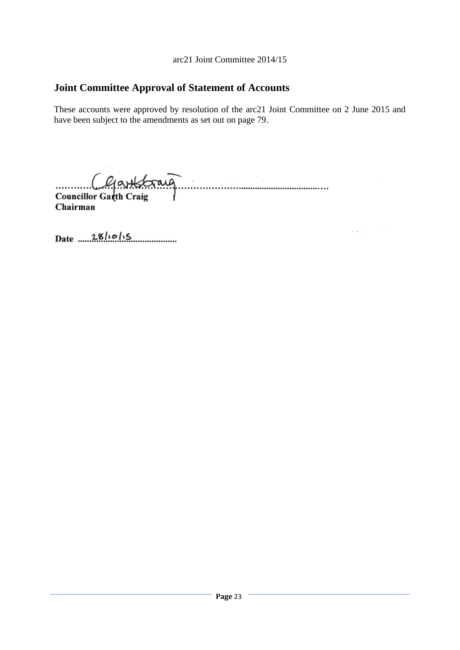# **Joint Committee Approval of Statement of Accounts**

These accounts were approved by resolution of the arc21 Joint Committee on 2 June 2015 and have been subject to the amendments as set out on page 79.

 $\mu$  ,  $\lambda$  ,  $\mu$ 

Clarkbraig

Chairman

Date  $28/10/15$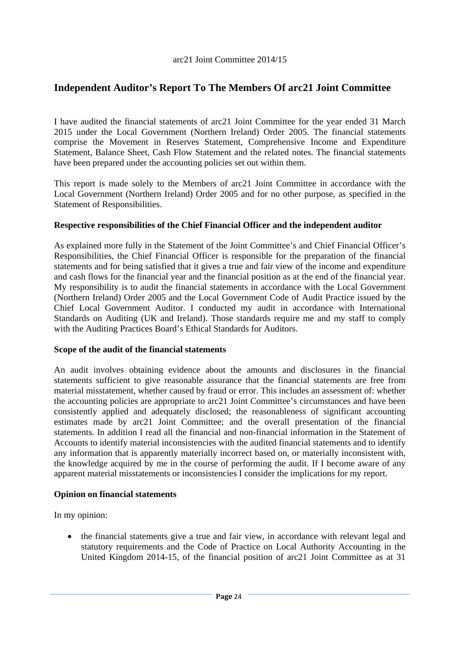# **Independent Auditor's Report To The Members Of arc21 Joint Committee**

I have audited the financial statements of arc21 Joint Committee for the year ended 31 March 2015 under the Local Government (Northern Ireland) Order 2005. The financial statements comprise the Movement in Reserves Statement, Comprehensive Income and Expenditure Statement, Balance Sheet, Cash Flow Statement and the related notes. The financial statements have been prepared under the accounting policies set out within them.

This report is made solely to the Members of arc21 Joint Committee in accordance with the Local Government (Northern Ireland) Order 2005 and for no other purpose, as specified in the Statement of Responsibilities.

# **Respective responsibilities of the Chief Financial Officer and the independent auditor**

As explained more fully in the Statement of the Joint Committee's and Chief Financial Officer's Responsibilities, the Chief Financial Officer is responsible for the preparation of the financial statements and for being satisfied that it gives a true and fair view of the income and expenditure and cash flows for the financial year and the financial position as at the end of the financial year. My responsibility is to audit the financial statements in accordance with the Local Government (Northern Ireland) Order 2005 and the Local Government Code of Audit Practice issued by the Chief Local Government Auditor. I conducted my audit in accordance with International Standards on Auditing (UK and Ireland). Those standards require me and my staff to comply with the Auditing Practices Board's Ethical Standards for Auditors.

# **Scope of the audit of the financial statements**

An audit involves obtaining evidence about the amounts and disclosures in the financial statements sufficient to give reasonable assurance that the financial statements are free from material misstatement, whether caused by fraud or error. This includes an assessment of: whether the accounting policies are appropriate to arc21 Joint Committee's circumstances and have been consistently applied and adequately disclosed; the reasonableness of significant accounting estimates made by arc21 Joint Committee; and the overall presentation of the financial statements. In addition I read all the financial and non-financial information in the Statement of Accounts to identify material inconsistencies with the audited financial statements and to identify any information that is apparently materially incorrect based on, or materially inconsistent with, the knowledge acquired by me in the course of performing the audit. If I become aware of any apparent material misstatements or inconsistencies I consider the implications for my report.

# **Opinion on financial statements**

In my opinion:

• the financial statements give a true and fair view, in accordance with relevant legal and statutory requirements and the Code of Practice on Local Authority Accounting in the United Kingdom 2014-15, of the financial position of arc21 Joint Committee as at 31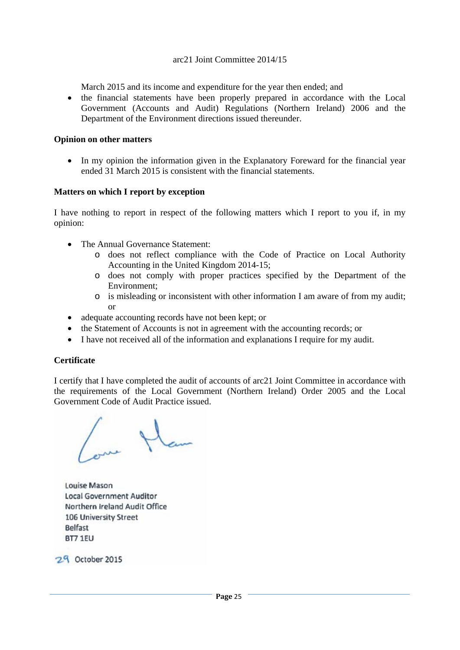March 2015 and its income and expenditure for the year then ended; and

 the financial statements have been properly prepared in accordance with the Local Government (Accounts and Audit) Regulations (Northern Ireland) 2006 and the Department of the Environment directions issued thereunder.

#### **Opinion on other matters**

• In my opinion the information given in the Explanatory Foreward for the financial year ended 31 March 2015 is consistent with the financial statements.

#### **Matters on which I report by exception**

I have nothing to report in respect of the following matters which I report to you if, in my opinion:

- The Annual Governance Statement:
	- o does not reflect compliance with the Code of Practice on Local Authority Accounting in the United Kingdom 2014-15;
	- o does not comply with proper practices specified by the Department of the Environment;
	- o is misleading or inconsistent with other information I am aware of from my audit; or
- adequate accounting records have not been kept; or
- the Statement of Accounts is not in agreement with the accounting records; or
- I have not received all of the information and explanations I require for my audit.

#### **Certificate**

I certify that I have completed the audit of accounts of arc21 Joint Committee in accordance with the requirements of the Local Government (Northern Ireland) Order 2005 and the Local Government Code of Audit Practice issued.

Louise Mason **Local Government Auditor** Northern Ireland Audit Office 106 University Street Belfast BT7 1EU

29 October 2015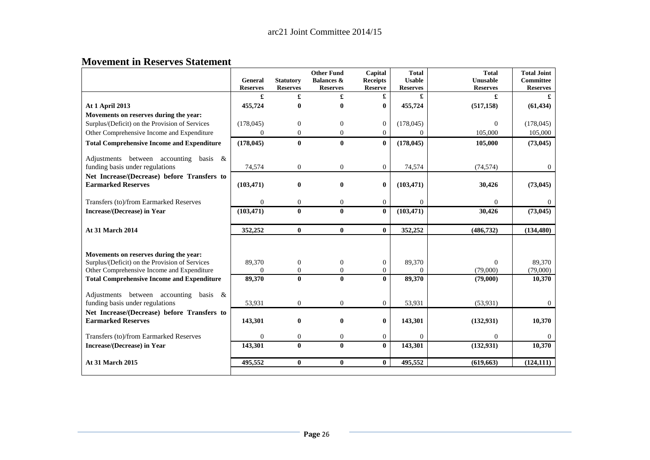#### **Movement in Reserves Statement**

|                                                                          | General          | <b>Statutory</b> | <b>Other Fund</b><br><b>Balances &amp;</b> | Capital<br><b>Receipts</b> | <b>Total</b><br><b>Usable</b> | <b>Total</b><br>Unusable | <b>Total Joint</b><br><b>Committee</b> |
|--------------------------------------------------------------------------|------------------|------------------|--------------------------------------------|----------------------------|-------------------------------|--------------------------|----------------------------------------|
|                                                                          | <b>Reserves</b>  | <b>Reserves</b>  | <b>Reserves</b>                            | <b>Reserve</b>             | <b>Reserves</b>               | <b>Reserves</b>          | <b>Reserves</b>                        |
|                                                                          | £                | £                | £                                          | £                          | £                             | £                        |                                        |
| At 1 April 2013                                                          | 455,724          | $\bf{0}$         | 0                                          | $\bf{0}$                   | 455,724                       | (517, 158)               | (61, 434)                              |
| Movements on reserves during the year:                                   |                  |                  |                                            |                            |                               |                          |                                        |
| Surplus/(Deficit) on the Provision of Services                           | (178, 045)       | $\overline{0}$   | $\overline{0}$                             | $\mathbf{0}$               | (178, 045)                    | $\theta$                 | (178, 045)                             |
| Other Comprehensive Income and Expenditure                               | $\mathbf{0}$     | $\boldsymbol{0}$ | $\overline{0}$                             | $\Omega$                   | $\Omega$                      | 105,000                  | 105,000                                |
| <b>Total Comprehensive Income and Expenditure</b>                        | (178, 045)       | $\bf{0}$         | 0                                          | $\mathbf{0}$               | (178, 045)                    | 105,000                  | (73, 045)                              |
| Adjustments between accounting<br>basis $\&$                             |                  |                  |                                            |                            |                               |                          |                                        |
| funding basis under regulations                                          | 74,574           | $\mathbf{0}$     | 0                                          | $\mathbf{0}$               | 74,574                        | (74, 574)                | $\Omega$                               |
| Net Increase/(Decrease) before Transfers to<br><b>Earmarked Reserves</b> | (103, 471)       | $\bf{0}$         | $\bf{0}$                                   | $\bf{0}$                   | (103, 471)                    | 30,426                   | (73, 045)                              |
| Transfers (to)/from Earmarked Reserves                                   | $\boldsymbol{0}$ | $\mathbf{0}$     | $\overline{0}$                             | $\mathbf{0}$               | $\overline{0}$                | $\theta$                 | $\Omega$                               |
| <b>Increase/(Decrease)</b> in Year                                       | (103, 471)       | $\bf{0}$         | $\bf{0}$                                   | $\mathbf{0}$               | (103, 471)                    | 30,426                   | (73, 045)                              |
| <b>At 31 March 2014</b>                                                  | 352,252          | $\bf{0}$         | $\mathbf{0}$                               | $\mathbf{0}$               | 352,252                       | (486, 732)               | (134, 480)                             |
|                                                                          |                  |                  |                                            |                            |                               |                          |                                        |
| Movements on reserves during the year:                                   |                  |                  |                                            |                            |                               |                          |                                        |
| Surplus/(Deficit) on the Provision of Services                           | 89,370           | $\boldsymbol{0}$ | $\boldsymbol{0}$                           | $\boldsymbol{0}$           | 89,370                        | $\Omega$                 | 89,370                                 |
| Other Comprehensive Income and Expenditure                               | $\Omega$         | $\mathbf{0}$     | $\Omega$                                   | $\Omega$                   | $\Omega$                      | (79,000)                 | (79,000)                               |
| <b>Total Comprehensive Income and Expenditure</b>                        | 89,370           | $\bf{0}$         | $\bf{0}$                                   | $\mathbf{0}$               | 89,370                        | (79,000)                 | 10,370                                 |
| Adjustments between accounting<br>basis &                                |                  |                  |                                            |                            |                               |                          |                                        |
| funding basis under regulations                                          | 53,931           | $\mathbf{0}$     | $\overline{0}$                             | $\mathbf{0}$               | 53,931                        | (53, 931)                | $\Omega$                               |
| Net Increase/(Decrease) before Transfers to                              |                  |                  |                                            |                            |                               |                          |                                        |
| <b>Earmarked Reserves</b>                                                | 143,301          | $\bf{0}$         | $\bf{0}$                                   | $\bf{0}$                   | 143,301                       | (132, 931)               | 10,370                                 |
|                                                                          |                  |                  |                                            |                            |                               |                          |                                        |
| Transfers (to)/from Earmarked Reserves                                   | $\Omega$         | $\mathbf{0}$     | $\Omega$                                   | $\mathbf{0}$               | $\Omega$                      | $\mathbf{0}$             |                                        |
| Increase/(Decrease) in Year                                              | 143,301          | $\bf{0}$         | $\mathbf{0}$                               | $\mathbf{0}$               | 143,301                       | (132, 931)               | 10,370                                 |
| <b>At 31 March 2015</b>                                                  | 495,552          | $\bf{0}$         | $\bf{0}$                                   | $\mathbf{0}$               | 495,552                       | (619, 663)               | (124, 111)                             |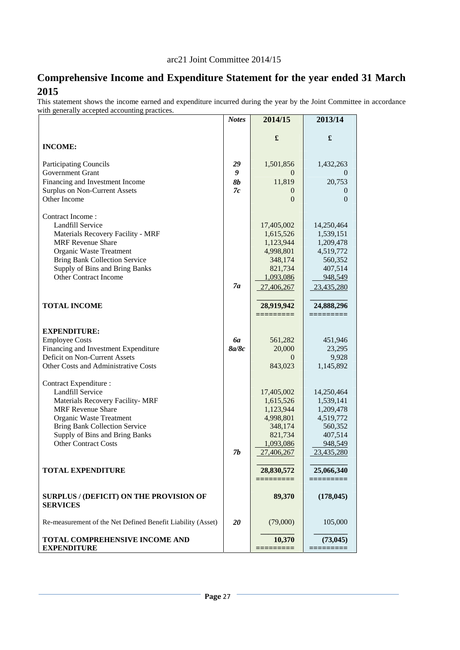# **Comprehensive Income and Expenditure Statement for the year ended 31 March 2015**

This statement shows the income earned and expenditure incurred during the year by the Joint Committee in accordance with generally accepted accounting practices.

|                                                                   | <b>Notes</b> | 2014/15                 | 2013/14                 |
|-------------------------------------------------------------------|--------------|-------------------------|-------------------------|
|                                                                   |              | £                       |                         |
| <b>INCOME:</b>                                                    |              |                         | £                       |
|                                                                   |              |                         |                         |
| <b>Participating Councils</b>                                     | 29           | 1,501,856               | 1,432,263               |
| <b>Government Grant</b>                                           | 9            | $\Omega$                | $\theta$                |
| Financing and Investment Income                                   | <b>8b</b>    | 11,819                  | 20,753                  |
| <b>Surplus on Non-Current Assets</b>                              | 7c           | 0                       | $\theta$                |
| Other Income                                                      |              | $\theta$                | $\overline{0}$          |
| Contract Income:                                                  |              |                         |                         |
| <b>Landfill Service</b>                                           |              | 17,405,002              | 14,250,464              |
| Materials Recovery Facility - MRF                                 |              | 1,615,526               | 1,539,151               |
| <b>MRF</b> Revenue Share                                          |              | 1,123,944               | 1,209,478               |
| Organic Waste Treatment                                           |              | 4,998,801               | 4,519,772               |
| <b>Bring Bank Collection Service</b>                              |              | 348,174                 | 560,352                 |
| Supply of Bins and Bring Banks                                    |              | 821,734                 | 407,514                 |
| Other Contract Income                                             |              | 1,093,086               | 948,549                 |
|                                                                   | 7a           | 27,406,267              | 23,435,280              |
|                                                                   |              |                         |                         |
| <b>TOTAL INCOME</b>                                               |              | 28,919,942<br>========= | 24,888,296<br>_________ |
|                                                                   |              |                         |                         |
| <b>EXPENDITURE:</b>                                               |              |                         |                         |
| <b>Employee Costs</b>                                             | 6а           | 561,282                 | 451,946                 |
| Financing and Investment Expenditure                              | 8a/8c        | 20,000                  | 23,295                  |
| Deficit on Non-Current Assets                                     |              | $\Omega$                | 9,928                   |
| Other Costs and Administrative Costs                              |              | 843,023                 | 1,145,892               |
| Contract Expenditure :                                            |              |                         |                         |
| <b>Landfill Service</b>                                           |              | 17,405,002              | 14,250,464              |
| Materials Recovery Facility- MRF                                  |              | 1,615,526               | 1,539,141               |
| <b>MRF Revenue Share</b>                                          |              | 1,123,944               | 1,209,478               |
| Organic Waste Treatment                                           |              | 4,998,801               | 4,519,772               |
| <b>Bring Bank Collection Service</b>                              |              | 348,174                 | 560,352                 |
| Supply of Bins and Bring Banks                                    |              | 821,734                 | 407,514                 |
| <b>Other Contract Costs</b>                                       |              | 1,093,086               | 948,549                 |
|                                                                   | 7b           | 27,406,267              | 23,435,280              |
| <b>TOTAL EXPENDITURE</b>                                          |              | 28,830,572              | 25,066,340              |
|                                                                   |              | $=$ =========           |                         |
| <b>SURPLUS / (DEFICIT) ON THE PROVISION OF</b><br><b>SERVICES</b> |              | 89,370                  | (178, 045)              |
| Re-measurement of the Net Defined Benefit Liability (Asset)       | 20           | (79,000)                | 105,000                 |
| TOTAL COMPREHENSIVE INCOME AND                                    |              | 10,370                  | (73, 045)               |
| <b>EXPENDITURE</b>                                                |              | $=$ =========           | =========               |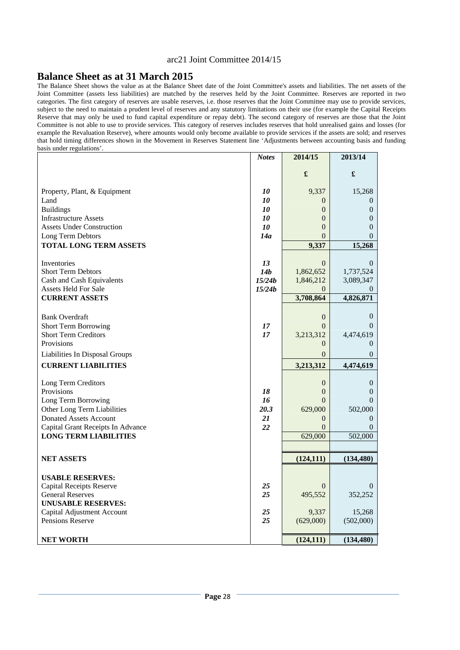#### **Balance Sheet as at 31 March 2015**

The Balance Sheet shows the value as at the Balance Sheet date of the Joint Committee's assets and liabilities. The net assets of the Joint Committee (assets less liabilities) are matched by the reserves held by the Joint Committee. Reserves are reported in two categories. The first category of reserves are usable reserves, i.e. those reserves that the Joint Committee may use to provide services, subject to the need to maintain a prudent level of reserves and any statutory limitations on their use (for example the Capital Receipts Reserve that may only be used to fund capital expenditure or repay debt). The second category of reserves are those that the Joint Committee is not able to use to provide services. This category of reserves includes reserves that hold unrealised gains and losses (for example the Revaluation Reserve), where amounts would only become available to provide services if the assets are sold; and reserves that hold timing differences shown in the Movement in Reserves Statement line 'Adjustments between accounting basis and funding basis under regulations'.

| £<br>£<br>10<br>9,337<br>Property, Plant, & Equipment<br>Land<br><i>10</i><br>$\overline{0}$<br><b>Buildings</b><br>10<br>$\overline{0}$<br><b>Infrastructure Assets</b><br>$\overline{0}$<br>10<br><b>Assets Under Construction</b><br>10<br>$\overline{0}$<br>Long Term Debtors<br>14a<br>$\theta$<br><b>TOTAL LONG TERM ASSETS</b> | <b>Notes</b> | 2014/15 | 2013/14          |
|---------------------------------------------------------------------------------------------------------------------------------------------------------------------------------------------------------------------------------------------------------------------------------------------------------------------------------------|--------------|---------|------------------|
|                                                                                                                                                                                                                                                                                                                                       |              |         |                  |
|                                                                                                                                                                                                                                                                                                                                       |              |         |                  |
|                                                                                                                                                                                                                                                                                                                                       |              |         | 15,268           |
|                                                                                                                                                                                                                                                                                                                                       |              |         | $\Omega$         |
|                                                                                                                                                                                                                                                                                                                                       |              |         | $\theta$         |
|                                                                                                                                                                                                                                                                                                                                       |              |         | $\theta$         |
|                                                                                                                                                                                                                                                                                                                                       |              |         | 0                |
|                                                                                                                                                                                                                                                                                                                                       |              |         | $\Omega$         |
|                                                                                                                                                                                                                                                                                                                                       |              | 9,337   | 15,268           |
|                                                                                                                                                                                                                                                                                                                                       |              |         |                  |
| 13<br>$\overline{0}$<br>Inventories                                                                                                                                                                                                                                                                                                   |              |         | $\theta$         |
| <b>Short Term Debtors</b><br>14b<br>1,862,652                                                                                                                                                                                                                                                                                         |              |         | 1,737,524        |
| 15/24b<br>Cash and Cash Equivalents<br>1,846,212                                                                                                                                                                                                                                                                                      |              |         | 3,089,347        |
| <b>Assets Held For Sale</b><br>15/24b<br>$\Omega$                                                                                                                                                                                                                                                                                     |              |         |                  |
| <b>CURRENT ASSETS</b><br>3,708,864                                                                                                                                                                                                                                                                                                    |              |         | 4,826,871        |
| <b>Bank Overdraft</b><br>$\boldsymbol{0}$                                                                                                                                                                                                                                                                                             |              |         | $\theta$         |
| <b>Short Term Borrowing</b><br>17<br>$\theta$                                                                                                                                                                                                                                                                                         |              |         | $\Omega$         |
| <b>Short Term Creditors</b><br>17<br>3,213,312                                                                                                                                                                                                                                                                                        |              |         | 4,474,619        |
| Provisions<br>$\Omega$                                                                                                                                                                                                                                                                                                                |              |         | $\Omega$         |
| Liabilities In Disposal Groups<br>$\Omega$                                                                                                                                                                                                                                                                                            |              |         | $\Omega$         |
| <b>CURRENT LIABILITIES</b>                                                                                                                                                                                                                                                                                                            |              |         |                  |
| 3,213,312                                                                                                                                                                                                                                                                                                                             |              |         | 4,474,619        |
| Long Term Creditors<br>$\boldsymbol{0}$                                                                                                                                                                                                                                                                                               |              |         | $\boldsymbol{0}$ |
| Provisions<br>18<br>$\overline{0}$                                                                                                                                                                                                                                                                                                    |              |         | $\Omega$         |
| 16<br>Long Term Borrowing<br>$\Omega$                                                                                                                                                                                                                                                                                                 |              |         | $\Omega$         |
| Other Long Term Liabilities<br>20.3<br>629,000                                                                                                                                                                                                                                                                                        |              |         | 502,000          |
| <b>Donated Assets Account</b><br>21<br>$\overline{0}$                                                                                                                                                                                                                                                                                 |              |         | $\Omega$         |
| Capital Grant Receipts In Advance<br>22<br>$\Omega$                                                                                                                                                                                                                                                                                   |              |         | $\Omega$         |
| 629,000<br><b>LONG TERM LIABILITIES</b>                                                                                                                                                                                                                                                                                               |              |         | 502,000          |
|                                                                                                                                                                                                                                                                                                                                       |              |         |                  |
| <b>NET ASSETS</b><br>(124, 111)                                                                                                                                                                                                                                                                                                       |              |         | (134, 480)       |
|                                                                                                                                                                                                                                                                                                                                       |              |         |                  |
| <b>USABLE RESERVES:</b>                                                                                                                                                                                                                                                                                                               |              |         |                  |
| <b>Capital Receipts Reserve</b><br>25<br>$\overline{0}$                                                                                                                                                                                                                                                                               |              |         | 0                |
| 25<br><b>General Reserves</b><br>495,552                                                                                                                                                                                                                                                                                              |              |         | 352,252          |
| <b>UNUSABLE RESERVES:</b>                                                                                                                                                                                                                                                                                                             |              |         |                  |
| Capital Adjustment Account<br>9,337<br>25<br>Pensions Reserve<br>25                                                                                                                                                                                                                                                                   |              |         | 15,268           |
| (629,000)                                                                                                                                                                                                                                                                                                                             |              |         | (502,000)        |
| <b>NET WORTH</b><br>(124, 111)                                                                                                                                                                                                                                                                                                        |              |         | (134, 480)       |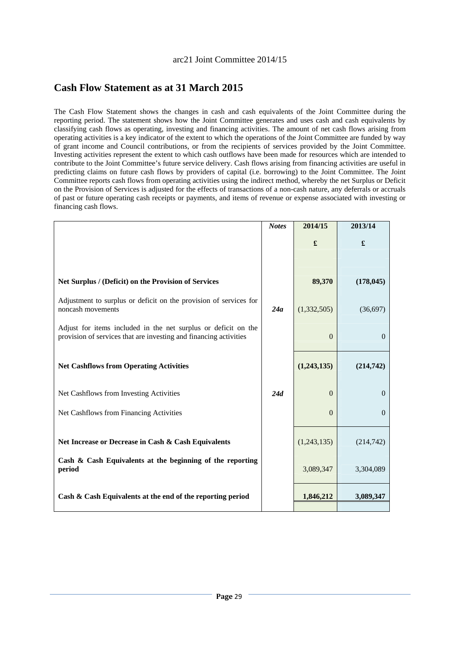# **Cash Flow Statement as at 31 March 2015**

The Cash Flow Statement shows the changes in cash and cash equivalents of the Joint Committee during the reporting period. The statement shows how the Joint Committee generates and uses cash and cash equivalents by classifying cash flows as operating, investing and financing activities. The amount of net cash flows arising from operating activities is a key indicator of the extent to which the operations of the Joint Committee are funded by way of grant income and Council contributions, or from the recipients of services provided by the Joint Committee. Investing activities represent the extent to which cash outflows have been made for resources which are intended to contribute to the Joint Committee's future service delivery. Cash flows arising from financing activities are useful in predicting claims on future cash flows by providers of capital (i.e. borrowing) to the Joint Committee. The Joint Committee reports cash flows from operating activities using the indirect method, whereby the net Surplus or Deficit on the Provision of Services is adjusted for the effects of transactions of a non-cash nature, any deferrals or accruals of past or future operating cash receipts or payments, and items of revenue or expense associated with investing or financing cash flows.

|                                                                                                                                     | <b>Notes</b> | 2014/15     | 2013/14    |
|-------------------------------------------------------------------------------------------------------------------------------------|--------------|-------------|------------|
|                                                                                                                                     |              | £           | £          |
|                                                                                                                                     |              |             |            |
| Net Surplus / (Deficit) on the Provision of Services                                                                                |              | 89,370      | (178, 045) |
| Adjustment to surplus or deficit on the provision of services for<br>noncash movements                                              | 24a          | (1,332,505) | (36,697)   |
| Adjust for items included in the net surplus or deficit on the<br>provision of services that are investing and financing activities |              | $\Omega$    | $\Omega$   |
| <b>Net Cashflows from Operating Activities</b>                                                                                      |              | (1,243,135) | (214,742)  |
| Net Cashflows from Investing Activities                                                                                             | 24d          | $\Omega$    | $\Omega$   |
| Net Cashflows from Financing Activities                                                                                             |              | $\Omega$    | $\Omega$   |
| Net Increase or Decrease in Cash & Cash Equivalents                                                                                 |              | (1,243,135) | (214, 742) |
| Cash & Cash Equivalents at the beginning of the reporting<br>period                                                                 |              | 3,089,347   | 3,304,089  |
| Cash & Cash Equivalents at the end of the reporting period                                                                          |              | 1,846,212   | 3,089,347  |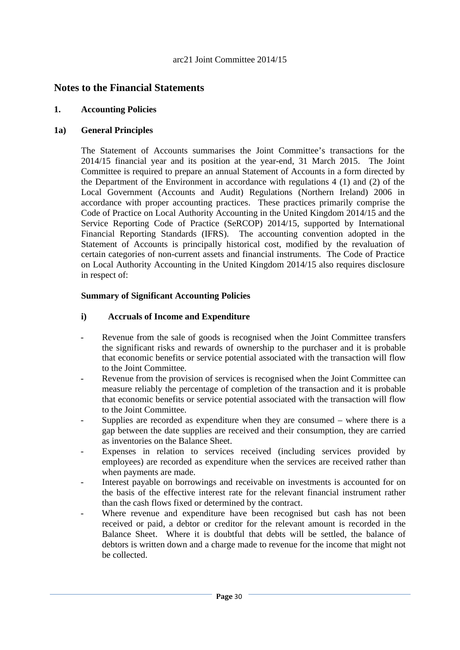# **Notes to the Financial Statements**

#### **1. Accounting Policies**

#### **1a) General Principles**

The Statement of Accounts summarises the Joint Committee's transactions for the 2014/15 financial year and its position at the year-end, 31 March 2015. The Joint Committee is required to prepare an annual Statement of Accounts in a form directed by the Department of the Environment in accordance with regulations 4 (1) and (2) of the Local Government (Accounts and Audit) Regulations (Northern Ireland) 2006 in accordance with proper accounting practices. These practices primarily comprise the Code of Practice on Local Authority Accounting in the United Kingdom 2014/15 and the Service Reporting Code of Practice (SeRCOP) 2014/15, supported by International Financial Reporting Standards (IFRS). The accounting convention adopted in the Statement of Accounts is principally historical cost, modified by the revaluation of certain categories of non-current assets and financial instruments. The Code of Practice on Local Authority Accounting in the United Kingdom 2014/15 also requires disclosure in respect of:

#### **Summary of Significant Accounting Policies**

#### **i) Accruals of Income and Expenditure**

- Revenue from the sale of goods is recognised when the Joint Committee transfers the significant risks and rewards of ownership to the purchaser and it is probable that economic benefits or service potential associated with the transaction will flow to the Joint Committee.
- Revenue from the provision of services is recognised when the Joint Committee can measure reliably the percentage of completion of the transaction and it is probable that economic benefits or service potential associated with the transaction will flow to the Joint Committee.
- Supplies are recorded as expenditure when they are consumed where there is a gap between the date supplies are received and their consumption, they are carried as inventories on the Balance Sheet.
- Expenses in relation to services received (including services provided by employees) are recorded as expenditure when the services are received rather than when payments are made.
- Interest payable on borrowings and receivable on investments is accounted for on the basis of the effective interest rate for the relevant financial instrument rather than the cash flows fixed or determined by the contract.
- Where revenue and expenditure have been recognised but cash has not been received or paid, a debtor or creditor for the relevant amount is recorded in the Balance Sheet. Where it is doubtful that debts will be settled, the balance of debtors is written down and a charge made to revenue for the income that might not be collected.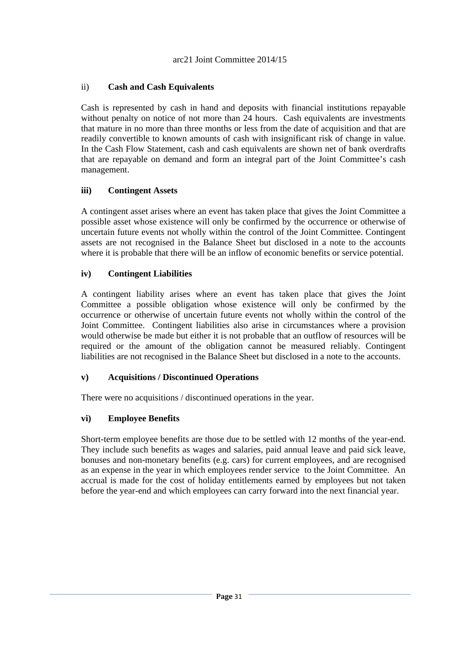# ii) **Cash and Cash Equivalents**

Cash is represented by cash in hand and deposits with financial institutions repayable without penalty on notice of not more than 24 hours. Cash equivalents are investments that mature in no more than three months or less from the date of acquisition and that are readily convertible to known amounts of cash with insignificant risk of change in value. In the Cash Flow Statement, cash and cash equivalents are shown net of bank overdrafts that are repayable on demand and form an integral part of the Joint Committee's cash management.

# **iii) Contingent Assets**

A contingent asset arises where an event has taken place that gives the Joint Committee a possible asset whose existence will only be confirmed by the occurrence or otherwise of uncertain future events not wholly within the control of the Joint Committee. Contingent assets are not recognised in the Balance Sheet but disclosed in a note to the accounts where it is probable that there will be an inflow of economic benefits or service potential.

# **iv) Contingent Liabilities**

A contingent liability arises where an event has taken place that gives the Joint Committee a possible obligation whose existence will only be confirmed by the occurrence or otherwise of uncertain future events not wholly within the control of the Joint Committee. Contingent liabilities also arise in circumstances where a provision would otherwise be made but either it is not probable that an outflow of resources will be required or the amount of the obligation cannot be measured reliably. Contingent liabilities are not recognised in the Balance Sheet but disclosed in a note to the accounts.

# **v) Acquisitions / Discontinued Operations**

There were no acquisitions / discontinued operations in the year.

# **vi) Employee Benefits**

Short-term employee benefits are those due to be settled with 12 months of the year-end. They include such benefits as wages and salaries, paid annual leave and paid sick leave, bonuses and non-monetary benefits (e.g. cars) for current employees, and are recognised as an expense in the year in which employees render service to the Joint Committee. An accrual is made for the cost of holiday entitlements earned by employees but not taken before the year-end and which employees can carry forward into the next financial year.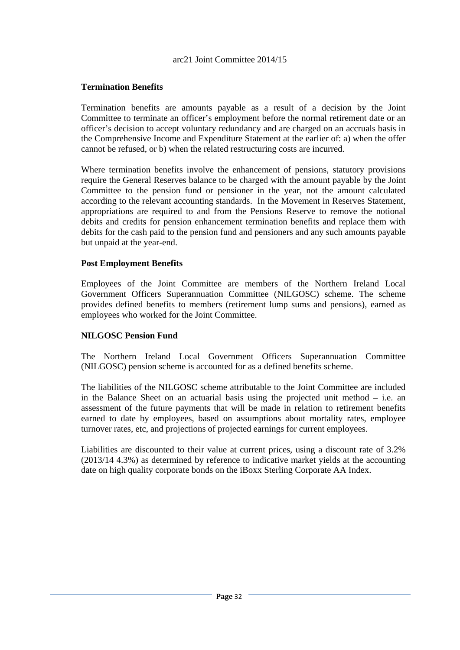# **Termination Benefits**

Termination benefits are amounts payable as a result of a decision by the Joint Committee to terminate an officer's employment before the normal retirement date or an officer's decision to accept voluntary redundancy and are charged on an accruals basis in the Comprehensive Income and Expenditure Statement at the earlier of: a) when the offer cannot be refused, or b) when the related restructuring costs are incurred.

Where termination benefits involve the enhancement of pensions, statutory provisions require the General Reserves balance to be charged with the amount payable by the Joint Committee to the pension fund or pensioner in the year, not the amount calculated according to the relevant accounting standards. In the Movement in Reserves Statement, appropriations are required to and from the Pensions Reserve to remove the notional debits and credits for pension enhancement termination benefits and replace them with debits for the cash paid to the pension fund and pensioners and any such amounts payable but unpaid at the year-end.

#### **Post Employment Benefits**

Employees of the Joint Committee are members of the Northern Ireland Local Government Officers Superannuation Committee (NILGOSC) scheme. The scheme provides defined benefits to members (retirement lump sums and pensions), earned as employees who worked for the Joint Committee.

# **NILGOSC Pension Fund**

The Northern Ireland Local Government Officers Superannuation Committee (NILGOSC) pension scheme is accounted for as a defined benefits scheme.

The liabilities of the NILGOSC scheme attributable to the Joint Committee are included in the Balance Sheet on an actuarial basis using the projected unit method – i.e. an assessment of the future payments that will be made in relation to retirement benefits earned to date by employees, based on assumptions about mortality rates, employee turnover rates, etc, and projections of projected earnings for current employees.

Liabilities are discounted to their value at current prices, using a discount rate of 3.2% (2013/14 4.3%) as determined by reference to indicative market yields at the accounting date on high quality corporate bonds on the iBoxx Sterling Corporate AA Index.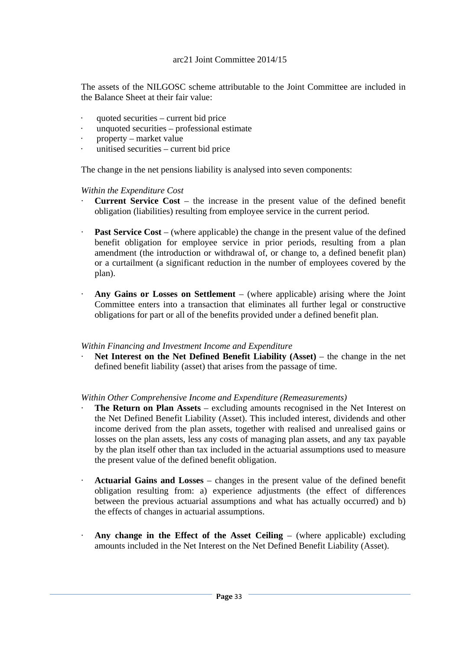The assets of the NILGOSC scheme attributable to the Joint Committee are included in the Balance Sheet at their fair value:

- quoted securities current bid price
- · unquoted securities professional estimate
- property market value
- · unitised securities current bid price

The change in the net pensions liability is analysed into seven components:

*Within the Expenditure Cost* 

- · **Current Service Cost** the increase in the present value of the defined benefit obligation (liabilities) resulting from employee service in the current period.
- **Past Service Cost** (where applicable) the change in the present value of the defined benefit obligation for employee service in prior periods, resulting from a plan amendment (the introduction or withdrawal of, or change to, a defined benefit plan) or a curtailment (a significant reduction in the number of employees covered by the plan).
- · **Any Gains or Losses on Settlement** (where applicable) arising where the Joint Committee enters into a transaction that eliminates all further legal or constructive obligations for part or all of the benefits provided under a defined benefit plan.

#### *Within Financing and Investment Income and Expenditure*

Net Interest on the Net Defined Benefit Liability (Asset) – the change in the net defined benefit liability (asset) that arises from the passage of time.

*Within Other Comprehensive Income and Expenditure (Remeasurements)* 

- **The Return on Plan Assets** excluding amounts recognised in the Net Interest on the Net Defined Benefit Liability (Asset). This included interest, dividends and other income derived from the plan assets, together with realised and unrealised gains or losses on the plan assets, less any costs of managing plan assets, and any tax payable by the plan itself other than tax included in the actuarial assumptions used to measure the present value of the defined benefit obligation.
- · **Actuarial Gains and Losses** changes in the present value of the defined benefit obligation resulting from: a) experience adjustments (the effect of differences between the previous actuarial assumptions and what has actually occurred) and b) the effects of changes in actuarial assumptions.
- · **Any change in the Effect of the Asset Ceiling**  (where applicable) excluding amounts included in the Net Interest on the Net Defined Benefit Liability (Asset).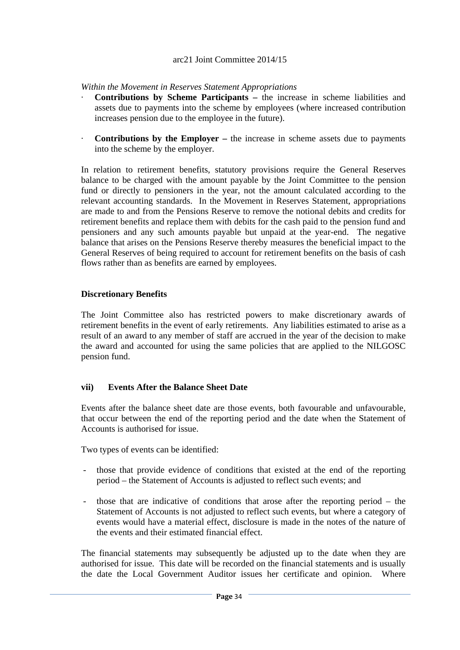*Within the Movement in Reserves Statement Appropriations* 

- · **Contributions by Scheme Participants** the increase in scheme liabilities and assets due to payments into the scheme by employees (where increased contribution increases pension due to the employee in the future).
- **Contributions by the Employer –** the increase in scheme assets due to payments into the scheme by the employer.

In relation to retirement benefits, statutory provisions require the General Reserves balance to be charged with the amount payable by the Joint Committee to the pension fund or directly to pensioners in the year, not the amount calculated according to the relevant accounting standards. In the Movement in Reserves Statement, appropriations are made to and from the Pensions Reserve to remove the notional debits and credits for retirement benefits and replace them with debits for the cash paid to the pension fund and pensioners and any such amounts payable but unpaid at the year-end. The negative balance that arises on the Pensions Reserve thereby measures the beneficial impact to the General Reserves of being required to account for retirement benefits on the basis of cash flows rather than as benefits are earned by employees.

# **Discretionary Benefits**

The Joint Committee also has restricted powers to make discretionary awards of retirement benefits in the event of early retirements. Any liabilities estimated to arise as a result of an award to any member of staff are accrued in the year of the decision to make the award and accounted for using the same policies that are applied to the NILGOSC pension fund.

# **vii) Events After the Balance Sheet Date**

Events after the balance sheet date are those events, both favourable and unfavourable, that occur between the end of the reporting period and the date when the Statement of Accounts is authorised for issue.

Two types of events can be identified:

- those that provide evidence of conditions that existed at the end of the reporting period – the Statement of Accounts is adjusted to reflect such events; and
- those that are indicative of conditions that arose after the reporting period the Statement of Accounts is not adjusted to reflect such events, but where a category of events would have a material effect, disclosure is made in the notes of the nature of the events and their estimated financial effect.

The financial statements may subsequently be adjusted up to the date when they are authorised for issue. This date will be recorded on the financial statements and is usually the date the Local Government Auditor issues her certificate and opinion. Where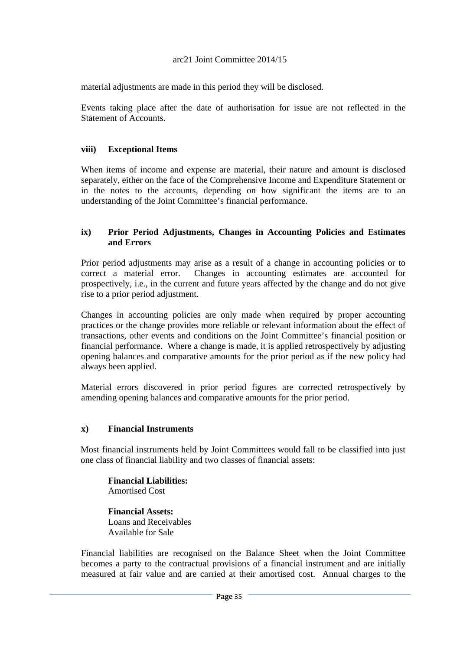material adjustments are made in this period they will be disclosed.

Events taking place after the date of authorisation for issue are not reflected in the Statement of Accounts.

### **viii) Exceptional Items**

When items of income and expense are material, their nature and amount is disclosed separately, either on the face of the Comprehensive Income and Expenditure Statement or in the notes to the accounts, depending on how significant the items are to an understanding of the Joint Committee's financial performance.

### **ix) Prior Period Adjustments, Changes in Accounting Policies and Estimates and Errors**

Prior period adjustments may arise as a result of a change in accounting policies or to correct a material error. Changes in accounting estimates are accounted for prospectively, i.e., in the current and future years affected by the change and do not give rise to a prior period adjustment.

Changes in accounting policies are only made when required by proper accounting practices or the change provides more reliable or relevant information about the effect of transactions, other events and conditions on the Joint Committee's financial position or financial performance. Where a change is made, it is applied retrospectively by adjusting opening balances and comparative amounts for the prior period as if the new policy had always been applied.

Material errors discovered in prior period figures are corrected retrospectively by amending opening balances and comparative amounts for the prior period.

### **x) Financial Instruments**

Most financial instruments held by Joint Committees would fall to be classified into just one class of financial liability and two classes of financial assets:

**Financial Liabilities:**  Amortised Cost

**Financial Assets:**  Loans and Receivables Available for Sale

Financial liabilities are recognised on the Balance Sheet when the Joint Committee becomes a party to the contractual provisions of a financial instrument and are initially measured at fair value and are carried at their amortised cost. Annual charges to the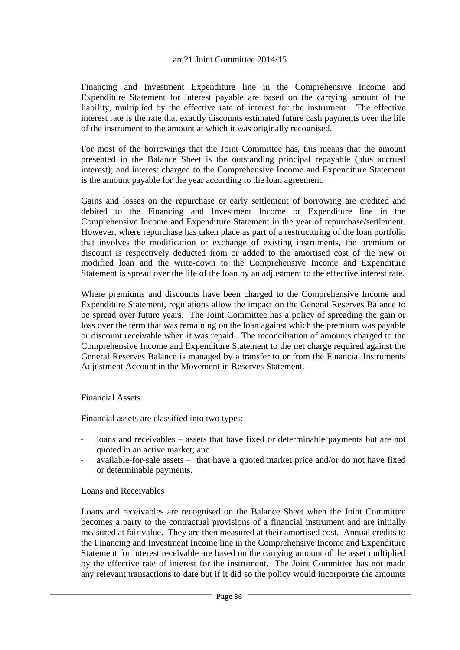Financing and Investment Expenditure line in the Comprehensive Income and Expenditure Statement for interest payable are based on the carrying amount of the liability, multiplied by the effective rate of interest for the instrument. The effective interest rate is the rate that exactly discounts estimated future cash payments over the life of the instrument to the amount at which it was originally recognised.

For most of the borrowings that the Joint Committee has, this means that the amount presented in the Balance Sheet is the outstanding principal repayable (plus accrued interest); and interest charged to the Comprehensive Income and Expenditure Statement is the amount payable for the year according to the loan agreement.

Gains and losses on the repurchase or early settlement of borrowing are credited and debited to the Financing and Investment Income or Expenditure line in the Comprehensive Income and Expenditure Statement in the year of repurchase/settlement. However, where repurchase has taken place as part of a restructuring of the loan portfolio that involves the modification or exchange of existing instruments, the premium or discount is respectively deducted from or added to the amortised cost of the new or modified loan and the write-down to the Comprehensive Income and Expenditure Statement is spread over the life of the loan by an adjustment to the effective interest rate.

Where premiums and discounts have been charged to the Comprehensive Income and Expenditure Statement, regulations allow the impact on the General Reserves Balance to be spread over future years. The Joint Committee has a policy of spreading the gain or loss over the term that was remaining on the loan against which the premium was payable or discount receivable when it was repaid. The reconciliation of amounts charged to the Comprehensive Income and Expenditure Statement to the net charge required against the General Reserves Balance is managed by a transfer to or from the Financial Instruments Adjustment Account in the Movement in Reserves Statement.

### Financial Assets

Financial assets are classified into two types:

- loans and receivables assets that have fixed or determinable payments but are not quoted in an active market; and
- available-for-sale assets that have a quoted market price and/or do not have fixed or determinable payments.

### Loans and Receivables

Loans and receivables are recognised on the Balance Sheet when the Joint Committee becomes a party to the contractual provisions of a financial instrument and are initially measured at fair value. They are then measured at their amortised cost. Annual credits to the Financing and Investment Income line in the Comprehensive Income and Expenditure Statement for interest receivable are based on the carrying amount of the asset multiplied by the effective rate of interest for the instrument. The Joint Committee has not made any relevant transactions to date but if it did so the policy would incorporate the amounts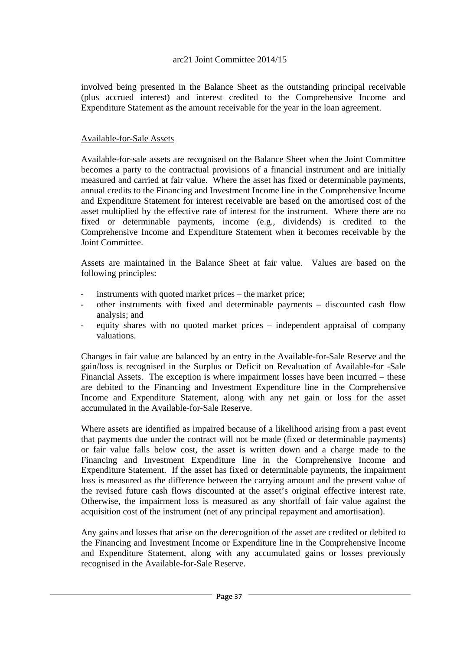involved being presented in the Balance Sheet as the outstanding principal receivable (plus accrued interest) and interest credited to the Comprehensive Income and Expenditure Statement as the amount receivable for the year in the loan agreement.

### Available-for-Sale Assets

Available-for-sale assets are recognised on the Balance Sheet when the Joint Committee becomes a party to the contractual provisions of a financial instrument and are initially measured and carried at fair value. Where the asset has fixed or determinable payments, annual credits to the Financing and Investment Income line in the Comprehensive Income and Expenditure Statement for interest receivable are based on the amortised cost of the asset multiplied by the effective rate of interest for the instrument. Where there are no fixed or determinable payments, income (e.g., dividends) is credited to the Comprehensive Income and Expenditure Statement when it becomes receivable by the Joint Committee.

Assets are maintained in the Balance Sheet at fair value. Values are based on the following principles:

- instruments with quoted market prices the market price:
- other instruments with fixed and determinable payments discounted cash flow analysis; and
- equity shares with no quoted market prices independent appraisal of company valuations.

Changes in fair value are balanced by an entry in the Available-for-Sale Reserve and the gain/loss is recognised in the Surplus or Deficit on Revaluation of Available-for -Sale Financial Assets. The exception is where impairment losses have been incurred – these are debited to the Financing and Investment Expenditure line in the Comprehensive Income and Expenditure Statement, along with any net gain or loss for the asset accumulated in the Available-for-Sale Reserve.

Where assets are identified as impaired because of a likelihood arising from a past event that payments due under the contract will not be made (fixed or determinable payments) or fair value falls below cost, the asset is written down and a charge made to the Financing and Investment Expenditure line in the Comprehensive Income and Expenditure Statement. If the asset has fixed or determinable payments, the impairment loss is measured as the difference between the carrying amount and the present value of the revised future cash flows discounted at the asset's original effective interest rate. Otherwise, the impairment loss is measured as any shortfall of fair value against the acquisition cost of the instrument (net of any principal repayment and amortisation).

Any gains and losses that arise on the derecognition of the asset are credited or debited to the Financing and Investment Income or Expenditure line in the Comprehensive Income and Expenditure Statement, along with any accumulated gains or losses previously recognised in the Available-for-Sale Reserve.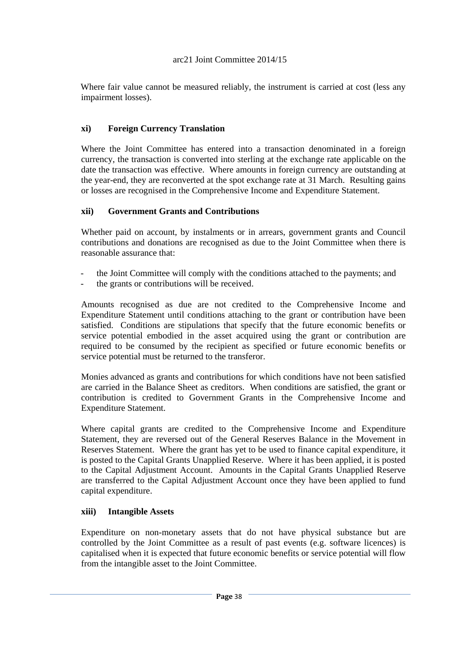Where fair value cannot be measured reliably, the instrument is carried at cost (less any impairment losses).

## **xi) Foreign Currency Translation**

Where the Joint Committee has entered into a transaction denominated in a foreign currency, the transaction is converted into sterling at the exchange rate applicable on the date the transaction was effective. Where amounts in foreign currency are outstanding at the year-end, they are reconverted at the spot exchange rate at 31 March. Resulting gains or losses are recognised in the Comprehensive Income and Expenditure Statement.

### **xii) Government Grants and Contributions**

Whether paid on account, by instalments or in arrears, government grants and Council contributions and donations are recognised as due to the Joint Committee when there is reasonable assurance that:

- the Joint Committee will comply with the conditions attached to the payments; and
- the grants or contributions will be received.

Amounts recognised as due are not credited to the Comprehensive Income and Expenditure Statement until conditions attaching to the grant or contribution have been satisfied. Conditions are stipulations that specify that the future economic benefits or service potential embodied in the asset acquired using the grant or contribution are required to be consumed by the recipient as specified or future economic benefits or service potential must be returned to the transferor.

Monies advanced as grants and contributions for which conditions have not been satisfied are carried in the Balance Sheet as creditors. When conditions are satisfied, the grant or contribution is credited to Government Grants in the Comprehensive Income and Expenditure Statement.

Where capital grants are credited to the Comprehensive Income and Expenditure Statement, they are reversed out of the General Reserves Balance in the Movement in Reserves Statement. Where the grant has yet to be used to finance capital expenditure, it is posted to the Capital Grants Unapplied Reserve. Where it has been applied, it is posted to the Capital Adjustment Account. Amounts in the Capital Grants Unapplied Reserve are transferred to the Capital Adjustment Account once they have been applied to fund capital expenditure.

### **xiii) Intangible Assets**

Expenditure on non-monetary assets that do not have physical substance but are controlled by the Joint Committee as a result of past events (e.g. software licences) is capitalised when it is expected that future economic benefits or service potential will flow from the intangible asset to the Joint Committee.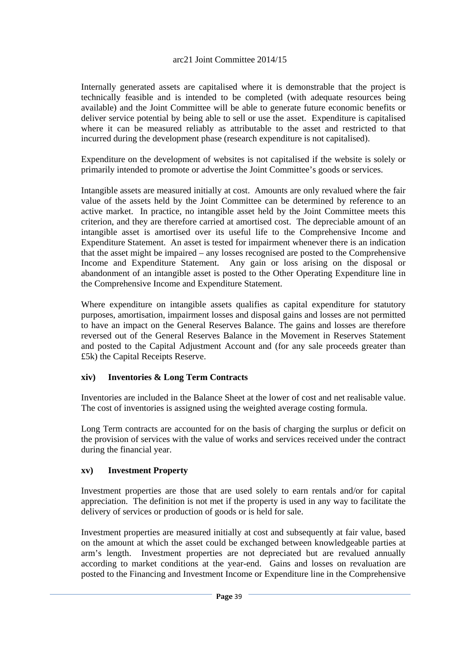Internally generated assets are capitalised where it is demonstrable that the project is technically feasible and is intended to be completed (with adequate resources being available) and the Joint Committee will be able to generate future economic benefits or deliver service potential by being able to sell or use the asset. Expenditure is capitalised where it can be measured reliably as attributable to the asset and restricted to that incurred during the development phase (research expenditure is not capitalised).

Expenditure on the development of websites is not capitalised if the website is solely or primarily intended to promote or advertise the Joint Committee's goods or services.

Intangible assets are measured initially at cost. Amounts are only revalued where the fair value of the assets held by the Joint Committee can be determined by reference to an active market. In practice, no intangible asset held by the Joint Committee meets this criterion, and they are therefore carried at amortised cost. The depreciable amount of an intangible asset is amortised over its useful life to the Comprehensive Income and Expenditure Statement. An asset is tested for impairment whenever there is an indication that the asset might be impaired – any losses recognised are posted to the Comprehensive Income and Expenditure Statement. Any gain or loss arising on the disposal or abandonment of an intangible asset is posted to the Other Operating Expenditure line in the Comprehensive Income and Expenditure Statement.

Where expenditure on intangible assets qualifies as capital expenditure for statutory purposes, amortisation, impairment losses and disposal gains and losses are not permitted to have an impact on the General Reserves Balance. The gains and losses are therefore reversed out of the General Reserves Balance in the Movement in Reserves Statement and posted to the Capital Adjustment Account and (for any sale proceeds greater than £5k) the Capital Receipts Reserve.

## **xiv) Inventories & Long Term Contracts**

Inventories are included in the Balance Sheet at the lower of cost and net realisable value. The cost of inventories is assigned using the weighted average costing formula.

Long Term contracts are accounted for on the basis of charging the surplus or deficit on the provision of services with the value of works and services received under the contract during the financial year.

## **xv) Investment Property**

Investment properties are those that are used solely to earn rentals and/or for capital appreciation. The definition is not met if the property is used in any way to facilitate the delivery of services or production of goods or is held for sale.

Investment properties are measured initially at cost and subsequently at fair value, based on the amount at which the asset could be exchanged between knowledgeable parties at arm's length. Investment properties are not depreciated but are revalued annually according to market conditions at the year-end. Gains and losses on revaluation are posted to the Financing and Investment Income or Expenditure line in the Comprehensive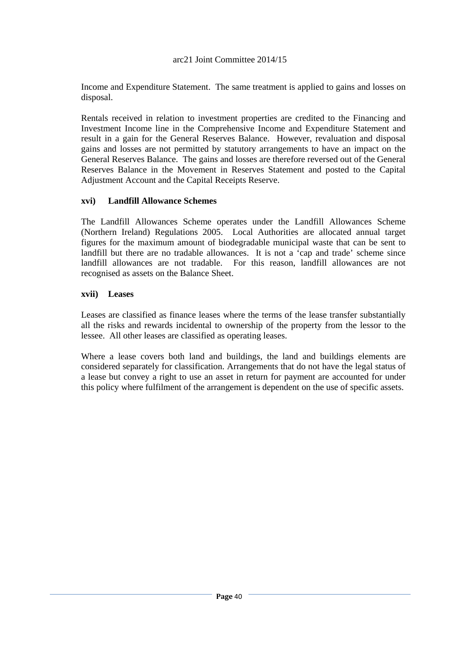Income and Expenditure Statement. The same treatment is applied to gains and losses on disposal.

Rentals received in relation to investment properties are credited to the Financing and Investment Income line in the Comprehensive Income and Expenditure Statement and result in a gain for the General Reserves Balance. However, revaluation and disposal gains and losses are not permitted by statutory arrangements to have an impact on the General Reserves Balance. The gains and losses are therefore reversed out of the General Reserves Balance in the Movement in Reserves Statement and posted to the Capital Adjustment Account and the Capital Receipts Reserve.

## **xvi) Landfill Allowance Schemes**

The Landfill Allowances Scheme operates under the Landfill Allowances Scheme (Northern Ireland) Regulations 2005. Local Authorities are allocated annual target figures for the maximum amount of biodegradable municipal waste that can be sent to landfill but there are no tradable allowances. It is not a 'cap and trade' scheme since landfill allowances are not tradable. For this reason, landfill allowances are not recognised as assets on the Balance Sheet.

### **xvii) Leases**

Leases are classified as finance leases where the terms of the lease transfer substantially all the risks and rewards incidental to ownership of the property from the lessor to the lessee. All other leases are classified as operating leases.

Where a lease covers both land and buildings, the land and buildings elements are considered separately for classification. Arrangements that do not have the legal status of a lease but convey a right to use an asset in return for payment are accounted for under this policy where fulfilment of the arrangement is dependent on the use of specific assets.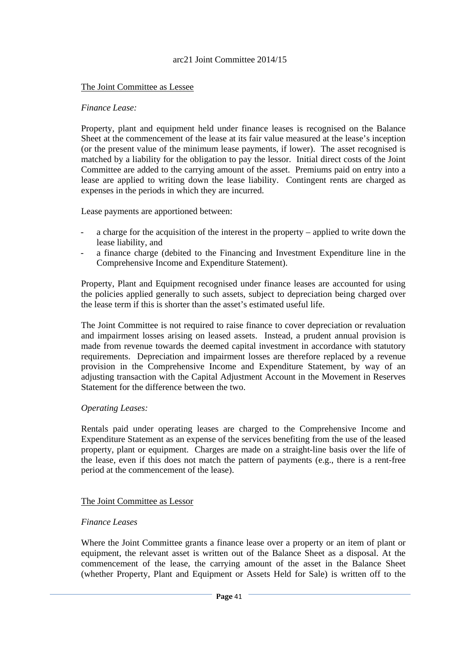### The Joint Committee as Lessee

#### *Finance Lease:*

Property, plant and equipment held under finance leases is recognised on the Balance Sheet at the commencement of the lease at its fair value measured at the lease's inception (or the present value of the minimum lease payments, if lower). The asset recognised is matched by a liability for the obligation to pay the lessor. Initial direct costs of the Joint Committee are added to the carrying amount of the asset. Premiums paid on entry into a lease are applied to writing down the lease liability. Contingent rents are charged as expenses in the periods in which they are incurred.

Lease payments are apportioned between:

- a charge for the acquisition of the interest in the property applied to write down the lease liability, and
- a finance charge (debited to the Financing and Investment Expenditure line in the Comprehensive Income and Expenditure Statement).

Property, Plant and Equipment recognised under finance leases are accounted for using the policies applied generally to such assets, subject to depreciation being charged over the lease term if this is shorter than the asset's estimated useful life.

The Joint Committee is not required to raise finance to cover depreciation or revaluation and impairment losses arising on leased assets. Instead, a prudent annual provision is made from revenue towards the deemed capital investment in accordance with statutory requirements. Depreciation and impairment losses are therefore replaced by a revenue provision in the Comprehensive Income and Expenditure Statement, by way of an adjusting transaction with the Capital Adjustment Account in the Movement in Reserves Statement for the difference between the two.

### *Operating Leases:*

Rentals paid under operating leases are charged to the Comprehensive Income and Expenditure Statement as an expense of the services benefiting from the use of the leased property, plant or equipment. Charges are made on a straight-line basis over the life of the lease, even if this does not match the pattern of payments (e.g., there is a rent-free period at the commencement of the lease).

### The Joint Committee as Lessor

### *Finance Leases*

Where the Joint Committee grants a finance lease over a property or an item of plant or equipment, the relevant asset is written out of the Balance Sheet as a disposal. At the commencement of the lease, the carrying amount of the asset in the Balance Sheet (whether Property, Plant and Equipment or Assets Held for Sale) is written off to the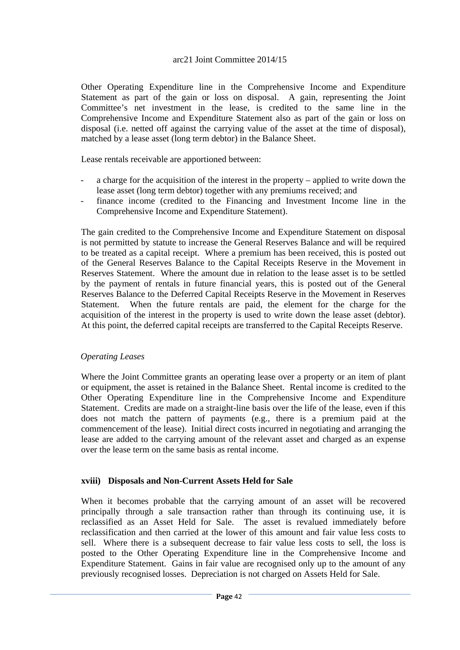Other Operating Expenditure line in the Comprehensive Income and Expenditure Statement as part of the gain or loss on disposal. A gain, representing the Joint Committee's net investment in the lease, is credited to the same line in the Comprehensive Income and Expenditure Statement also as part of the gain or loss on disposal (i.e. netted off against the carrying value of the asset at the time of disposal), matched by a lease asset (long term debtor) in the Balance Sheet.

Lease rentals receivable are apportioned between:

- a charge for the acquisition of the interest in the property applied to write down the lease asset (long term debtor) together with any premiums received; and
- finance income (credited to the Financing and Investment Income line in the Comprehensive Income and Expenditure Statement).

The gain credited to the Comprehensive Income and Expenditure Statement on disposal is not permitted by statute to increase the General Reserves Balance and will be required to be treated as a capital receipt. Where a premium has been received, this is posted out of the General Reserves Balance to the Capital Receipts Reserve in the Movement in Reserves Statement. Where the amount due in relation to the lease asset is to be settled by the payment of rentals in future financial years, this is posted out of the General Reserves Balance to the Deferred Capital Receipts Reserve in the Movement in Reserves Statement. When the future rentals are paid, the element for the charge for the acquisition of the interest in the property is used to write down the lease asset (debtor). At this point, the deferred capital receipts are transferred to the Capital Receipts Reserve.

### *Operating Leases*

Where the Joint Committee grants an operating lease over a property or an item of plant or equipment, the asset is retained in the Balance Sheet. Rental income is credited to the Other Operating Expenditure line in the Comprehensive Income and Expenditure Statement. Credits are made on a straight-line basis over the life of the lease, even if this does not match the pattern of payments (e.g., there is a premium paid at the commencement of the lease). Initial direct costs incurred in negotiating and arranging the lease are added to the carrying amount of the relevant asset and charged as an expense over the lease term on the same basis as rental income.

## **xviii) Disposals and Non-Current Assets Held for Sale**

When it becomes probable that the carrying amount of an asset will be recovered principally through a sale transaction rather than through its continuing use, it is reclassified as an Asset Held for Sale. The asset is revalued immediately before reclassification and then carried at the lower of this amount and fair value less costs to sell. Where there is a subsequent decrease to fair value less costs to sell, the loss is posted to the Other Operating Expenditure line in the Comprehensive Income and Expenditure Statement. Gains in fair value are recognised only up to the amount of any previously recognised losses. Depreciation is not charged on Assets Held for Sale.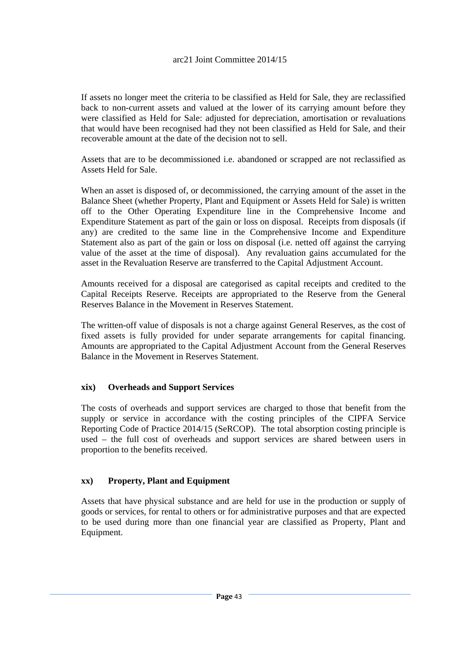If assets no longer meet the criteria to be classified as Held for Sale, they are reclassified back to non-current assets and valued at the lower of its carrying amount before they were classified as Held for Sale: adjusted for depreciation, amortisation or revaluations that would have been recognised had they not been classified as Held for Sale, and their recoverable amount at the date of the decision not to sell.

Assets that are to be decommissioned i.e. abandoned or scrapped are not reclassified as Assets Held for Sale.

When an asset is disposed of, or decommissioned, the carrying amount of the asset in the Balance Sheet (whether Property, Plant and Equipment or Assets Held for Sale) is written off to the Other Operating Expenditure line in the Comprehensive Income and Expenditure Statement as part of the gain or loss on disposal. Receipts from disposals (if any) are credited to the same line in the Comprehensive Income and Expenditure Statement also as part of the gain or loss on disposal (i.e. netted off against the carrying value of the asset at the time of disposal). Any revaluation gains accumulated for the asset in the Revaluation Reserve are transferred to the Capital Adjustment Account.

Amounts received for a disposal are categorised as capital receipts and credited to the Capital Receipts Reserve. Receipts are appropriated to the Reserve from the General Reserves Balance in the Movement in Reserves Statement.

The written-off value of disposals is not a charge against General Reserves, as the cost of fixed assets is fully provided for under separate arrangements for capital financing. Amounts are appropriated to the Capital Adjustment Account from the General Reserves Balance in the Movement in Reserves Statement.

## **xix) Overheads and Support Services**

The costs of overheads and support services are charged to those that benefit from the supply or service in accordance with the costing principles of the CIPFA Service Reporting Code of Practice 2014/15 (SeRCOP). The total absorption costing principle is used – the full cost of overheads and support services are shared between users in proportion to the benefits received.

## **xx) Property, Plant and Equipment**

Assets that have physical substance and are held for use in the production or supply of goods or services, for rental to others or for administrative purposes and that are expected to be used during more than one financial year are classified as Property, Plant and Equipment.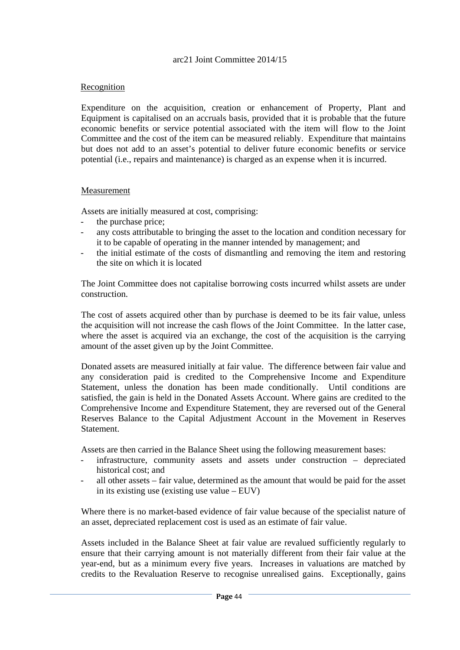## Recognition

Expenditure on the acquisition, creation or enhancement of Property, Plant and Equipment is capitalised on an accruals basis, provided that it is probable that the future economic benefits or service potential associated with the item will flow to the Joint Committee and the cost of the item can be measured reliably. Expenditure that maintains but does not add to an asset's potential to deliver future economic benefits or service potential (i.e., repairs and maintenance) is charged as an expense when it is incurred.

### Measurement

Assets are initially measured at cost, comprising:

- the purchase price;
- any costs attributable to bringing the asset to the location and condition necessary for it to be capable of operating in the manner intended by management; and
- the initial estimate of the costs of dismantling and removing the item and restoring the site on which it is located

The Joint Committee does not capitalise borrowing costs incurred whilst assets are under construction.

The cost of assets acquired other than by purchase is deemed to be its fair value, unless the acquisition will not increase the cash flows of the Joint Committee. In the latter case, where the asset is acquired via an exchange, the cost of the acquisition is the carrying amount of the asset given up by the Joint Committee.

Donated assets are measured initially at fair value. The difference between fair value and any consideration paid is credited to the Comprehensive Income and Expenditure Statement, unless the donation has been made conditionally. Until conditions are satisfied, the gain is held in the Donated Assets Account. Where gains are credited to the Comprehensive Income and Expenditure Statement, they are reversed out of the General Reserves Balance to the Capital Adjustment Account in the Movement in Reserves **Statement** 

Assets are then carried in the Balance Sheet using the following measurement bases:

- infrastructure, community assets and assets under construction depreciated historical cost; and
- all other assets  $-$  fair value, determined as the amount that would be paid for the asset in its existing use (existing use value – EUV)

Where there is no market-based evidence of fair value because of the specialist nature of an asset, depreciated replacement cost is used as an estimate of fair value.

Assets included in the Balance Sheet at fair value are revalued sufficiently regularly to ensure that their carrying amount is not materially different from their fair value at the year-end, but as a minimum every five years. Increases in valuations are matched by credits to the Revaluation Reserve to recognise unrealised gains. Exceptionally, gains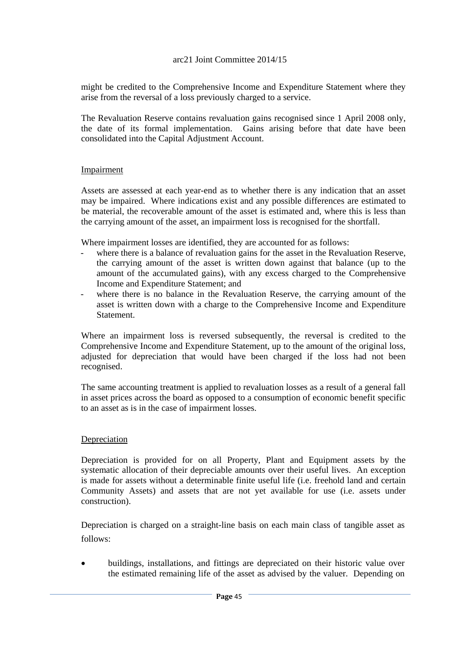might be credited to the Comprehensive Income and Expenditure Statement where they arise from the reversal of a loss previously charged to a service.

The Revaluation Reserve contains revaluation gains recognised since 1 April 2008 only, the date of its formal implementation. Gains arising before that date have been consolidated into the Capital Adjustment Account.

## Impairment

Assets are assessed at each year-end as to whether there is any indication that an asset may be impaired. Where indications exist and any possible differences are estimated to be material, the recoverable amount of the asset is estimated and, where this is less than the carrying amount of the asset, an impairment loss is recognised for the shortfall.

Where impairment losses are identified, they are accounted for as follows:

- where there is a balance of revaluation gains for the asset in the Revaluation Reserve, the carrying amount of the asset is written down against that balance (up to the amount of the accumulated gains), with any excess charged to the Comprehensive Income and Expenditure Statement; and
- where there is no balance in the Revaluation Reserve, the carrying amount of the asset is written down with a charge to the Comprehensive Income and Expenditure Statement.

Where an impairment loss is reversed subsequently, the reversal is credited to the Comprehensive Income and Expenditure Statement, up to the amount of the original loss, adjusted for depreciation that would have been charged if the loss had not been recognised.

The same accounting treatment is applied to revaluation losses as a result of a general fall in asset prices across the board as opposed to a consumption of economic benefit specific to an asset as is in the case of impairment losses.

### Depreciation

Depreciation is provided for on all Property, Plant and Equipment assets by the systematic allocation of their depreciable amounts over their useful lives. An exception is made for assets without a determinable finite useful life (i.e. freehold land and certain Community Assets) and assets that are not yet available for use (i.e. assets under construction).

Depreciation is charged on a straight-line basis on each main class of tangible asset as follows:

 buildings, installations, and fittings are depreciated on their historic value over the estimated remaining life of the asset as advised by the valuer. Depending on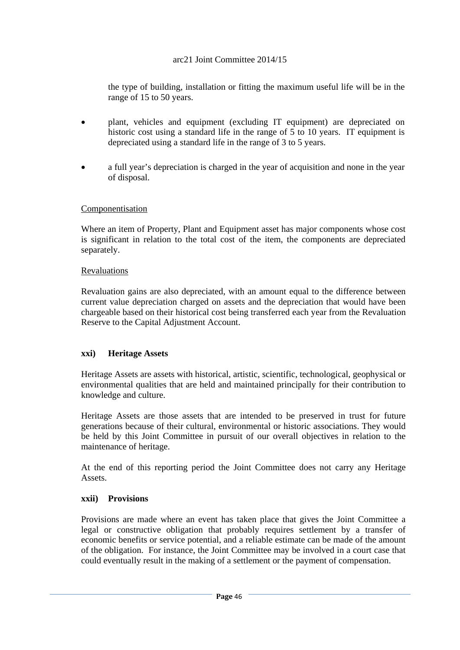the type of building, installation or fitting the maximum useful life will be in the range of 15 to 50 years.

- plant, vehicles and equipment (excluding IT equipment) are depreciated on historic cost using a standard life in the range of 5 to 10 years. IT equipment is depreciated using a standard life in the range of 3 to 5 years.
- a full year's depreciation is charged in the year of acquisition and none in the year of disposal.

## Componentisation

Where an item of Property, Plant and Equipment asset has major components whose cost is significant in relation to the total cost of the item, the components are depreciated separately.

## Revaluations

Revaluation gains are also depreciated, with an amount equal to the difference between current value depreciation charged on assets and the depreciation that would have been chargeable based on their historical cost being transferred each year from the Revaluation Reserve to the Capital Adjustment Account.

## **xxi) Heritage Assets**

Heritage Assets are assets with historical, artistic, scientific, technological, geophysical or environmental qualities that are held and maintained principally for their contribution to knowledge and culture.

Heritage Assets are those assets that are intended to be preserved in trust for future generations because of their cultural, environmental or historic associations. They would be held by this Joint Committee in pursuit of our overall objectives in relation to the maintenance of heritage.

At the end of this reporting period the Joint Committee does not carry any Heritage Assets.

## **xxii) Provisions**

Provisions are made where an event has taken place that gives the Joint Committee a legal or constructive obligation that probably requires settlement by a transfer of economic benefits or service potential, and a reliable estimate can be made of the amount of the obligation. For instance, the Joint Committee may be involved in a court case that could eventually result in the making of a settlement or the payment of compensation.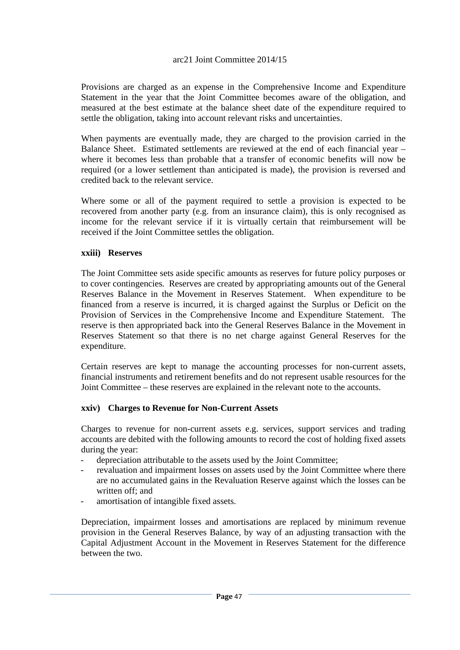Provisions are charged as an expense in the Comprehensive Income and Expenditure Statement in the year that the Joint Committee becomes aware of the obligation, and measured at the best estimate at the balance sheet date of the expenditure required to settle the obligation, taking into account relevant risks and uncertainties.

When payments are eventually made, they are charged to the provision carried in the Balance Sheet. Estimated settlements are reviewed at the end of each financial year – where it becomes less than probable that a transfer of economic benefits will now be required (or a lower settlement than anticipated is made), the provision is reversed and credited back to the relevant service.

Where some or all of the payment required to settle a provision is expected to be recovered from another party (e.g. from an insurance claim), this is only recognised as income for the relevant service if it is virtually certain that reimbursement will be received if the Joint Committee settles the obligation.

### **xxiii) Reserves**

The Joint Committee sets aside specific amounts as reserves for future policy purposes or to cover contingencies*.* Reserves are created by appropriating amounts out of the General Reserves Balance in the Movement in Reserves Statement. When expenditure to be financed from a reserve is incurred, it is charged against the Surplus or Deficit on the Provision of Services in the Comprehensive Income and Expenditure Statement. The reserve is then appropriated back into the General Reserves Balance in the Movement in Reserves Statement so that there is no net charge against General Reserves for the expenditure.

Certain reserves are kept to manage the accounting processes for non-current assets, financial instruments and retirement benefits and do not represent usable resources for the Joint Committee – these reserves are explained in the relevant note to the accounts.

### **xxiv) Charges to Revenue for Non-Current Assets**

Charges to revenue for non-current assets e.g. services, support services and trading accounts are debited with the following amounts to record the cost of holding fixed assets during the year:

- depreciation attributable to the assets used by the Joint Committee;
- revaluation and impairment losses on assets used by the Joint Committee where there are no accumulated gains in the Revaluation Reserve against which the losses can be written off; and
- amortisation of intangible fixed assets.

Depreciation, impairment losses and amortisations are replaced by minimum revenue provision in the General Reserves Balance, by way of an adjusting transaction with the Capital Adjustment Account in the Movement in Reserves Statement for the difference between the two.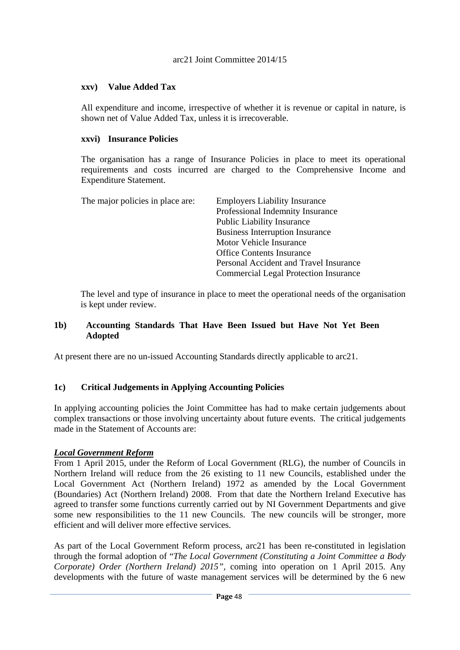## **xxv) Value Added Tax**

All expenditure and income, irrespective of whether it is revenue or capital in nature, is shown net of Value Added Tax, unless it is irrecoverable.

## **xxvi) Insurance Policies**

The organisation has a range of Insurance Policies in place to meet its operational requirements and costs incurred are charged to the Comprehensive Income and Expenditure Statement.

| The major policies in place are: | <b>Employers Liability Insurance</b>         |
|----------------------------------|----------------------------------------------|
|                                  | Professional Indemnity Insurance             |
|                                  | <b>Public Liability Insurance</b>            |
|                                  | <b>Business Interruption Insurance</b>       |
|                                  | Motor Vehicle Insurance                      |
|                                  | <b>Office Contents Insurance</b>             |
|                                  | Personal Accident and Travel Insurance       |
|                                  | <b>Commercial Legal Protection Insurance</b> |
|                                  |                                              |

The level and type of insurance in place to meet the operational needs of the organisation is kept under review.

## **1b) Accounting Standards That Have Been Issued but Have Not Yet Been Adopted**

At present there are no un-issued Accounting Standards directly applicable to arc21.

# **1c) Critical Judgements in Applying Accounting Policies**

In applying accounting policies the Joint Committee has had to make certain judgements about complex transactions or those involving uncertainty about future events. The critical judgements made in the Statement of Accounts are:

## *Local Government Reform*

From 1 April 2015, under the Reform of Local Government (RLG), the number of Councils in Northern Ireland will reduce from the 26 existing to 11 new Councils, established under the Local Government Act (Northern Ireland) 1972 as amended by the Local Government (Boundaries) Act (Northern Ireland) 2008. From that date the Northern Ireland Executive has agreed to transfer some functions currently carried out by NI Government Departments and give some new responsibilities to the 11 new Councils. The new councils will be stronger, more efficient and will deliver more effective services.

As part of the Local Government Reform process, arc21 has been re-constituted in legislation through the formal adoption of "*The Local Government (Constituting a Joint Committee a Body Corporate) Order (Northern Ireland) 2015",* coming into operation on 1 April 2015. Any developments with the future of waste management services will be determined by the 6 new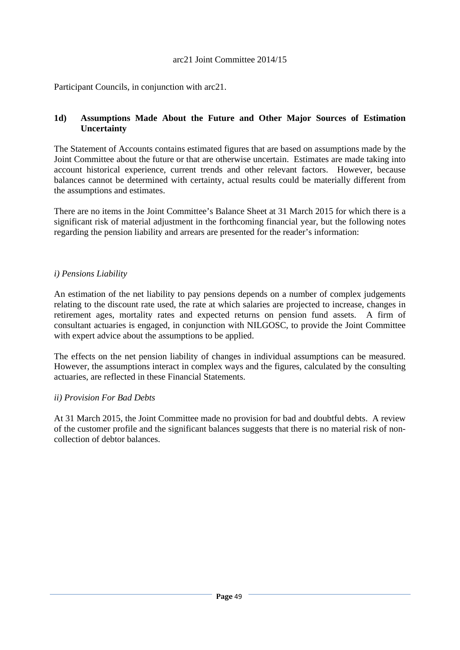Participant Councils, in conjunction with arc21.

### **1d) Assumptions Made About the Future and Other Major Sources of Estimation Uncertainty**

The Statement of Accounts contains estimated figures that are based on assumptions made by the Joint Committee about the future or that are otherwise uncertain. Estimates are made taking into account historical experience, current trends and other relevant factors. However, because balances cannot be determined with certainty, actual results could be materially different from the assumptions and estimates.

There are no items in the Joint Committee's Balance Sheet at 31 March 2015 for which there is a significant risk of material adjustment in the forthcoming financial year, but the following notes regarding the pension liability and arrears are presented for the reader's information:

### *i) Pensions Liability*

An estimation of the net liability to pay pensions depends on a number of complex judgements relating to the discount rate used, the rate at which salaries are projected to increase, changes in retirement ages, mortality rates and expected returns on pension fund assets. A firm of consultant actuaries is engaged, in conjunction with NILGOSC, to provide the Joint Committee with expert advice about the assumptions to be applied.

The effects on the net pension liability of changes in individual assumptions can be measured. However, the assumptions interact in complex ways and the figures, calculated by the consulting actuaries, are reflected in these Financial Statements.

### *ii) Provision For Bad Debts*

At 31 March 2015, the Joint Committee made no provision for bad and doubtful debts. A review of the customer profile and the significant balances suggests that there is no material risk of noncollection of debtor balances.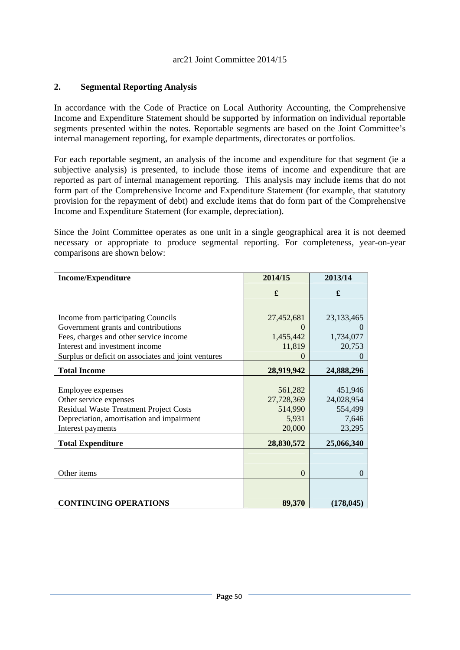### **2. Segmental Reporting Analysis**

In accordance with the Code of Practice on Local Authority Accounting, the Comprehensive Income and Expenditure Statement should be supported by information on individual reportable segments presented within the notes. Reportable segments are based on the Joint Committee's internal management reporting, for example departments, directorates or portfolios.

For each reportable segment, an analysis of the income and expenditure for that segment (ie a subjective analysis) is presented, to include those items of income and expenditure that are reported as part of internal management reporting. This analysis may include items that do not form part of the Comprehensive Income and Expenditure Statement (for example, that statutory provision for the repayment of debt) and exclude items that do form part of the Comprehensive Income and Expenditure Statement (for example, depreciation).

Since the Joint Committee operates as one unit in a single geographical area it is not deemed necessary or appropriate to produce segmental reporting. For completeness, year-on-year comparisons are shown below:

| <b>Income/Expenditure</b>                           | 2014/15    | 2013/14      |
|-----------------------------------------------------|------------|--------------|
|                                                     | £          | £            |
|                                                     |            |              |
|                                                     |            |              |
| Income from participating Councils                  | 27,452,681 | 23, 133, 465 |
| Government grants and contributions                 |            |              |
| Fees, charges and other service income              | 1,455,442  | 1,734,077    |
| Interest and investment income                      | 11,819     | 20,753       |
| Surplus or deficit on associates and joint ventures |            |              |
| <b>Total Income</b>                                 | 28,919,942 | 24,888,296   |
|                                                     |            |              |
| Employee expenses                                   | 561,282    | 451,946      |
| Other service expenses                              | 27,728,369 | 24,028,954   |
| <b>Residual Waste Treatment Project Costs</b>       | 514,990    | 554,499      |
| Depreciation, amortisation and impairment           | 5,931      | 7,646        |
| Interest payments                                   | 20,000     | 23,295       |
| <b>Total Expenditure</b>                            | 28,830,572 | 25,066,340   |
|                                                     |            |              |
| Other items                                         | $\Omega$   | $\Omega$     |
|                                                     |            |              |
| <b>CONTINUING OPERATIONS</b>                        | 89,370     | (178, 045)   |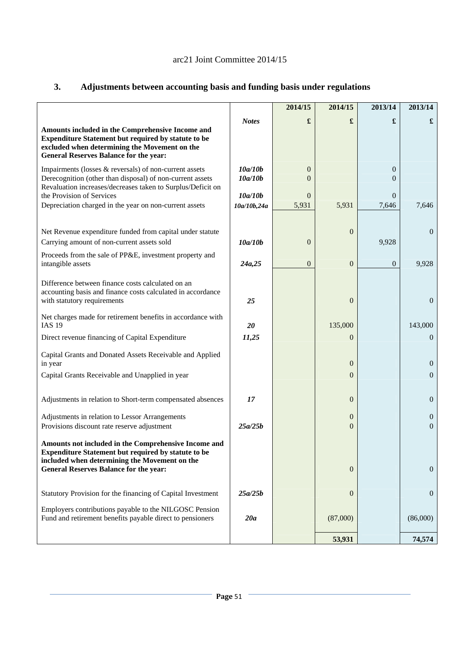|                                                                                                                                                                                                                      |                        | 2014/15                 | 2014/15                          | 2013/14          | 2013/14                      |
|----------------------------------------------------------------------------------------------------------------------------------------------------------------------------------------------------------------------|------------------------|-------------------------|----------------------------------|------------------|------------------------------|
| Amounts included in the Comprehensive Income and<br>Expenditure Statement but required by statute to be<br>excluded when determining the Movement on the<br><b>General Reserves Balance for the year:</b>            | <b>Notes</b>           | £                       | £                                | £                | £                            |
| Impairments (losses & reversals) of non-current assets<br>Derecognition (other than disposal) of non-current assets<br>Revaluation increases/decreases taken to Surplus/Deficit on                                   | 10a/10b<br>10a/10b     | $\boldsymbol{0}$<br>0   |                                  | 0<br>0           |                              |
| the Provision of Services<br>Depreciation charged in the year on non-current assets                                                                                                                                  | 10a/10b<br>10a/10b,24a | $\overline{0}$<br>5,931 | 5,931                            | 0<br>7,646       | 7,646                        |
| Net Revenue expenditure funded from capital under statute<br>Carrying amount of non-current assets sold                                                                                                              | 10a/10b                | $\overline{0}$          | $\theta$                         | 9,928            | $\mathbf{0}$                 |
| Proceeds from the sale of PP&E, investment property and<br>intangible assets                                                                                                                                         | 24a,25                 | $\boldsymbol{0}$        | $\overline{0}$                   | $\boldsymbol{0}$ | 9,928                        |
| Difference between finance costs calculated on an<br>accounting basis and finance costs calculated in accordance<br>with statutory requirements                                                                      | 25                     |                         | $\theta$                         |                  | $\overline{0}$               |
| Net charges made for retirement benefits in accordance with<br><b>IAS 19</b>                                                                                                                                         | 20                     |                         | 135,000                          |                  | 143,000                      |
| Direct revenue financing of Capital Expenditure                                                                                                                                                                      | 11,25                  |                         | $\overline{0}$                   |                  | $\overline{0}$               |
| Capital Grants and Donated Assets Receivable and Applied<br>in year                                                                                                                                                  |                        |                         | $\theta$                         |                  | $\mathbf{0}$                 |
| Capital Grants Receivable and Unapplied in year                                                                                                                                                                      |                        |                         | $\overline{0}$                   |                  | $\mathbf{0}$                 |
| Adjustments in relation to Short-term compensated absences                                                                                                                                                           | 17                     |                         | $\theta$                         |                  | $\mathbf{0}$                 |
| Adjustments in relation to Lessor Arrangements<br>Provisions discount rate reserve adjustment                                                                                                                        | 25a/25b                |                         | $\overline{0}$<br>$\overline{0}$ |                  | $\theta$<br>$\boldsymbol{0}$ |
| Amounts not included in the Comprehensive Income and<br><b>Expenditure Statement but required by statute to be</b><br>included when determining the Movement on the<br><b>General Reserves Balance for the year:</b> |                        |                         | $\boldsymbol{0}$                 |                  | $\overline{0}$               |
| Statutory Provision for the financing of Capital Investment                                                                                                                                                          | 25a/25b                |                         | $\boldsymbol{0}$                 |                  | $\mathbf{0}$                 |
| Employers contributions payable to the NILGOSC Pension<br>Fund and retirement benefits payable direct to pensioners                                                                                                  | 20a                    |                         | (87,000)                         |                  | (86,000)                     |
|                                                                                                                                                                                                                      |                        |                         | 53,931                           |                  | 74,574                       |

# **3. Adjustments between accounting basis and funding basis under regulations**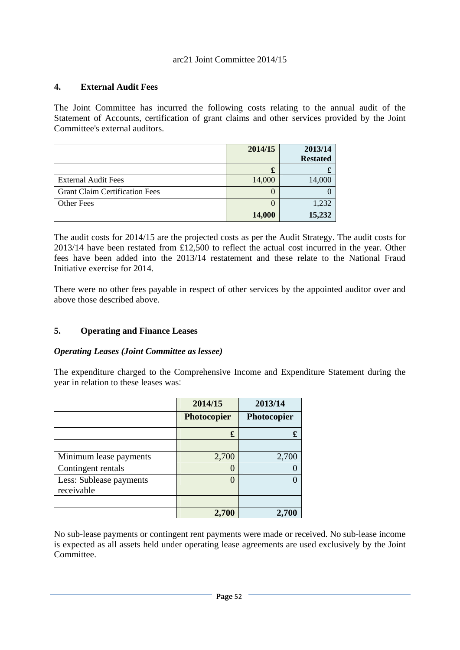## **4. External Audit Fees**

The Joint Committee has incurred the following costs relating to the annual audit of the Statement of Accounts, certification of grant claims and other services provided by the Joint Committee's external auditors.

|                                       | 2014/15 | 2013/14         |
|---------------------------------------|---------|-----------------|
|                                       |         | <b>Restated</b> |
|                                       | £       |                 |
| <b>External Audit Fees</b>            | 14,000  | 14,000          |
| <b>Grant Claim Certification Fees</b> |         |                 |
| <b>Other Fees</b>                     |         | 1,232           |
|                                       | 14,000  | 15,232          |

The audit costs for 2014/15 are the projected costs as per the Audit Strategy. The audit costs for 2013/14 have been restated from £12,500 to reflect the actual cost incurred in the year. Other fees have been added into the 2013/14 restatement and these relate to the National Fraud Initiative exercise for 2014.

There were no other fees payable in respect of other services by the appointed auditor over and above those described above.

## **5. Operating and Finance Leases**

## *Operating Leases (Joint Committee as lessee)*

The expenditure charged to the Comprehensive Income and Expenditure Statement during the year in relation to these leases was:

|                         | 2014/15          | 2013/14     |
|-------------------------|------------------|-------------|
|                         | Photocopier      | Photocopier |
|                         | £                |             |
|                         |                  |             |
| Minimum lease payments  | 2,700            | 2,700       |
| Contingent rentals      | $\overline{ }$   |             |
| Less: Sublease payments | $\left( \right)$ |             |
| receivable              |                  |             |
|                         |                  |             |
|                         | 2,700            |             |

No sub-lease payments or contingent rent payments were made or received. No sub-lease income is expected as all assets held under operating lease agreements are used exclusively by the Joint Committee.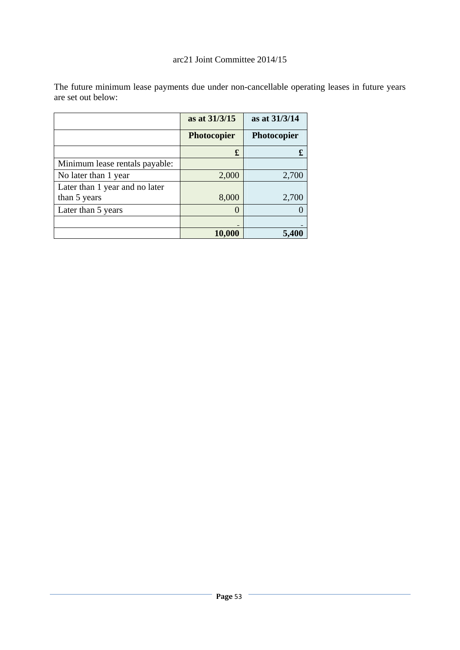|                                | as at 31/3/15      | as at 31/3/14      |
|--------------------------------|--------------------|--------------------|
|                                | <b>Photocopier</b> | <b>Photocopier</b> |
|                                | £                  | £                  |
| Minimum lease rentals payable: |                    |                    |
| No later than 1 year           | 2,000              | 2,700              |
| Later than 1 year and no later |                    |                    |
| than 5 years                   | 8,000              | 2,700              |
| Later than 5 years             | 0                  |                    |
|                                |                    |                    |
|                                | 10,000             |                    |

The future minimum lease payments due under non-cancellable operating leases in future years are set out below: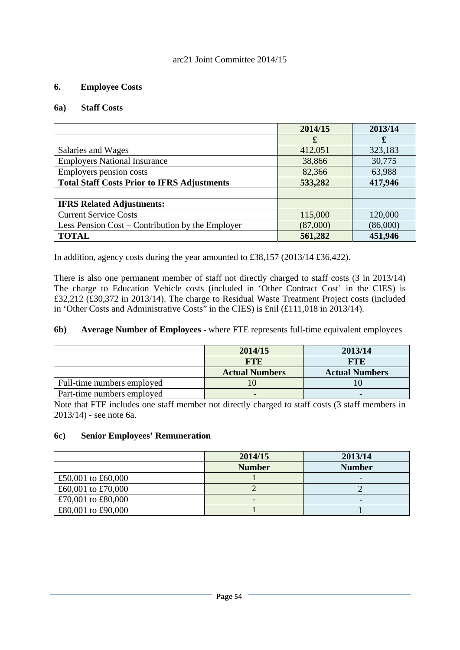### **6. Employee Costs**

### **6a) Staff Costs**

|                                                    | 2014/15  | 2013/14  |
|----------------------------------------------------|----------|----------|
|                                                    | £        | £        |
| Salaries and Wages                                 | 412,051  | 323,183  |
| <b>Employers National Insurance</b>                | 38,866   | 30,775   |
| Employers pension costs                            | 82,366   | 63,988   |
| <b>Total Staff Costs Prior to IFRS Adjustments</b> | 533,282  | 417,946  |
|                                                    |          |          |
| <b>IFRS Related Adjustments:</b>                   |          |          |
| <b>Current Service Costs</b>                       | 115,000  | 120,000  |
| Less Pension Cost – Contribution by the Employer   | (87,000) | (86,000) |
| <b>TOTAL</b>                                       | 561,282  | 451,946  |

In addition, agency costs during the year amounted to £38,157 (2013/14 £36,422).

There is also one permanent member of staff not directly charged to staff costs (3 in 2013/14) The charge to Education Vehicle costs (included in 'Other Contract Cost' in the CIES) is £32,212 (£30,372 in 2013/14). The charge to Residual Waste Treatment Project costs (included in 'Other Costs and Administrative Costs" in the CIES) is £nil (£111,018 in 2013/14).

### **6b) Average Number of Employees -** where FTE represents full-time equivalent employees

|                            | 2014/15               | 2013/14               |
|----------------------------|-----------------------|-----------------------|
|                            | <b>FTE</b>            | <b>FTE</b>            |
|                            | <b>Actual Numbers</b> | <b>Actual Numbers</b> |
| Full-time numbers employed |                       |                       |
| Part-time numbers employed |                       | $\blacksquare$        |

Note that FTE includes one staff member not directly charged to staff costs (3 staff members in 2013/14) - see note 6a.

### **6c) Senior Employees' Remuneration**

|                    | 2014/15       | 2013/14         |
|--------------------|---------------|-----------------|
|                    | <b>Number</b> | <b>Number</b>   |
| £50,001 to £60,000 |               |                 |
| £60,001 to £70,000 |               |                 |
| £70,001 to £80,000 |               | $\qquad \qquad$ |
| £80,001 to £90,000 |               |                 |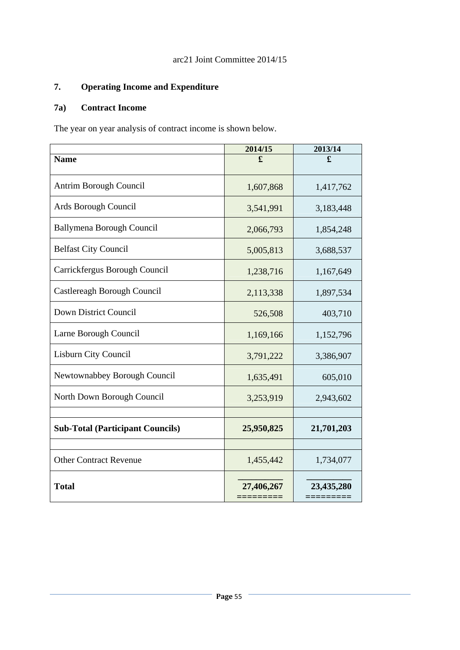# **7. Operating Income and Expenditure**

# **7a) Contract Income**

The year on year analysis of contract income is shown below.

|                                         | 2014/15    | 2013/14              |
|-----------------------------------------|------------|----------------------|
| <b>Name</b>                             | £          | £                    |
| Antrim Borough Council                  | 1,607,868  | 1,417,762            |
| Ards Borough Council                    | 3,541,991  | 3,183,448            |
| <b>Ballymena Borough Council</b>        | 2,066,793  | 1,854,248            |
| <b>Belfast City Council</b>             | 5,005,813  | 3,688,537            |
| Carrickfergus Borough Council           | 1,238,716  | 1,167,649            |
| Castlereagh Borough Council             | 2,113,338  | 1,897,534            |
| Down District Council                   | 526,508    | 403,710              |
| Larne Borough Council                   | 1,169,166  | 1,152,796            |
| Lisburn City Council                    | 3,791,222  | 3,386,907            |
| Newtownabbey Borough Council            | 1,635,491  | 605,010              |
| North Down Borough Council              | 3,253,919  | 2,943,602            |
|                                         |            |                      |
| <b>Sub-Total (Participant Councils)</b> | 25,950,825 | 21,701,203           |
|                                         |            |                      |
| <b>Other Contract Revenue</b>           | 1,455,442  | 1,734,077            |
| <b>Total</b>                            | 27,406,267 | 23,435,280<br>====== |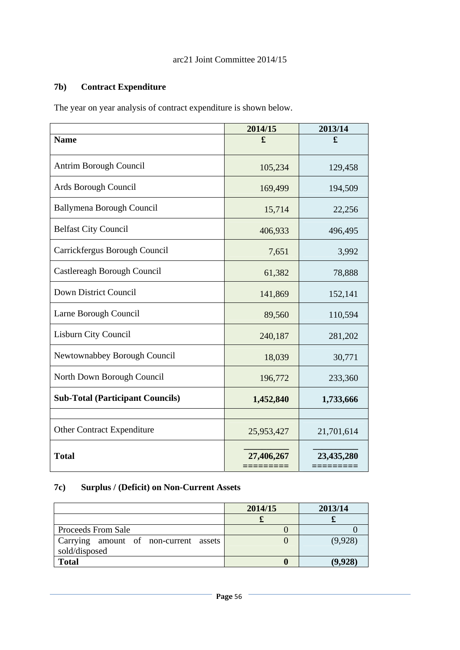# **7b) Contract Expenditure**

The year on year analysis of contract expenditure is shown below.

|                                         | 2014/15               | 2013/14              |
|-----------------------------------------|-----------------------|----------------------|
| <b>Name</b>                             | £                     | £                    |
| Antrim Borough Council                  | 105,234               | 129,458              |
| Ards Borough Council                    | 169,499               | 194,509              |
| <b>Ballymena Borough Council</b>        | 15,714                | 22,256               |
| <b>Belfast City Council</b>             | 406,933               | 496,495              |
| Carrickfergus Borough Council           | 7,651                 | 3,992                |
| Castlereagh Borough Council             | 61,382                | 78,888               |
| Down District Council                   | 141,869               | 152,141              |
| Larne Borough Council                   | 89,560                | 110,594              |
| Lisburn City Council                    | 240,187               | 281,202              |
| Newtownabbey Borough Council            | 18,039                | 30,771               |
| North Down Borough Council              | 196,772               | 233,360              |
| <b>Sub-Total (Participant Councils)</b> | 1,452,840             | 1,733,666            |
|                                         |                       |                      |
| <b>Other Contract Expenditure</b>       | 25,953,427            | 21,701,614           |
| <b>Total</b>                            | 27,406,267<br>======= | 23,435,280<br>====== |

# **7c) Surplus / (Deficit) on Non-Current Assets**

|                                                        | 2014/15 | 2013/14 |
|--------------------------------------------------------|---------|---------|
|                                                        |         |         |
| <b>Proceeds From Sale</b>                              |         |         |
| Carrying amount of non-current assets<br>sold/disposed |         | (9,928) |
| <b>Total</b>                                           |         |         |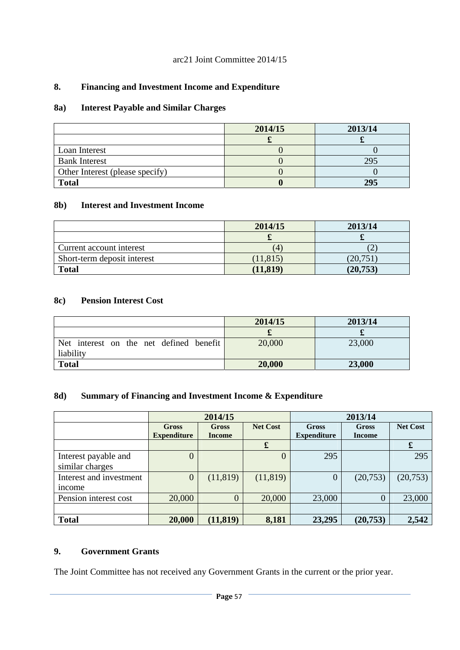## **8. Financing and Investment Income and Expenditure**

# **8a) Interest Payable and Similar Charges**

|                                 | 2014/15 | 2013/14 |
|---------------------------------|---------|---------|
|                                 |         |         |
| Loan Interest                   |         |         |
| <b>Bank Interest</b>            |         | 295     |
| Other Interest (please specify) |         |         |
| <b>Total</b>                    |         | 295     |

### **8b) Interest and Investment Income**

|                             | 2014/15   | 2013/14  |
|-----------------------------|-----------|----------|
|                             |           |          |
| Current account interest    |           |          |
| Short-term deposit interest | (11, 815) | (20,751) |
| <b>Total</b>                | (11, 819) | (20,753) |

## **8c) Pension Interest Cost**

|                                                      | 2014/15 | 2013/14 |
|------------------------------------------------------|---------|---------|
|                                                      |         |         |
| Net interest on the net defined benefit<br>liability | 20,000  | 23,000  |
|                                                      |         |         |
| <b>Total</b>                                         | 20,000  | 23,000  |

# **8d) Summary of Financing and Investment Income & Expenditure**

|                         | 2014/15            |                |                 | 2013/14            |                |                 |
|-------------------------|--------------------|----------------|-----------------|--------------------|----------------|-----------------|
|                         | <b>Gross</b>       | <b>Gross</b>   | <b>Net Cost</b> | <b>Gross</b>       | Gross          | <b>Net Cost</b> |
|                         | <b>Expenditure</b> | <b>Income</b>  |                 | <b>Expenditure</b> | <b>Income</b>  |                 |
|                         |                    |                | $\mathbf f$     |                    |                | £               |
| Interest payable and    | 0                  |                |                 | 295                |                | 295             |
| similar charges         |                    |                |                 |                    |                |                 |
| Interest and investment | 0                  | (11, 819)      | (11, 819)       | 0                  | (20, 753)      | (20, 753)       |
| <i>ncome</i>            |                    |                |                 |                    |                |                 |
| Pension interest cost   | 20,000             | $\overline{0}$ | 20,000          | 23,000             | $\overline{0}$ | 23,000          |
|                         |                    |                |                 |                    |                |                 |
| <b>Total</b>            | 20,000             | (11, 819)      | 8,181           | 23,295             | (20, 753)      | 2,542           |

## **9. Government Grants**

The Joint Committee has not received any Government Grants in the current or the prior year.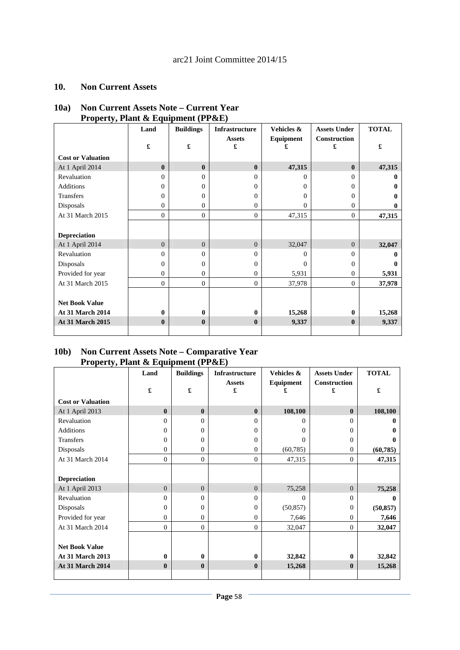#### **10. Non Current Assets**

### **10a) Non Current Assets Note – Current Year Property, Plant & Equipment (PP&E)**

|                          | Land                 | <b>Buildings</b> | <b>Infrastructure</b> | Vehicles &     | <b>Assets Under</b>      | <b>TOTAL</b> |
|--------------------------|----------------------|------------------|-----------------------|----------------|--------------------------|--------------|
|                          | $\pmb{\mathfrak{L}}$ | £                | <b>Assets</b><br>£    | Equipment      | <b>Construction</b><br>£ | £            |
| <b>Cost or Valuation</b> |                      |                  |                       |                |                          |              |
| At 1 April 2014          | $\mathbf{0}$         | $\mathbf{0}$     | $\mathbf{0}$          | 47,315         | $\mathbf{0}$             | 47,315       |
| Revaluation              | $\Omega$             | $\theta$         | $\Omega$              | $\Omega$       | $\Omega$                 | 0            |
| <b>Additions</b>         | $\Omega$             | 0                | $\Omega$              | $\Omega$       | $\Omega$                 | $\mathbf{0}$ |
| <b>Transfers</b>         | $\Omega$             | 0                | $\Omega$              | $\Omega$       | $\mathbf{0}$             | 0            |
| Disposals                | $\Omega$             | $\overline{0}$   | $\Omega$              | $\overline{0}$ | $\mathbf{0}$             | $\mathbf{0}$ |
| At 31 March 2015         | $\Omega$             | $\Omega$         | $\mathbf{0}$          | 47,315         | $\mathbf{0}$             | 47,315       |
|                          |                      |                  |                       |                |                          |              |
| <b>Depreciation</b>      |                      |                  |                       |                |                          |              |
| At 1 April 2014          | $\Omega$             | $\Omega$         | $\Omega$              | 32,047         | $\Omega$                 | 32,047       |
| Revaluation              | $\Omega$             | 0                | $\Omega$              | 0              | $\Omega$                 | 0            |
| Disposals                | $\Omega$             | 0                | $\Omega$              | $\Omega$       | $\mathbf{0}$             | 0            |
| Provided for year        | $\Omega$             | $\overline{0}$   | $\Omega$              | 5,931          | $\mathbf{0}$             | 5,931        |
| At 31 March 2015         | $\mathbf{0}$         | $\overline{0}$   | $\mathbf{0}$          | 37,978         | $\mathbf{0}$             | 37,978       |
|                          |                      |                  |                       |                |                          |              |
| <b>Net Book Value</b>    |                      |                  |                       |                |                          |              |
| <b>At 31 March 2014</b>  | $\mathbf{0}$         | $\bf{0}$         | $\mathbf{0}$          | 15,268         | $\mathbf{0}$             | 15,268       |
| <b>At 31 March 2015</b>  | $\mathbf{0}$         | $\bf{0}$         | $\mathbf{0}$          | 9,337          | $\bf{0}$                 | 9,337        |
|                          |                      |                  |                       |                |                          |              |

### **10b) Non Current Assets Note – Comparative Year Property, Plant & Equipment (PP&E)**

|                          | Land           | <b>Buildings</b> | <b>Infrastructure</b> | Vehicles & | <b>Assets Under</b> | <b>TOTAL</b> |
|--------------------------|----------------|------------------|-----------------------|------------|---------------------|--------------|
|                          | £              | £                | <b>Assets</b><br>£    | Equipment  | Construction<br>£   | £            |
| <b>Cost or Valuation</b> |                |                  |                       |            |                     |              |
| At 1 April 2013          | $\mathbf{0}$   | $\bf{0}$         | $\mathbf{0}$          | 108,100    | $\bf{0}$            | 108,100      |
| Revaluation              | $\Omega$       | $\Omega$         | $\Omega$              | 0          | $\Omega$            | 0            |
| <b>Additions</b>         | $\overline{0}$ | $\overline{0}$   | $\Omega$              | 0          | $\overline{0}$      | 0            |
| <b>Transfers</b>         | $\mathbf{0}$   | $\overline{0}$   | $\Omega$              | 0          | $\mathbf{0}$        | 0            |
| Disposals                | $\mathbf{0}$   | $\Omega$         | $\Omega$              | (60, 785)  | $\mathbf{0}$        | (60, 785)    |
| At 31 March 2014         | $\theta$       | $\mathbf{0}$     | $\overline{0}$        | 47,315     | $\overline{0}$      | 47,315       |
|                          |                |                  |                       |            |                     |              |
| <b>Depreciation</b>      |                |                  |                       |            |                     |              |
| At 1 April 2013          | $\mathbf{0}$   | $\overline{0}$   | $\Omega$              | 75,258     | $\overline{0}$      | 75,258       |
| Revaluation              | $\Omega$       | $\overline{0}$   | $\Omega$              | 0          | $\Omega$            | 0            |
| Disposals                | $\overline{0}$ | $\overline{0}$   | $\Omega$              | (50, 857)  | $\overline{0}$      | (50, 857)    |
| Provided for year        | $\overline{0}$ | $\overline{0}$   | $\overline{0}$        | 7,646      | $\overline{0}$      | 7,646        |
| At 31 March 2014         | $\overline{0}$ | $\mathbf{0}$     | $\overline{0}$        | 32,047     | $\overline{0}$      | 32,047       |
|                          |                |                  |                       |            |                     |              |
| <b>Net Book Value</b>    |                |                  |                       |            |                     |              |
| <b>At 31 March 2013</b>  | $\bf{0}$       | $\bf{0}$         | $\mathbf{0}$          | 32,842     | $\bf{0}$            | 32,842       |
| <b>At 31 March 2014</b>  | $\bf{0}$       | $\bf{0}$         | $\mathbf{0}$          | 15,268     | $\bf{0}$            | 15,268       |
|                          |                |                  |                       |            |                     |              |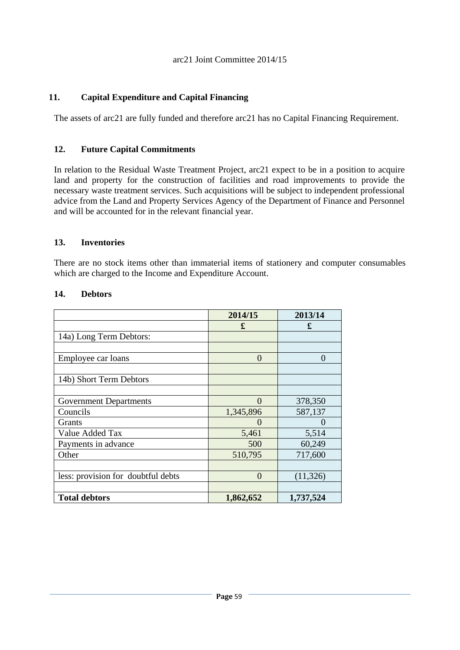## **11. Capital Expenditure and Capital Financing**

The assets of arc21 are fully funded and therefore arc21 has no Capital Financing Requirement.

### **12. Future Capital Commitments**

In relation to the Residual Waste Treatment Project, arc21 expect to be in a position to acquire land and property for the construction of facilities and road improvements to provide the necessary waste treatment services. Such acquisitions will be subject to independent professional advice from the Land and Property Services Agency of the Department of Finance and Personnel and will be accounted for in the relevant financial year.

### **13. Inventories**

There are no stock items other than immaterial items of stationery and computer consumables which are charged to the Income and Expenditure Account.

|                                    | 2014/15      | 2013/14   |
|------------------------------------|--------------|-----------|
|                                    | £            | £         |
| 14a) Long Term Debtors:            |              |           |
|                                    |              |           |
| Employee car loans                 | $\theta$     | $\Omega$  |
|                                    |              |           |
| 14b) Short Term Debtors            |              |           |
|                                    |              |           |
| <b>Government Departments</b>      | $\Omega$     | 378,350   |
| Councils                           | 1,345,896    | 587,137   |
| Grants                             | $\mathbf{O}$ |           |
| Value Added Tax                    | 5,461        | 5,514     |
| Payments in advance                | 500          | 60,249    |
| Other                              | 510,795      | 717,600   |
|                                    |              |           |
| less: provision for doubtful debts | $\Omega$     | (11, 326) |
|                                    |              |           |
| <b>Total debtors</b>               | 1,862,652    | 1,737,524 |

### **14. Debtors**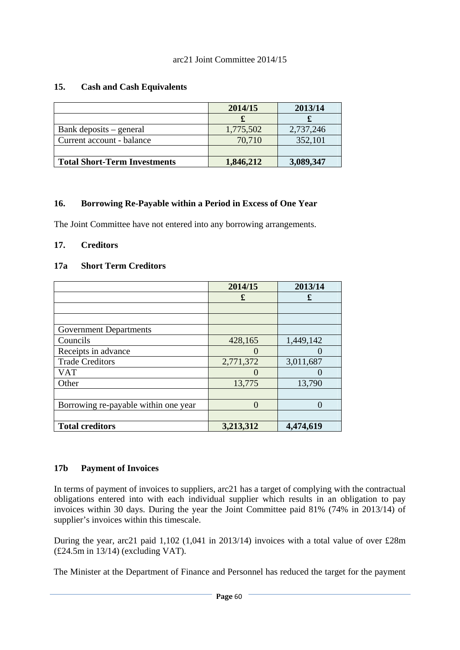## **15. Cash and Cash Equivalents**

|                                     | 2014/15   | 2013/14   |
|-------------------------------------|-----------|-----------|
|                                     |           |           |
| Bank deposits – general             | 1,775,502 | 2,737,246 |
| Current account - balance           | 70,710    | 352,101   |
|                                     |           |           |
| <b>Total Short-Term Investments</b> | 1,846,212 | 3,089,347 |

## **16. Borrowing Re-Payable within a Period in Excess of One Year**

The Joint Committee have not entered into any borrowing arrangements.

## **17. Creditors**

## **17a Short Term Creditors**

|                                      | 2014/15   | 2013/14   |
|--------------------------------------|-----------|-----------|
|                                      | £         | £         |
|                                      |           |           |
|                                      |           |           |
| <b>Government Departments</b>        |           |           |
| Councils                             | 428,165   | 1,449,142 |
| Receipts in advance                  |           |           |
| <b>Trade Creditors</b>               | 2,771,372 | 3,011,687 |
| VAT                                  |           |           |
| Other                                | 13,775    | 13,790    |
|                                      |           |           |
| Borrowing re-payable within one year | $\Omega$  |           |
|                                      |           |           |
| <b>Total creditors</b>               | 3,213,312 | 4,474,619 |

## **17b Payment of Invoices**

In terms of payment of invoices to suppliers, arc21 has a target of complying with the contractual obligations entered into with each individual supplier which results in an obligation to pay invoices within 30 days. During the year the Joint Committee paid 81% (74% in 2013/14) of supplier's invoices within this timescale.

During the year, arc21 paid 1,102 (1,041 in 2013/14) invoices with a total value of over £28m (£24.5m in 13/14) (excluding VAT).

The Minister at the Department of Finance and Personnel has reduced the target for the payment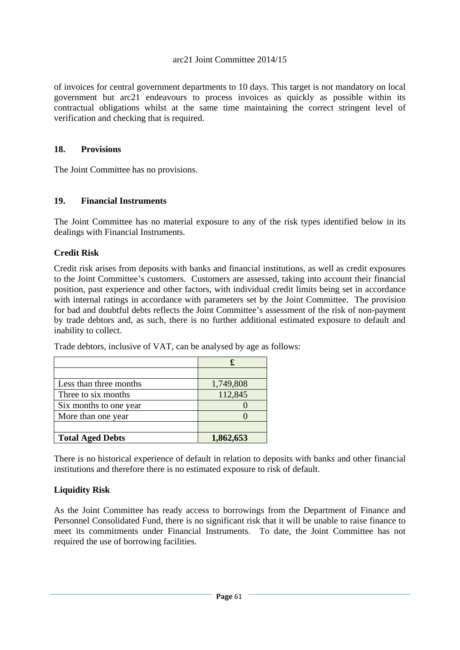of invoices for central government departments to 10 days. This target is not mandatory on local government but arc21 endeavours to process invoices as quickly as possible within its contractual obligations whilst at the same time maintaining the correct stringent level of verification and checking that is required.

### **18. Provisions**

The Joint Committee has no provisions.

### **19. Financial Instruments**

The Joint Committee has no material exposure to any of the risk types identified below in its dealings with Financial Instruments.

### **Credit Risk**

Credit risk arises from deposits with banks and financial institutions, as well as credit exposures to the Joint Committee's customers. Customers are assessed, taking into account their financial position, past experience and other factors, with individual credit limits being set in accordance with internal ratings in accordance with parameters set by the Joint Committee. The provision for bad and doubtful debts reflects the Joint Committee's assessment of the risk of non-payment by trade debtors and, as such, there is no further additional estimated exposure to default and inability to collect.

| Less than three months  | 1,749,808 |
|-------------------------|-----------|
| Three to six months     | 112,845   |
| Six months to one year  |           |
| More than one year      |           |
|                         |           |
| <b>Total Aged Debts</b> | 1,862,653 |

Trade debtors, inclusive of VAT, can be analysed by age as follows:

There is no historical experience of default in relation to deposits with banks and other financial institutions and therefore there is no estimated exposure to risk of default.

## **Liquidity Risk**

As the Joint Committee has ready access to borrowings from the Department of Finance and Personnel Consolidated Fund, there is no significant risk that it will be unable to raise finance to meet its commitments under Financial Instruments. To date, the Joint Committee has not required the use of borrowing facilities.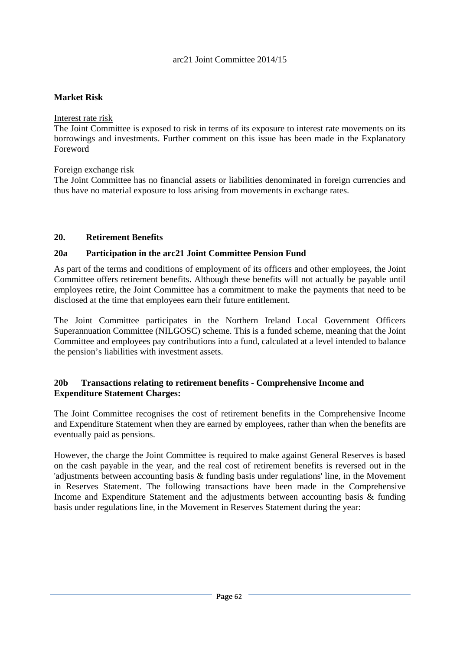## **Market Risk**

Interest rate risk

The Joint Committee is exposed to risk in terms of its exposure to interest rate movements on its borrowings and investments. Further comment on this issue has been made in the Explanatory Foreword

## Foreign exchange risk

The Joint Committee has no financial assets or liabilities denominated in foreign currencies and thus have no material exposure to loss arising from movements in exchange rates.

# **20. Retirement Benefits**

## **20a Participation in the arc21 Joint Committee Pension Fund**

As part of the terms and conditions of employment of its officers and other employees, the Joint Committee offers retirement benefits. Although these benefits will not actually be payable until employees retire, the Joint Committee has a commitment to make the payments that need to be disclosed at the time that employees earn their future entitlement.

The Joint Committee participates in the Northern Ireland Local Government Officers Superannuation Committee (NILGOSC) scheme. This is a funded scheme, meaning that the Joint Committee and employees pay contributions into a fund, calculated at a level intended to balance the pension's liabilities with investment assets.

## **20b Transactions relating to retirement benefits - Comprehensive Income and Expenditure Statement Charges:**

The Joint Committee recognises the cost of retirement benefits in the Comprehensive Income and Expenditure Statement when they are earned by employees, rather than when the benefits are eventually paid as pensions.

However, the charge the Joint Committee is required to make against General Reserves is based on the cash payable in the year, and the real cost of retirement benefits is reversed out in the 'adjustments between accounting basis & funding basis under regulations' line, in the Movement in Reserves Statement. The following transactions have been made in the Comprehensive Income and Expenditure Statement and the adjustments between accounting basis & funding basis under regulations line, in the Movement in Reserves Statement during the year: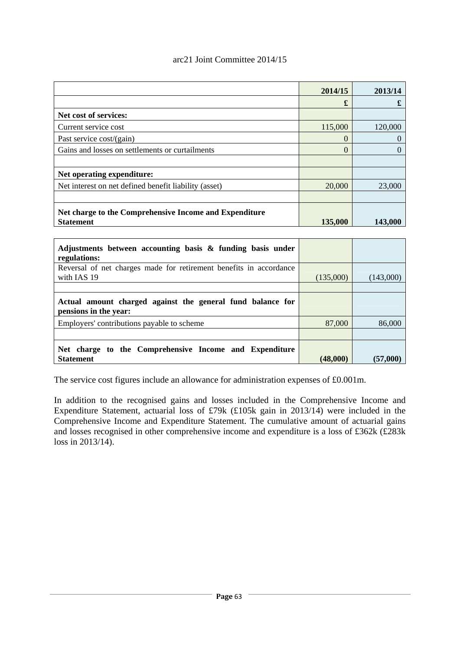|                                                        | 2014/15 | 2013/14 |
|--------------------------------------------------------|---------|---------|
|                                                        | £       |         |
| Net cost of services:                                  |         |         |
| Current service cost                                   | 115,000 | 120,000 |
| Past service cost/(gain)                               | 0       |         |
| Gains and losses on settlements or curtailments        | 0       |         |
|                                                        |         |         |
| Net operating expenditure:                             |         |         |
| Net interest on net defined benefit liability (asset)  | 20,000  | 23,000  |
|                                                        |         |         |
| Net charge to the Comprehensive Income and Expenditure |         |         |
| <b>Statement</b>                                       | 135,000 | 143,000 |

| Adjustments between accounting basis & funding basis under<br>regulations:          |           |           |
|-------------------------------------------------------------------------------------|-----------|-----------|
| Reversal of net charges made for retirement benefits in accordance<br>with IAS 19   | (135,000) | (143,000) |
|                                                                                     |           |           |
| Actual amount charged against the general fund balance for<br>pensions in the year: |           |           |
| Employers' contributions payable to scheme                                          | 87,000    | 86,000    |
|                                                                                     |           |           |
| Net charge to the Comprehensive Income and Expenditure                              |           |           |
| <b>Statement</b>                                                                    | (48,000)  | (57,000)  |

The service cost figures include an allowance for administration expenses of £0.001m.

In addition to the recognised gains and losses included in the Comprehensive Income and Expenditure Statement, actuarial loss of £79k (£105k gain in 2013/14) were included in the Comprehensive Income and Expenditure Statement. The cumulative amount of actuarial gains and losses recognised in other comprehensive income and expenditure is a loss of £362k (£283k loss in 2013/14).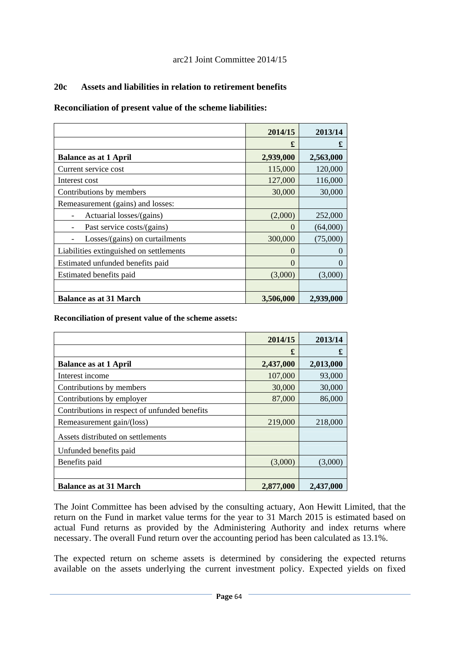## **20c Assets and liabilities in relation to retirement benefits**

## **Reconciliation of present value of the scheme liabilities:**

|                                         | 2014/15   | 2013/14   |
|-----------------------------------------|-----------|-----------|
|                                         | £         | £         |
| <b>Balance as at 1 April</b>            | 2,939,000 | 2,563,000 |
| Current service cost                    | 115,000   | 120,000   |
| Interest cost                           | 127,000   | 116,000   |
| Contributions by members                | 30,000    | 30,000    |
| Remeasurement (gains) and losses:       |           |           |
| Actuarial losses/(gains)                | (2,000)   | 252,000   |
| Past service costs/(gains)              | $\Omega$  | (64,000)  |
| Losses/(gains) on curtailments          | 300,000   | (75,000)  |
| Liabilities extinguished on settlements | $\Omega$  | $\Omega$  |
| Estimated unfunded benefits paid        | $\Omega$  | $\theta$  |
| Estimated benefits paid                 | (3,000)   | (3,000)   |
|                                         |           |           |
| <b>Balance as at 31 March</b>           | 3,506,000 | 2,939,000 |

### **Reconciliation of present value of the scheme assets:**

|                                               | 2014/15   | 2013/14   |
|-----------------------------------------------|-----------|-----------|
|                                               | £         | £         |
| <b>Balance as at 1 April</b>                  | 2,437,000 | 2,013,000 |
| Interest income                               | 107,000   | 93,000    |
| Contributions by members                      | 30,000    | 30,000    |
| Contributions by employer                     | 87,000    | 86,000    |
| Contributions in respect of unfunded benefits |           |           |
| Remeasurement gain/(loss)                     | 219,000   | 218,000   |
| Assets distributed on settlements             |           |           |
| Unfunded benefits paid                        |           |           |
| Benefits paid                                 | (3,000)   | (3,000)   |
|                                               |           |           |
| <b>Balance as at 31 March</b>                 | 2,877,000 | 2,437,000 |

The Joint Committee has been advised by the consulting actuary, Aon Hewitt Limited, that the return on the Fund in market value terms for the year to 31 March 2015 is estimated based on actual Fund returns as provided by the Administering Authority and index returns where necessary. The overall Fund return over the accounting period has been calculated as 13.1%.

The expected return on scheme assets is determined by considering the expected returns available on the assets underlying the current investment policy. Expected yields on fixed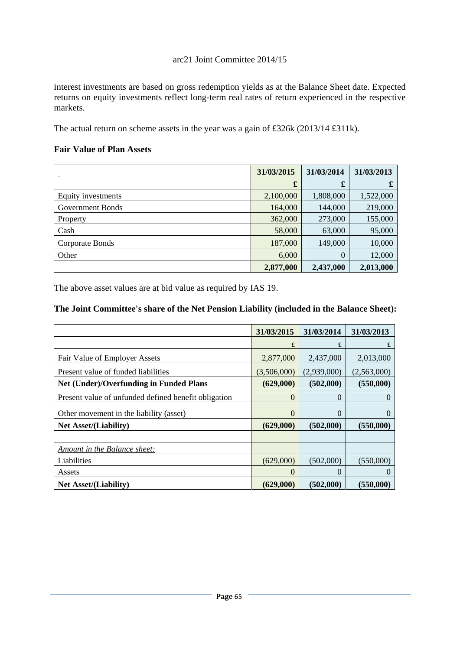interest investments are based on gross redemption yields as at the Balance Sheet date. Expected returns on equity investments reflect long-term real rates of return experienced in the respective markets.

The actual return on scheme assets in the year was a gain of £326k (2013/14 £311k).

## **Fair Value of Plan Assets**

|                    | 31/03/2015 | 31/03/2014 | 31/03/2013 |
|--------------------|------------|------------|------------|
|                    | £          | £          | £          |
| Equity investments | 2,100,000  | 1,808,000  | 1,522,000  |
| Government Bonds   | 164,000    | 144,000    | 219,000    |
| Property           | 362,000    | 273,000    | 155,000    |
| Cash               | 58,000     | 63,000     | 95,000     |
| Corporate Bonds    | 187,000    | 149,000    | 10,000     |
| Other              | 6,000      | $\theta$   | 12,000     |
|                    | 2,877,000  | 2,437,000  | 2,013,000  |

The above asset values are at bid value as required by IAS 19.

# **The Joint Committee's share of the Net Pension Liability (included in the Balance Sheet):**

|                                                      | 31/03/2015     | 31/03/2014  | 31/03/2013   |
|------------------------------------------------------|----------------|-------------|--------------|
|                                                      | £              | £           | £            |
| Fair Value of Employer Assets                        | 2,877,000      | 2,437,000   | 2,013,000    |
| Present value of funded liabilities                  | (3,506,000)    | (2,939,000) | (2,563,000)  |
| <b>Net (Under)/Overfunding in Funded Plans</b>       | (629,000)      | (502,000)   | (550,000)    |
| Present value of unfunded defined benefit obligation | 0              | $\Omega$    | $\mathbf{0}$ |
| Other movement in the liability (asset)              | $\overline{0}$ | $\Omega$    | $\Omega$     |
| <b>Net Asset/(Liability)</b>                         | (629,000)      | (502,000)   | (550,000)    |
|                                                      |                |             |              |
| Amount in the Balance sheet:                         |                |             |              |
| Liabilities                                          | (629,000)      | (502,000)   | (550,000)    |
| Assets                                               | 0              | $\Omega$    | $\theta$     |
| <b>Net Asset/(Liability)</b>                         | (629,000)      | (502,000)   | (550,000)    |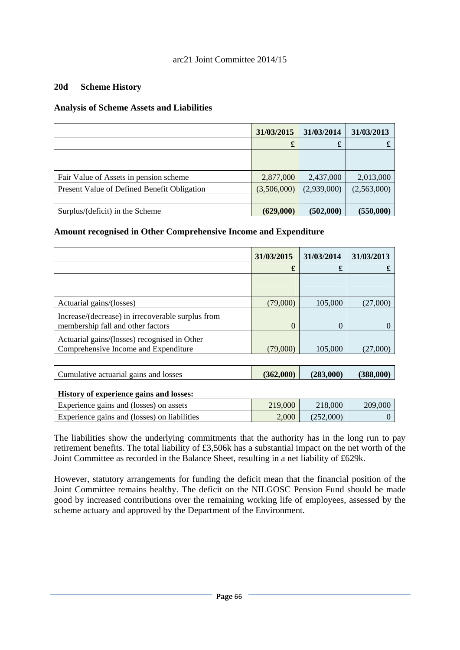### **20d Scheme History**

### **Analysis of Scheme Assets and Liabilities**

|                                             | 31/03/2015  | 31/03/2014  | 31/03/2013  |
|---------------------------------------------|-------------|-------------|-------------|
|                                             | £           | £           |             |
|                                             |             |             |             |
|                                             |             |             |             |
| Fair Value of Assets in pension scheme      | 2,877,000   | 2,437,000   | 2,013,000   |
| Present Value of Defined Benefit Obligation | (3,506,000) | (2,939,000) | (2,563,000) |
|                                             |             |             |             |
| Surplus/(deficit) in the Scheme             | (629,000)   | (502,000)   | (550,000)   |

### **Amount recognised in Other Comprehensive Income and Expenditure**

|                                                   | 31/03/2015 | 31/03/2014 | 31/03/2013 |
|---------------------------------------------------|------------|------------|------------|
|                                                   | £          | £          |            |
|                                                   |            |            |            |
|                                                   |            |            |            |
| Actuarial gains/(losses)                          | (79,000)   | 105,000    | (27,000)   |
| Increase/(decrease) in irrecoverable surplus from |            |            |            |
| membership fall and other factors                 | $\theta$   |            |            |
| Actuarial gains/(losses) recognised in Other      |            |            |            |
| Comprehensive Income and Expenditure              | (79,000)   | 105,000    | (27.000)   |
|                                                   |            |            |            |

| Cumulative actuarial gains and losses | (362,000) | (283,000) | (388,000) |
|---------------------------------------|-----------|-----------|-----------|
|                                       |           |           |           |

#### **History of experience gains and losses:**

| Experience gains and (losses) on assets      | 219,000 | 218,000   | 209,000 |
|----------------------------------------------|---------|-----------|---------|
| Experience gains and (losses) on liabilities | 2.000   | (252,000) |         |

The liabilities show the underlying commitments that the authority has in the long run to pay retirement benefits. The total liability of £3,506k has a substantial impact on the net worth of the Joint Committee as recorded in the Balance Sheet, resulting in a net liability of £629k.

However, statutory arrangements for funding the deficit mean that the financial position of the Joint Committee remains healthy. The deficit on the NILGOSC Pension Fund should be made good by increased contributions over the remaining working life of employees, assessed by the scheme actuary and approved by the Department of the Environment.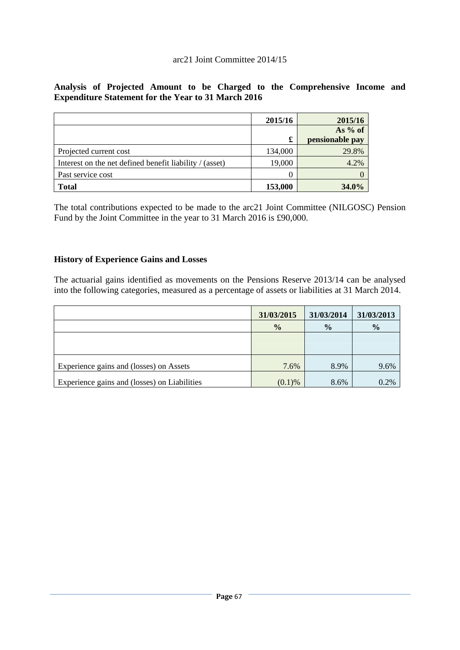## **Analysis of Projected Amount to be Charged to the Comprehensive Income and Expenditure Statement for the Year to 31 March 2016**

|                                                         | 2015/16 | 2015/16         |
|---------------------------------------------------------|---------|-----------------|
|                                                         |         | As $%$ of       |
|                                                         | £       | pensionable pay |
| Projected current cost                                  | 134,000 | 29.8%           |
| Interest on the net defined benefit liability / (asset) | 19,000  | 4.2%            |
| Past service cost                                       |         |                 |
| <b>Total</b>                                            | 153,000 | 34.0%           |

The total contributions expected to be made to the arc21 Joint Committee (NILGOSC) Pension Fund by the Joint Committee in the year to 31 March 2016 is £90,000.

## **History of Experience Gains and Losses**

The actuarial gains identified as movements on the Pensions Reserve 2013/14 can be analysed into the following categories, measured as a percentage of assets or liabilities at 31 March 2014.

|                                              | 31/03/2015    | 31/03/2014    | 31/03/2013    |
|----------------------------------------------|---------------|---------------|---------------|
|                                              | $\frac{0}{0}$ | $\frac{6}{9}$ | $\frac{0}{0}$ |
|                                              |               |               |               |
|                                              |               |               |               |
| Experience gains and (losses) on Assets      | 7.6%          | 8.9%          | 9.6%          |
| Experience gains and (losses) on Liabilities | $(0.1)$ %     | 8.6%          | 0.2%          |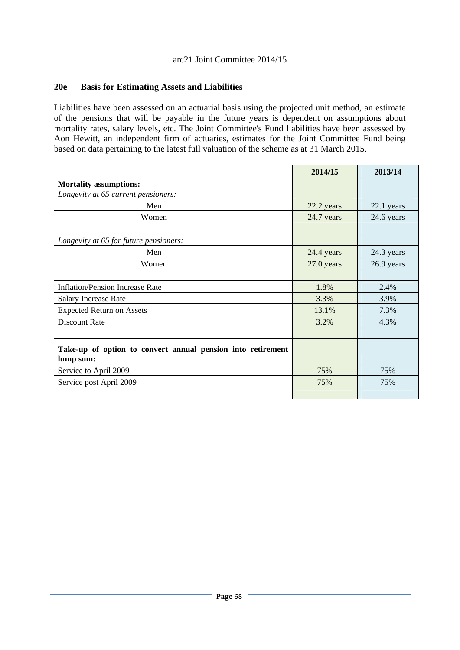### **20e Basis for Estimating Assets and Liabilities**

Liabilities have been assessed on an actuarial basis using the projected unit method, an estimate of the pensions that will be payable in the future years is dependent on assumptions about mortality rates, salary levels, etc. The Joint Committee's Fund liabilities have been assessed by Aon Hewitt, an independent firm of actuaries, estimates for the Joint Committee Fund being based on data pertaining to the latest full valuation of the scheme as at 31 March 2015.

|                                                                          | 2014/15    | 2013/14    |
|--------------------------------------------------------------------------|------------|------------|
| <b>Mortality assumptions:</b>                                            |            |            |
| Longevity at 65 current pensioners:                                      |            |            |
| Men                                                                      | 22.2 years | 22.1 years |
| Women                                                                    | 24.7 years | 24.6 years |
|                                                                          |            |            |
| Longevity at 65 for future pensioners:                                   |            |            |
| Men                                                                      | 24.4 years | 24.3 years |
| Women                                                                    | 27.0 years | 26.9 years |
|                                                                          |            |            |
| <b>Inflation/Pension Increase Rate</b>                                   | 1.8%       | 2.4%       |
| <b>Salary Increase Rate</b>                                              | 3.3%       | 3.9%       |
| <b>Expected Return on Assets</b>                                         | 13.1%      | 7.3%       |
| <b>Discount Rate</b>                                                     | 3.2%       | 4.3%       |
|                                                                          |            |            |
| Take-up of option to convert annual pension into retirement<br>lump sum: |            |            |
| Service to April 2009                                                    | 75%        | 75%        |
| Service post April 2009                                                  | 75%        | 75%        |
|                                                                          |            |            |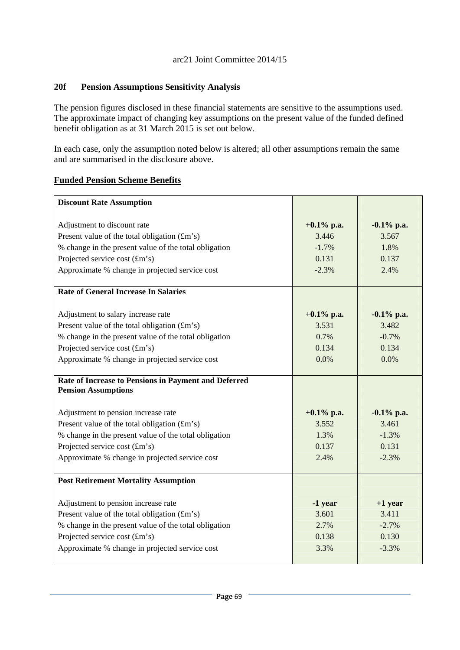### **20f Pension Assumptions Sensitivity Analysis**

The pension figures disclosed in these financial statements are sensitive to the assumptions used. The approximate impact of changing key assumptions on the present value of the funded defined benefit obligation as at 31 March 2015 is set out below.

In each case, only the assumption noted below is altered; all other assumptions remain the same and are summarised in the disclosure above.

## **Funded Pension Scheme Benefits**

| <b>Discount Rate Assumption</b>                       |               |               |
|-------------------------------------------------------|---------------|---------------|
|                                                       |               |               |
| Adjustment to discount rate                           | $+0.1\%$ p.a. | $-0.1\%$ p.a. |
| Present value of the total obligation (£m's)          | 3.446         | 3.567         |
| % change in the present value of the total obligation | $-1.7%$       | 1.8%          |
| Projected service cost (£m's)                         | 0.131         | 0.137         |
| Approximate % change in projected service cost        | $-2.3%$       | 2.4%          |
| <b>Rate of General Increase In Salaries</b>           |               |               |
| Adjustment to salary increase rate                    | $+0.1\%$ p.a. | $-0.1\%$ p.a. |
| Present value of the total obligation (£m's)          | 3.531         | 3.482         |
| % change in the present value of the total obligation | 0.7%          | $-0.7%$       |
| Projected service cost (£m's)                         | 0.134         | 0.134         |
| Approximate % change in projected service cost        | 0.0%          | 0.0%          |
|                                                       |               |               |
| Rate of Increase to Pensions in Payment and Deferred  |               |               |
| <b>Pension Assumptions</b>                            |               |               |
|                                                       |               |               |
| Adjustment to pension increase rate                   | $+0.1\%$ p.a. | $-0.1\%$ p.a. |
| Present value of the total obligation (£m's)          | 3.552         | 3.461         |
| % change in the present value of the total obligation | 1.3%          | $-1.3%$       |
| Projected service cost (£m's)                         | 0.137         | 0.131         |
| Approximate % change in projected service cost        | 2.4%          | $-2.3%$       |
| <b>Post Retirement Mortality Assumption</b>           |               |               |
|                                                       |               |               |
| Adjustment to pension increase rate                   | -1 year       | $+1$ year     |
| Present value of the total obligation $(fm's)$        | 3.601         | 3.411         |
| % change in the present value of the total obligation | 2.7%          | $-2.7%$       |
| Projected service cost (£m's)                         | 0.138         | 0.130         |
| Approximate % change in projected service cost        | 3.3%          | $-3.3%$       |
|                                                       |               |               |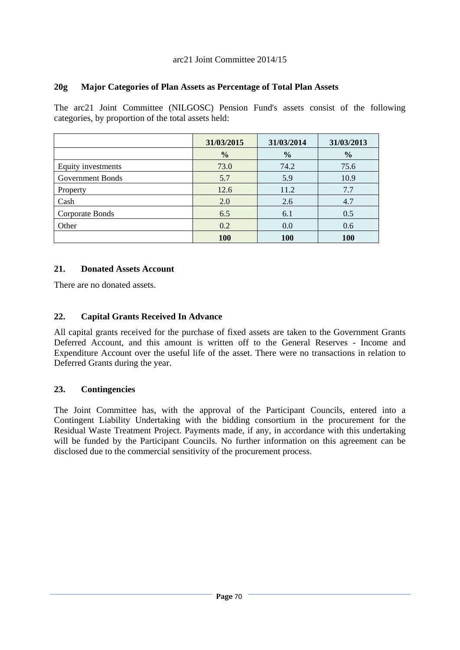## **20g Major Categories of Plan Assets as Percentage of Total Plan Assets**

The arc21 Joint Committee (NILGOSC) Pension Fund's assets consist of the following categories, by proportion of the total assets held:

|                    | 31/03/2015    | 31/03/2014    | 31/03/2013    |
|--------------------|---------------|---------------|---------------|
|                    | $\frac{0}{0}$ | $\frac{0}{0}$ | $\frac{0}{0}$ |
| Equity investments | 73.0          | 74.2          | 75.6          |
| Government Bonds   | 5.7           | 5.9           | 10.9          |
| Property           | 12.6          | 11.2          | 7.7           |
| Cash               | 2.0           | 2.6           | 4.7           |
| Corporate Bonds    | 6.5           | 6.1           | 0.5           |
| Other              | 0.2           | 0.0           | 0.6           |
|                    | <b>100</b>    | <b>100</b>    | <b>100</b>    |

## **21. Donated Assets Account**

There are no donated assets.

## **22. Capital Grants Received In Advance**

All capital grants received for the purchase of fixed assets are taken to the Government Grants Deferred Account, and this amount is written off to the General Reserves - Income and Expenditure Account over the useful life of the asset. There were no transactions in relation to Deferred Grants during the year.

## **23. Contingencies**

The Joint Committee has, with the approval of the Participant Councils, entered into a Contingent Liability Undertaking with the bidding consortium in the procurement for the Residual Waste Treatment Project. Payments made, if any, in accordance with this undertaking will be funded by the Participant Councils. No further information on this agreement can be disclosed due to the commercial sensitivity of the procurement process.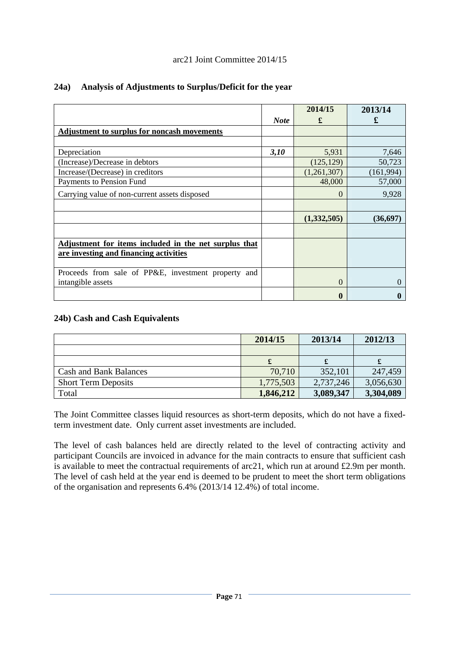# arc21 Joint Committee 2014/15

|                                                        |             | 2014/15     | 2013/14   |
|--------------------------------------------------------|-------------|-------------|-----------|
|                                                        | <b>Note</b> | £           | £         |
| <b>Adjustment to surplus for noncash movements</b>     |             |             |           |
|                                                        |             |             |           |
| Depreciation                                           | 3,10        | 5,931       | 7,646     |
| (Increase)/Decrease in debtors                         |             | (125, 129)  | 50,723    |
| Increase/(Decrease) in creditors                       |             | (1,261,307) | (161,994) |
| Payments to Pension Fund                               |             | 48,000      | 57,000    |
| Carrying value of non-current assets disposed          |             | $\Omega$    | 9,928     |
|                                                        |             |             |           |
|                                                        |             | (1,332,505) | (36, 697) |
|                                                        |             |             |           |
| Adjustment for items included in the net surplus that  |             |             |           |
| are investing and financing activities                 |             |             |           |
|                                                        |             |             |           |
| Proceeds from sale of PP&E, investment property<br>and |             |             |           |
| intangible assets                                      |             | $\Omega$    |           |
|                                                        |             | $\bf{0}$    |           |

## **24a) Analysis of Adjustments to Surplus/Deficit for the year**

# **24b) Cash and Cash Equivalents**

|                               | 2014/15   | 2013/14   | 2012/13   |
|-------------------------------|-----------|-----------|-----------|
|                               |           |           |           |
|                               |           |           |           |
| <b>Cash and Bank Balances</b> | 70,710    | 352,101   | 247,459   |
| <b>Short Term Deposits</b>    | 1,775,503 | 2,737,246 | 3,056,630 |
| Total                         | 1,846,212 | 3,089,347 | 3,304,089 |

The Joint Committee classes liquid resources as short-term deposits, which do not have a fixedterm investment date. Only current asset investments are included.

The level of cash balances held are directly related to the level of contracting activity and participant Councils are invoiced in advance for the main contracts to ensure that sufficient cash is available to meet the contractual requirements of arc21, which run at around £2.9m per month. The level of cash held at the year end is deemed to be prudent to meet the short term obligations of the organisation and represents 6.4% (2013/14 12.4%) of total income.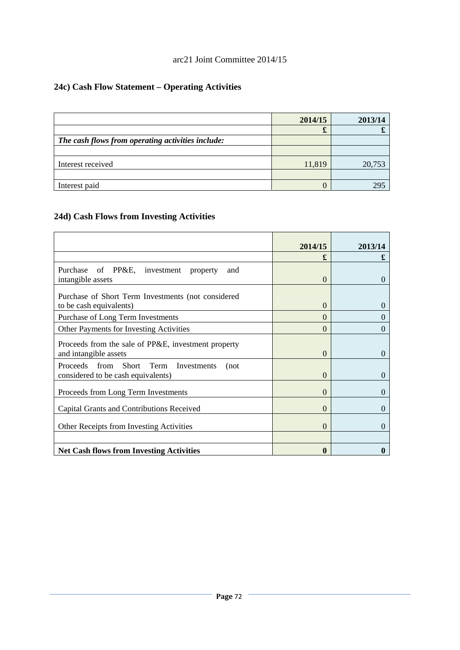# arc21 Joint Committee 2014/15

# **24c) Cash Flow Statement – Operating Activities**

|                                                   | 2014/15 | 2013/14 |
|---------------------------------------------------|---------|---------|
|                                                   | x       |         |
| The cash flows from operating activities include: |         |         |
|                                                   |         |         |
| Interest received                                 | 11,819  | 20,753  |
|                                                   |         |         |
| Interest paid                                     |         | 295     |

# **24d) Cash Flows from Investing Activities**

|                                                     | 2014/15  | 2013/14           |
|-----------------------------------------------------|----------|-------------------|
|                                                     | £        | £                 |
| Purchase of PP&E, investment<br>property<br>and     |          |                   |
| intangible assets                                   | $\theta$ | $\theta$          |
| Purchase of Short Term Investments (not considered  |          |                   |
| to be cash equivalents)                             | 0        | $\theta$          |
| Purchase of Long Term Investments                   | 0        | 0                 |
| Other Payments for Investing Activities             | 0        | $\mathbf{\Omega}$ |
| Proceeds from the sale of PP&E, investment property |          |                   |
| and intangible assets                               | 0        | $\mathbf{\Omega}$ |
| Proceeds from Short Term Investments<br>(not        |          |                   |
| considered to be cash equivalents)                  | $\theta$ | 0                 |
| Proceeds from Long Term Investments                 | $\theta$ | $\mathbf{0}$      |
| Capital Grants and Contributions Received           | $\theta$ | $\Omega$          |
|                                                     |          |                   |
| Other Receipts from Investing Activities            | $\Omega$ | $\Omega$          |
|                                                     |          |                   |
| <b>Net Cash flows from Investing Activities</b>     | 0        |                   |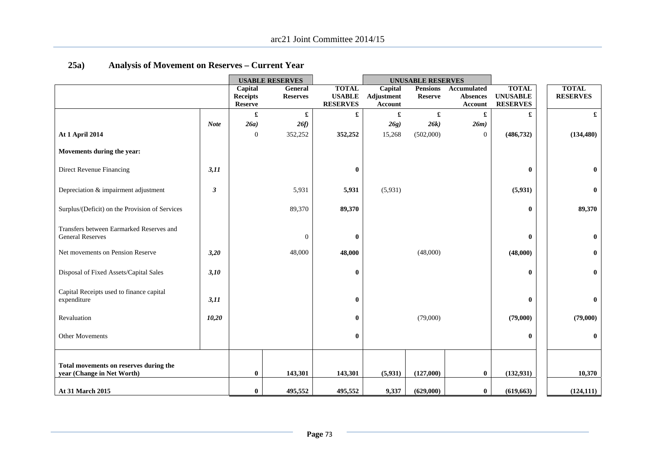|                                                                      |             |                                   | <b>USABLE RESERVES</b> | <b>UNUSABLE RESERVES</b>         |                       |                 |                                   |                                    |  |                 |
|----------------------------------------------------------------------|-------------|-----------------------------------|------------------------|----------------------------------|-----------------------|-----------------|-----------------------------------|------------------------------------|--|-----------------|
|                                                                      |             | Capital                           | General                | <b>TOTAL</b>                     | Capital               | <b>Pensions</b> | Accumulated                       | <b>TOTAL</b>                       |  | <b>TOTAL</b>    |
|                                                                      |             | <b>Receipts</b><br><b>Reserve</b> | <b>Reserves</b>        | <b>USABLE</b><br><b>RESERVES</b> | Adjustment<br>Account | <b>Reserve</b>  | <b>Absences</b><br><b>Account</b> | <b>UNUSABLE</b><br><b>RESERVES</b> |  | <b>RESERVES</b> |
|                                                                      |             | £                                 | £                      | £                                | £                     | £               | £                                 |                                    |  | £               |
|                                                                      | <b>Note</b> | 26a)                              | 26f                    |                                  | 26g)                  | 26k             | 26m)                              |                                    |  |                 |
| At 1 April 2014                                                      |             | $\boldsymbol{0}$                  | 352,252                | 352,252                          | 15,268                | (502,000)       | $\mathbf{0}$                      | (486, 732)                         |  | (134, 480)      |
| Movements during the year:                                           |             |                                   |                        |                                  |                       |                 |                                   |                                    |  |                 |
| Direct Revenue Financing                                             | 3,11        |                                   |                        | $\bf{0}$                         |                       |                 |                                   | $\bf{0}$                           |  | $\bf{0}$        |
| Depreciation & impairment adjustment                                 | 3           |                                   | 5,931                  | 5,931                            | (5,931)               |                 |                                   | (5,931)                            |  | $\bf{0}$        |
| Surplus/(Deficit) on the Provision of Services                       |             |                                   | 89,370                 | 89,370                           |                       |                 |                                   | $\bf{0}$                           |  | 89,370          |
| Transfers between Earmarked Reserves and<br><b>General Reserves</b>  |             |                                   | $\boldsymbol{0}$       | $\bf{0}$                         |                       |                 |                                   | $\bf{0}$                           |  | $\bf{0}$        |
| Net movements on Pension Reserve                                     | 3,20        |                                   | 48,000                 | 48,000                           |                       | (48,000)        |                                   | (48,000)                           |  | $\bf{0}$        |
| Disposal of Fixed Assets/Capital Sales                               | 3,10        |                                   |                        | $\bf{0}$                         |                       |                 |                                   | $\bf{0}$                           |  | $\bf{0}$        |
| Capital Receipts used to finance capital<br>expenditure              | 3,11        |                                   |                        | $\bf{0}$                         |                       |                 |                                   | $\bf{0}$                           |  | $\bf{0}$        |
| Revaluation                                                          | 10,20       |                                   |                        | $\bf{0}$                         |                       | (79,000)        |                                   | (79,000)                           |  | (79,000)        |
| <b>Other Movements</b>                                               |             |                                   |                        | $\bf{0}$                         |                       |                 |                                   | $\bf{0}$                           |  | $\bf{0}$        |
| Total movements on reserves during the<br>year (Change in Net Worth) |             | $\bf{0}$                          | 143,301                | 143,301                          | (5,931)               | (127,000)       | $\bf{0}$                          | (132, 931)                         |  | 10,370          |
| At 31 March 2015                                                     |             | $\bf{0}$                          | 495,552                | 495,552                          | 9,337                 | (629,000)       | $\bf{0}$                          | (619, 663)                         |  | (124, 111)      |

# **25a) Analysis of Movement on Reserves – Current Year**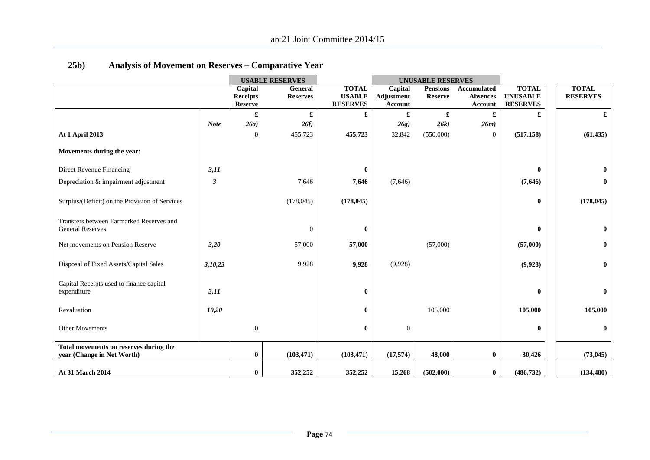|                                                                     |             |                                   | <b>USABLE RESERVES</b> |                                  | <b>UNUSABLE RESERVES</b>     |                 |                            |                                    |                 |
|---------------------------------------------------------------------|-------------|-----------------------------------|------------------------|----------------------------------|------------------------------|-----------------|----------------------------|------------------------------------|-----------------|
|                                                                     |             | Capital                           | General                | <b>TOTAL</b>                     | Capital                      | <b>Pensions</b> | Accumulated                | <b>TOTAL</b>                       | <b>TOTAL</b>    |
|                                                                     |             | <b>Receipts</b><br><b>Reserve</b> | <b>Reserves</b>        | <b>USABLE</b><br><b>RESERVES</b> | Adjustment<br><b>Account</b> | <b>Reserve</b>  | <b>Absences</b><br>Account | <b>UNUSABLE</b><br><b>RESERVES</b> | <b>RESERVES</b> |
|                                                                     |             | £                                 | £                      | £                                | £                            | £               | £                          | £                                  | £               |
|                                                                     | <b>Note</b> | 26a)                              | 26f                    |                                  | 26g)                         | 26k)            | 26m)                       |                                    |                 |
|                                                                     |             |                                   |                        |                                  |                              |                 |                            |                                    |                 |
| <b>At 1 April 2013</b>                                              |             | $\boldsymbol{0}$                  | 455,723                | 455,723                          | 32,842                       | (550,000)       | $\overline{0}$             | (517, 158)                         | (61, 435)       |
| Movements during the year:                                          |             |                                   |                        |                                  |                              |                 |                            |                                    |                 |
| Direct Revenue Financing                                            | 3,11        |                                   |                        | $\mathbf{0}$                     |                              |                 |                            | $\bf{0}$                           | $\bf{0}$        |
| Depreciation & impairment adjustment                                | 3           |                                   | 7,646                  | 7,646                            | (7,646)                      |                 |                            | (7,646)                            | $\bf{0}$        |
| Surplus/(Deficit) on the Provision of Services                      |             |                                   | (178, 045)             | (178, 045)                       |                              |                 |                            | $\bf{0}$                           | (178, 045)      |
| Transfers between Earmarked Reserves and<br><b>General Reserves</b> |             |                                   | $\Omega$               | $\mathbf{0}$                     |                              |                 |                            | $\bf{0}$                           | $\bf{0}$        |
| Net movements on Pension Reserve                                    | 3,20        |                                   | 57,000                 | 57,000                           |                              | (57,000)        |                            | (57,000)                           | $\bf{0}$        |
| Disposal of Fixed Assets/Capital Sales                              | 3,10,23     |                                   | 9,928                  | 9,928                            | (9,928)                      |                 |                            | (9,928)                            | $\bf{0}$        |
| Capital Receipts used to finance capital<br>expenditure             | 3,11        |                                   |                        | $\mathbf{0}$                     |                              |                 |                            | $\bf{0}$                           | $\bf{0}$        |
| Revaluation                                                         | 10,20       |                                   |                        | $\mathbf{0}$                     |                              | 105,000         |                            | 105,000                            | 105,000         |
| Other Movements                                                     |             | $\boldsymbol{0}$                  |                        | $\mathbf{0}$                     | $\mathbf{0}$                 |                 |                            | $\bf{0}$                           | $\mathbf{0}$    |
| Total movements on reserves during the                              |             |                                   |                        |                                  |                              |                 |                            |                                    |                 |
| year (Change in Net Worth)                                          |             | 0                                 | (103, 471)             | (103, 471)                       | (17, 574)                    | 48,000          | 0                          | 30,426                             | (73, 045)       |
| At 31 March 2014                                                    |             | $\bf{0}$                          | 352,252                | 352,252                          | 15,268                       | (502,000)       | $\bf{0}$                   | (486, 732)                         | (134, 480)      |

# **25b) Analysis of Movement on Reserves – Comparative Year**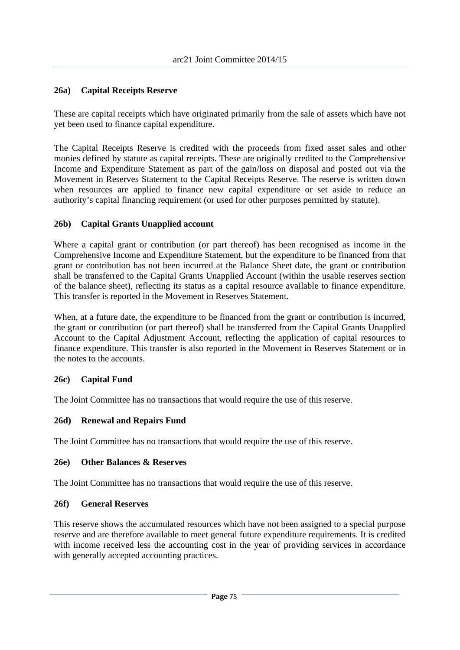# **26a) Capital Receipts Reserve**

These are capital receipts which have originated primarily from the sale of assets which have not yet been used to finance capital expenditure.

The Capital Receipts Reserve is credited with the proceeds from fixed asset sales and other monies defined by statute as capital receipts. These are originally credited to the Comprehensive Income and Expenditure Statement as part of the gain/loss on disposal and posted out via the Movement in Reserves Statement to the Capital Receipts Reserve. The reserve is written down when resources are applied to finance new capital expenditure or set aside to reduce an authority's capital financing requirement (or used for other purposes permitted by statute).

## **26b) Capital Grants Unapplied account**

Where a capital grant or contribution (or part thereof) has been recognised as income in the Comprehensive Income and Expenditure Statement, but the expenditure to be financed from that grant or contribution has not been incurred at the Balance Sheet date, the grant or contribution shall be transferred to the Capital Grants Unapplied Account (within the usable reserves section of the balance sheet), reflecting its status as a capital resource available to finance expenditure. This transfer is reported in the Movement in Reserves Statement.

When, at a future date, the expenditure to be financed from the grant or contribution is incurred, the grant or contribution (or part thereof) shall be transferred from the Capital Grants Unapplied Account to the Capital Adjustment Account, reflecting the application of capital resources to finance expenditure. This transfer is also reported in the Movement in Reserves Statement or in the notes to the accounts.

#### **26c) Capital Fund**

The Joint Committee has no transactions that would require the use of this reserve.

# **26d) Renewal and Repairs Fund**

The Joint Committee has no transactions that would require the use of this reserve.

#### **26e) Other Balances & Reserves**

The Joint Committee has no transactions that would require the use of this reserve.

#### **26f) General Reserves**

This reserve shows the accumulated resources which have not been assigned to a special purpose reserve and are therefore available to meet general future expenditure requirements. It is credited with income received less the accounting cost in the year of providing services in accordance with generally accepted accounting practices.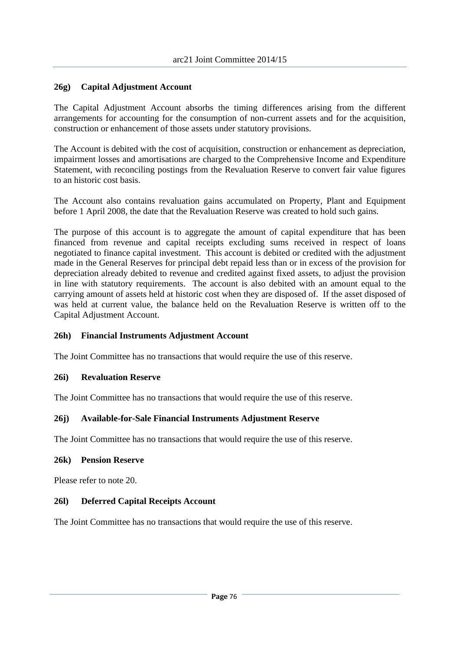# **26g) Capital Adjustment Account**

The Capital Adjustment Account absorbs the timing differences arising from the different arrangements for accounting for the consumption of non-current assets and for the acquisition, construction or enhancement of those assets under statutory provisions.

The Account is debited with the cost of acquisition, construction or enhancement as depreciation, impairment losses and amortisations are charged to the Comprehensive Income and Expenditure Statement, with reconciling postings from the Revaluation Reserve to convert fair value figures to an historic cost basis.

The Account also contains revaluation gains accumulated on Property, Plant and Equipment before 1 April 2008, the date that the Revaluation Reserve was created to hold such gains.

The purpose of this account is to aggregate the amount of capital expenditure that has been financed from revenue and capital receipts excluding sums received in respect of loans negotiated to finance capital investment. This account is debited or credited with the adjustment made in the General Reserves for principal debt repaid less than or in excess of the provision for depreciation already debited to revenue and credited against fixed assets, to adjust the provision in line with statutory requirements. The account is also debited with an amount equal to the carrying amount of assets held at historic cost when they are disposed of. If the asset disposed of was held at current value, the balance held on the Revaluation Reserve is written off to the Capital Adjustment Account.

#### **26h) Financial Instruments Adjustment Account**

The Joint Committee has no transactions that would require the use of this reserve.

#### **26i) Revaluation Reserve**

The Joint Committee has no transactions that would require the use of this reserve.

#### **26j) Available-for-Sale Financial Instruments Adjustment Reserve**

The Joint Committee has no transactions that would require the use of this reserve.

#### **26k) Pension Reserve**

Please refer to note 20.

#### **26l) Deferred Capital Receipts Account**

The Joint Committee has no transactions that would require the use of this reserve.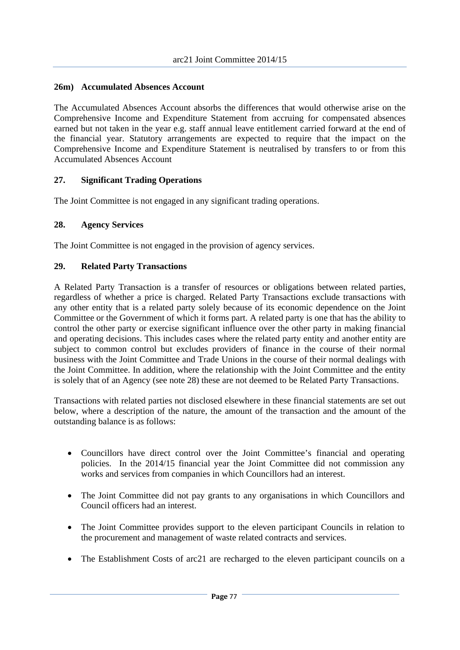## **26m) Accumulated Absences Account**

The Accumulated Absences Account absorbs the differences that would otherwise arise on the Comprehensive Income and Expenditure Statement from accruing for compensated absences earned but not taken in the year e.g. staff annual leave entitlement carried forward at the end of the financial year. Statutory arrangements are expected to require that the impact on the Comprehensive Income and Expenditure Statement is neutralised by transfers to or from this Accumulated Absences Account

## **27. Significant Trading Operations**

The Joint Committee is not engaged in any significant trading operations.

#### **28. Agency Services**

The Joint Committee is not engaged in the provision of agency services.

## **29. Related Party Transactions**

A Related Party Transaction is a transfer of resources or obligations between related parties, regardless of whether a price is charged. Related Party Transactions exclude transactions with any other entity that is a related party solely because of its economic dependence on the Joint Committee or the Government of which it forms part. A related party is one that has the ability to control the other party or exercise significant influence over the other party in making financial and operating decisions. This includes cases where the related party entity and another entity are subject to common control but excludes providers of finance in the course of their normal business with the Joint Committee and Trade Unions in the course of their normal dealings with the Joint Committee. In addition, where the relationship with the Joint Committee and the entity is solely that of an Agency (see note 28) these are not deemed to be Related Party Transactions.

Transactions with related parties not disclosed elsewhere in these financial statements are set out below, where a description of the nature, the amount of the transaction and the amount of the outstanding balance is as follows:

- Councillors have direct control over the Joint Committee's financial and operating policies. In the 2014/15 financial year the Joint Committee did not commission any works and services from companies in which Councillors had an interest.
- The Joint Committee did not pay grants to any organisations in which Councillors and Council officers had an interest.
- The Joint Committee provides support to the eleven participant Councils in relation to the procurement and management of waste related contracts and services.
- The Establishment Costs of arc21 are recharged to the eleven participant councils on a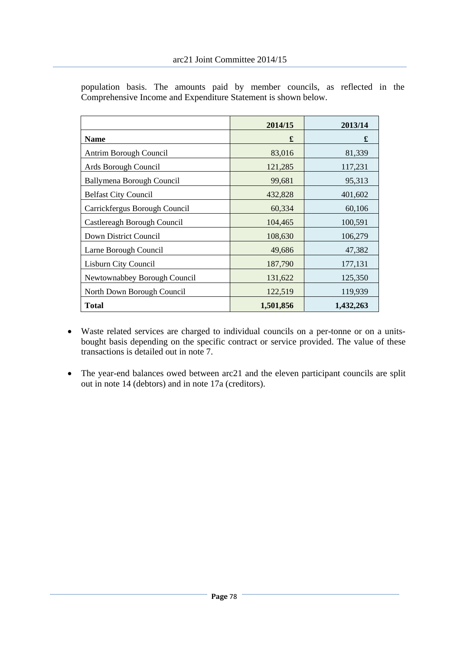|                               | 2014/15   | 2013/14   |
|-------------------------------|-----------|-----------|
| <b>Name</b>                   | £         | £         |
| Antrim Borough Council        | 83,016    | 81,339    |
| Ards Borough Council          | 121,285   | 117,231   |
| Ballymena Borough Council     | 99,681    | 95,313    |
| <b>Belfast City Council</b>   | 432,828   | 401,602   |
| Carrickfergus Borough Council | 60,334    | 60,106    |
| Castlereagh Borough Council   | 104,465   | 100,591   |
| Down District Council         | 108,630   | 106,279   |
| Larne Borough Council         | 49,686    | 47,382    |
| Lisburn City Council          | 187,790   | 177,131   |
| Newtownabbey Borough Council  | 131,622   | 125,350   |
| North Down Borough Council    | 122,519   | 119,939   |
| <b>Total</b>                  | 1,501,856 | 1,432,263 |

population basis. The amounts paid by member councils, as reflected in the Comprehensive Income and Expenditure Statement is shown below.

- Waste related services are charged to individual councils on a per-tonne or on a unitsbought basis depending on the specific contract or service provided. The value of these transactions is detailed out in note 7.
- The year-end balances owed between arc21 and the eleven participant councils are split out in note 14 (debtors) and in note 17a (creditors).